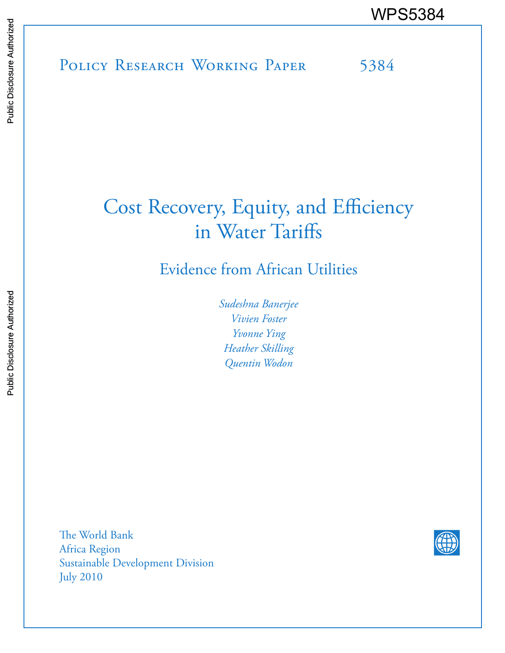POLICY RESEARCH WORKING PAPER 5384 WPS5384<br>
Media<br>
Media<br>
Band<br>
Band<br>
Band<br>
Band<br>
Band<br>
Band<br>
Band<br>
Band<br>
Band<br>
Band<br>
Band<br>
Band<br>
Band<br>
Band<br>
Band<br>
Band<br>
Band<br>
Band<br>
Band<br>
Band<br>
Band<br>
Band<br>
Band<br>
Band<br>
Band<br>
Band<br>
Band<br>
Band<br>
Band<br>
Band<br>
Band<br>
Band<br>
Band<br>
B

# Cost Recovery, Equity, and Efficiency in Water Tariffs

Evidence from African Utilities

*Sudeshna Banerjee Vivien Foster Yvonne Ying Heather Skilling Quentin Wodon*

The World Bank Africa Region Sustainable Development Division July 2010

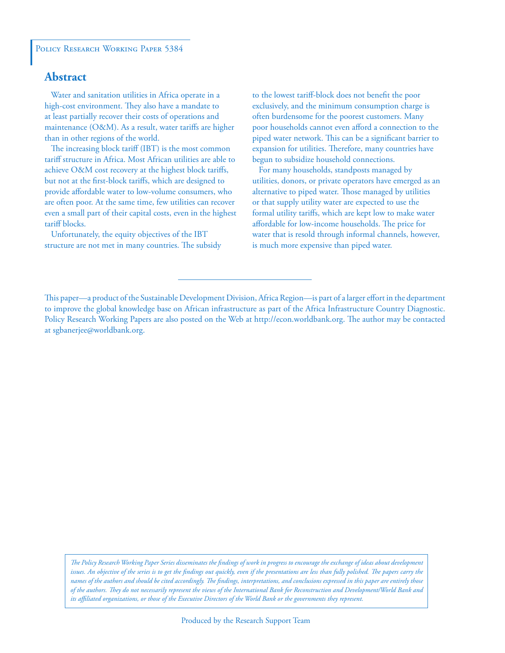### **Abstract**

 Water and sanitation utilities in Africa operate in a high-cost environment. They also have a mandate to at least partially recover their costs of operations and maintenance (O&M). As a result, water tariffs are higher than in other regions of the world.

 The increasing block tariff (IBT) is the most common tariff structure in Africa. Most African utilities are able to achieve O&M cost recovery at the highest block tariffs, but not at the first-block tariffs, which are designed to provide affordable water to low-volume consumers, who are often poor. At the same time, few utilities can recover even a small part of their capital costs, even in the highest tariff blocks.

 Unfortunately, the equity objectives of the IBT structure are not met in many countries. The subsidy to the lowest tariff-block does not benefit the poor exclusively, and the minimum consumption charge is often burdensome for the poorest customers. Many poor households cannot even afford a connection to the piped water network. This can be a significant barrier to expansion for utilities. Therefore, many countries have begun to subsidize household connections.

 For many households, standposts managed by utilities, donors, or private operators have emerged as an alternative to piped water. Those managed by utilities or that supply utility water are expected to use the formal utility tariffs, which are kept low to make water affordable for low-income households. The price for water that is resold through informal channels, however, is much more expensive than piped water.

This paper—a product of the Sustainable Development Division, Africa Region—is part of a larger effort in the department to improve the global knowledge base on African infrastructure as part of the Africa Infrastructure Country Diagnostic. Policy Research Working Papers are also posted on the Web at http://econ.worldbank.org. The author may be contacted at sgbanerjee@worldbank.org.

*The Policy Research Working Paper Series disseminates the findings of work in progress to encourage the exchange of ideas about development*  issues. An objective of the series is to get the findings out quickly, even if the presentations are less than fully polished. The papers carry the *names of the authors and should be cited accordingly. The findings, interpretations, and conclusions expressed in this paper are entirely those of the authors. They do not necessarily represent the views of the International Bank for Reconstruction and Development/World Bank and its affiliated organizations, or those of the Executive Directors of the World Bank or the governments they represent.*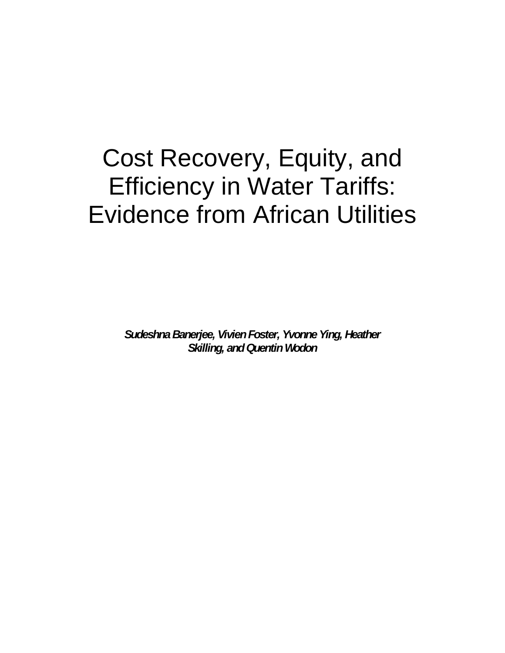# Cost Recovery, Equity, and Efficiency in Water Tariffs: Evidence from African Utilities

*Sudeshna Banerjee, Vivien Foster, Yvonne Ying, Heather Skilling, and Quentin Wodon*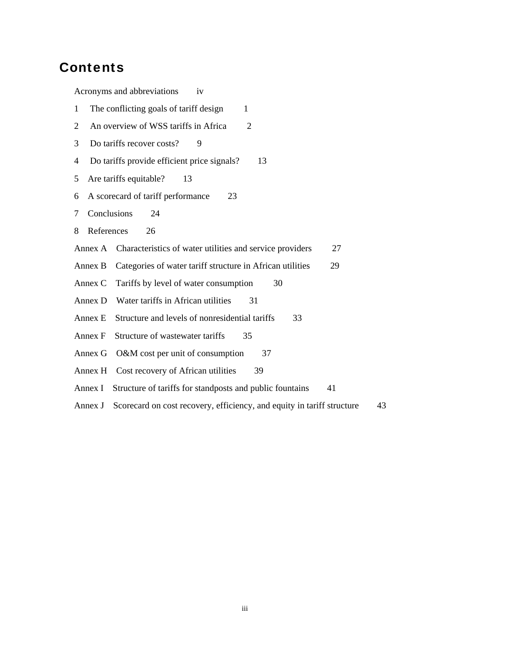## **Contents**

Acronyms and abbreviations iv 1 The conflicting goals of tariff design 1 2 An overview of WSS tariffs in Africa 2 3 Do tariffs recover costs? 9 4 Do tariffs provide efficient price signals? 13 5 Are tariffs equitable? 13 6 A scorecard of tariff performance 23 7 Conclusions 24 8 References 26 Annex A Characteristics of water utilities and service providers 27 Annex B Categories of water tariff structure in African utilities 29 Annex C Tariffs by level of water consumption 30 Annex D Water tariffs in African utilities 31 Annex E Structure and levels of nonresidential tariffs 33 Annex F Structure of wastewater tariffs 35 Annex G O&M cost per unit of consumption 37 Annex H Cost recovery of African utilities 39 Annex I Structure of tariffs for standposts and public fountains 41 Annex J Scorecard on cost recovery, efficiency, and equity in tariff structure 43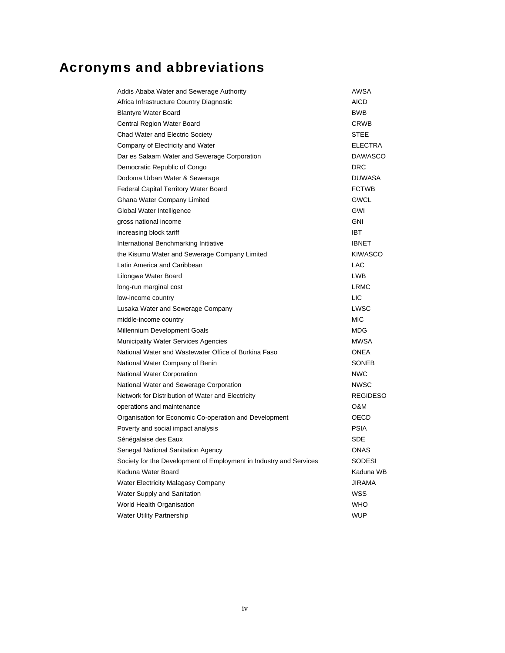# Acronyms and abbreviations

| Addis Ababa Water and Sewerage Authority                           | AWSA            |
|--------------------------------------------------------------------|-----------------|
| Africa Infrastructure Country Diagnostic                           | AICD            |
| <b>Blantyre Water Board</b>                                        | <b>BWB</b>      |
| Central Region Water Board                                         | CRWB            |
| Chad Water and Electric Society                                    | <b>STEE</b>     |
| Company of Electricity and Water                                   | ELECTRA         |
| Dar es Salaam Water and Sewerage Corporation                       | <b>DAWASCO</b>  |
| Democratic Republic of Congo                                       | DRC             |
| Dodoma Urban Water & Sewerage                                      | <b>DUWASA</b>   |
| Federal Capital Territory Water Board                              | <b>FCTWB</b>    |
| Ghana Water Company Limited                                        | GWCL            |
| Global Water Intelligence                                          | GWI             |
| gross national income                                              | GNI             |
| increasing block tariff                                            | <b>IBT</b>      |
| International Benchmarking Initiative                              | <b>IBNET</b>    |
| the Kisumu Water and Sewerage Company Limited                      | <b>KIWASCO</b>  |
| Latin America and Caribbean                                        | LAC             |
| Lilongwe Water Board                                               | <b>LWB</b>      |
| long-run marginal cost                                             | <b>LRMC</b>     |
| low-income country                                                 | LIC             |
| Lusaka Water and Sewerage Company                                  | LWSC            |
| middle-income country                                              | <b>MIC</b>      |
| Millennium Development Goals                                       | MDG             |
| Municipality Water Services Agencies                               | MWSA            |
| National Water and Wastewater Office of Burkina Faso               | <b>ONEA</b>     |
| National Water Company of Benin                                    | <b>SONEB</b>    |
| National Water Corporation                                         | <b>NWC</b>      |
| National Water and Sewerage Corporation                            | <b>NWSC</b>     |
| Network for Distribution of Water and Electricity                  | <b>REGIDESO</b> |
| operations and maintenance                                         | O&M             |
| Organisation for Economic Co-operation and Development             | OECD            |
| Poverty and social impact analysis                                 | <b>PSIA</b>     |
| Sénégalaise des Eaux                                               | SDE             |
| Senegal National Sanitation Agency                                 | <b>ONAS</b>     |
| Society for the Development of Employment in Industry and Services | SODESI          |
| Kaduna Water Board                                                 | Kaduna WB       |
| Water Electricity Malagasy Company                                 | <b>JIRAMA</b>   |
| Water Supply and Sanitation                                        | WSS             |
| World Health Organisation                                          | WHO             |
| <b>Water Utility Partnership</b>                                   | <b>WUP</b>      |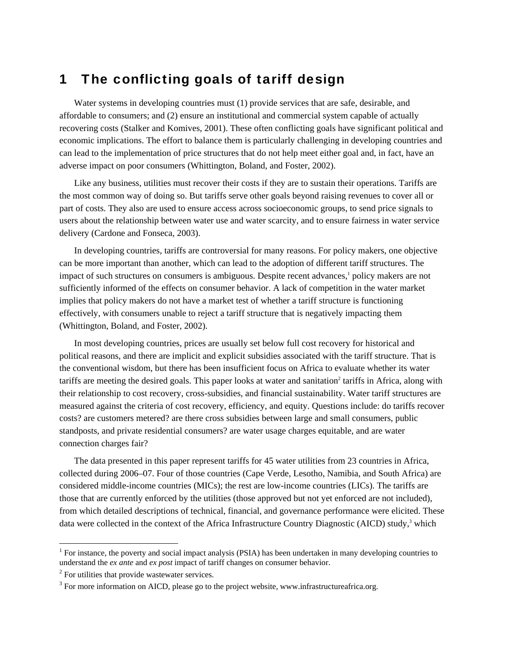# 1 The conflicting goals of tariff design

Water systems in developing countries must (1) provide services that are safe, desirable, and affordable to consumers; and (2) ensure an institutional and commercial system capable of actually recovering costs (Stalker and Komives, 2001). These often conflicting goals have significant political and economic implications. The effort to balance them is particularly challenging in developing countries and can lead to the implementation of price structures that do not help meet either goal and, in fact, have an adverse impact on poor consumers (Whittington, Boland, and Foster, 2002).

Like any business, utilities must recover their costs if they are to sustain their operations. Tariffs are the most common way of doing so. But tariffs serve other goals beyond raising revenues to cover all or part of costs. They also are used to ensure access across socioeconomic groups, to send price signals to users about the relationship between water use and water scarcity, and to ensure fairness in water service delivery (Cardone and Fonseca, 2003).

In developing countries, tariffs are controversial for many reasons. For policy makers, one objective can be more important than another, which can lead to the adoption of different tariff structures. The impact of such structures on consumers is ambiguous. Despite recent advances,<sup>1</sup> policy makers are not sufficiently informed of the effects on consumer behavior. A lack of competition in the water market implies that policy makers do not have a market test of whether a tariff structure is functioning effectively, with consumers unable to reject a tariff structure that is negatively impacting them (Whittington, Boland, and Foster, 2002).

In most developing countries, prices are usually set below full cost recovery for historical and political reasons, and there are implicit and explicit subsidies associated with the tariff structure. That is the conventional wisdom, but there has been insufficient focus on Africa to evaluate whether its water tariffs are meeting the desired goals. This paper looks at water and sanitation<sup>2</sup> tariffs in Africa, along with their relationship to cost recovery, cross-subsidies, and financial sustainability. Water tariff structures are measured against the criteria of cost recovery, efficiency, and equity. Questions include: do tariffs recover costs? are customers metered? are there cross subsidies between large and small consumers, public standposts, and private residential consumers? are water usage charges equitable, and are water connection charges fair?

The data presented in this paper represent tariffs for 45 water utilities from 23 countries in Africa, collected during 2006–07. Four of those countries (Cape Verde, Lesotho, Namibia, and South Africa) are considered middle-income countries (MICs); the rest are low-income countries (LICs). The tariffs are those that are currently enforced by the utilities (those approved but not yet enforced are not included), from which detailed descriptions of technical, financial, and governance performance were elicited. These data were collected in the context of the Africa Infrastructure Country Diagnostic (AICD) study,<sup>3</sup> which

 $\overline{a}$ 

<sup>&</sup>lt;sup>1</sup> For instance, the poverty and social impact analysis (PSIA) has been undertaken in many developing countries to understand the *ex ante* and *ex post* impact of tariff changes on consumer behavior.

 $2^2$  For utilities that provide wastewater services.

 $3$  For more information on AICD, please go to the project website, www.infrastructureafrica.org.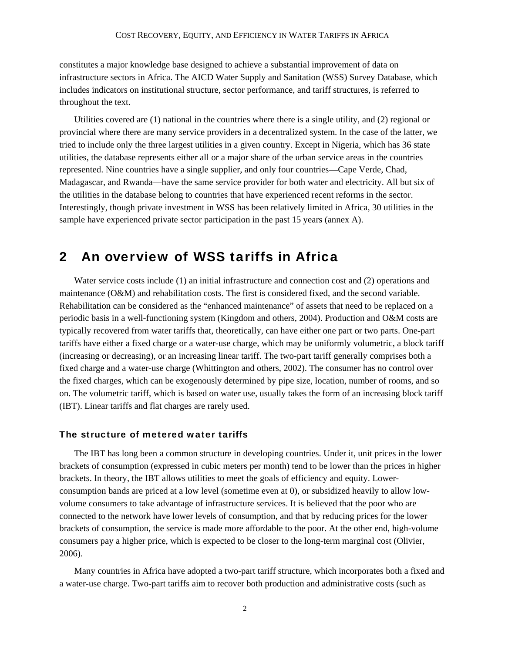constitutes a major knowledge base designed to achieve a substantial improvement of data on infrastructure sectors in Africa. The AICD Water Supply and Sanitation (WSS) Survey Database, which includes indicators on institutional structure, sector performance, and tariff structures, is referred to throughout the text.

Utilities covered are (1) national in the countries where there is a single utility, and (2) regional or provincial where there are many service providers in a decentralized system. In the case of the latter, we tried to include only the three largest utilities in a given country. Except in Nigeria, which has 36 state utilities, the database represents either all or a major share of the urban service areas in the countries represented. Nine countries have a single supplier, and only four countries—Cape Verde, Chad, Madagascar, and Rwanda—have the same service provider for both water and electricity. All but six of the utilities in the database belong to countries that have experienced recent reforms in the sector. Interestingly, though private investment in WSS has been relatively limited in Africa, 30 utilities in the sample have experienced private sector participation in the past 15 years (annex A).

### 2 An overview of WSS tariffs in Africa

Water service costs include (1) an initial infrastructure and connection cost and (2) operations and maintenance (O&M) and rehabilitation costs. The first is considered fixed, and the second variable. Rehabilitation can be considered as the "enhanced maintenance" of assets that need to be replaced on a periodic basis in a well-functioning system (Kingdom and others, 2004). Production and O&M costs are typically recovered from water tariffs that, theoretically, can have either one part or two parts. One-part tariffs have either a fixed charge or a water-use charge, which may be uniformly volumetric, a block tariff (increasing or decreasing), or an increasing linear tariff. The two-part tariff generally comprises both a fixed charge and a water-use charge (Whittington and others, 2002). The consumer has no control over the fixed charges, which can be exogenously determined by pipe size, location, number of rooms, and so on. The volumetric tariff, which is based on water use, usually takes the form of an increasing block tariff (IBT). Linear tariffs and flat charges are rarely used.

#### The structure of metered water tariffs

The IBT has long been a common structure in developing countries. Under it, unit prices in the lower brackets of consumption (expressed in cubic meters per month) tend to be lower than the prices in higher brackets. In theory, the IBT allows utilities to meet the goals of efficiency and equity. Lowerconsumption bands are priced at a low level (sometime even at 0), or subsidized heavily to allow lowvolume consumers to take advantage of infrastructure services. It is believed that the poor who are connected to the network have lower levels of consumption, and that by reducing prices for the lower brackets of consumption, the service is made more affordable to the poor. At the other end, high-volume consumers pay a higher price, which is expected to be closer to the long-term marginal cost (Olivier, 2006).

Many countries in Africa have adopted a two-part tariff structure, which incorporates both a fixed and a water-use charge. Two-part tariffs aim to recover both production and administrative costs (such as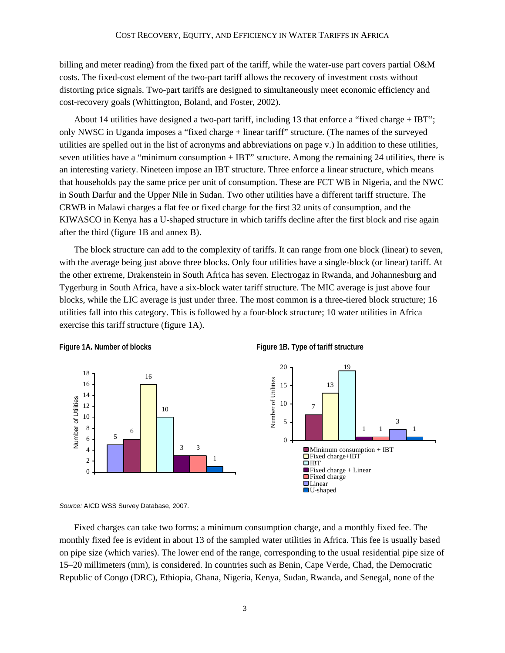billing and meter reading) from the fixed part of the tariff, while the water-use part covers partial O&M costs. The fixed-cost element of the two-part tariff allows the recovery of investment costs without distorting price signals. Two-part tariffs are designed to simultaneously meet economic efficiency and cost-recovery goals (Whittington, Boland, and Foster, 2002).

About 14 utilities have designed a two-part tariff, including 13 that enforce a "fixed charge + IBT"; only NWSC in Uganda imposes a "fixed charge + linear tariff" structure. (The names of the surveyed utilities are spelled out in the list of acronyms and abbreviations on page v.) In addition to these utilities, seven utilities have a "minimum consumption + IBT" structure. Among the remaining 24 utilities, there is an interesting variety. Nineteen impose an IBT structure. Three enforce a linear structure, which means that households pay the same price per unit of consumption. These are FCT WB in Nigeria, and the NWC in South Darfur and the Upper Nile in Sudan. Two other utilities have a different tariff structure. The CRWB in Malawi charges a flat fee or fixed charge for the first 32 units of consumption, and the KIWASCO in Kenya has a U-shaped structure in which tariffs decline after the first block and rise again after the third (figure 1B and annex B).

The block structure can add to the complexity of tariffs. It can range from one block (linear) to seven, with the average being just above three blocks. Only four utilities have a single-block (or linear) tariff. At the other extreme, Drakenstein in South Africa has seven. Electrogaz in Rwanda, and Johannesburg and Tygerburg in South Africa, have a six-block water tariff structure. The MIC average is just above four blocks, while the LIC average is just under three. The most common is a three-tiered block structure; 16 utilities fall into this category. This is followed by a four-block structure; 10 water utilities in Africa exercise this tariff structure (figure 1A).





*Source:* AICD WSS Survey Database, 2007.

Fixed charges can take two forms: a minimum consumption charge, and a monthly fixed fee. The monthly fixed fee is evident in about 13 of the sampled water utilities in Africa. This fee is usually based on pipe size (which varies). The lower end of the range, corresponding to the usual residential pipe size of 15–20 millimeters (mm), is considered. In countries such as Benin, Cape Verde, Chad, the Democratic Republic of Congo (DRC), Ethiopia, Ghana, Nigeria, Kenya, Sudan, Rwanda, and Senegal, none of the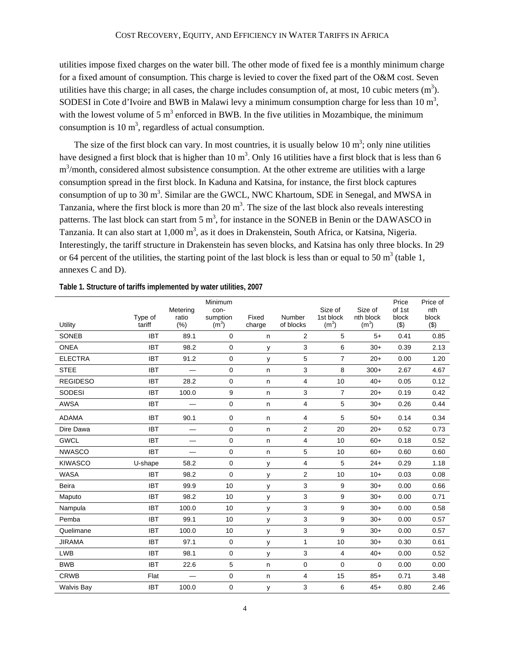utilities impose fixed charges on the water bill. The other mode of fixed fee is a monthly minimum charge for a fixed amount of consumption. This charge is levied to cover the fixed part of the O&M cost. Seven utilities have this charge; in all cases, the charge includes consumption of, at most, 10 cubic meters  $(m^3)$ . SODESI in Cote d'Ivoire and BWB in Malawi levy a minimum consumption charge for less than 10 m<sup>3</sup>, with the lowest volume of 5  $m<sup>3</sup>$  enforced in BWB. In the five utilities in Mozambique, the minimum consumption is 10  $m<sup>3</sup>$ , regardless of actual consumption.

The size of the first block can vary. In most countries, it is usually below 10  $m^3$ ; only nine utilities have designed a first block that is higher than 10  $m^3$ . Only 16 utilities have a first block that is less than 6 m<sup>3</sup>/month, considered almost subsistence consumption. At the other extreme are utilities with a large consumption spread in the first block. In Kaduna and Katsina, for instance, the first block captures consumption of up to 30 m<sup>3</sup>. Similar are the GWCL, NWC Khartoum, SDE in Senegal, and MWSA in Tanzania, where the first block is more than  $20 \text{ m}^3$ . The size of the last block also reveals interesting patterns. The last block can start from 5  $m<sup>3</sup>$ , for instance in the SONEB in Benin or the DAWASCO in Tanzania. It can also start at 1,000 m<sup>3</sup>, as it does in Drakenstein, South Africa, or Katsina, Nigeria. Interestingly, the tariff structure in Drakenstein has seven blocks, and Katsina has only three blocks. In 29 or 64 percent of the utilities, the starting point of the last block is less than or equal to 50  $m<sup>3</sup>$  (table 1, annexes C and D).

| Utility           | Type of<br>tariff | Metering<br>ratio<br>(% ) | Minimum<br>con-<br>sumption<br>(m <sup>3</sup> ) | Fixed<br>charge | Number<br>of blocks | Size of<br>1st block<br>(m <sup>3</sup> ) | Size of<br>nth block<br>(m <sup>3</sup> ) | Price<br>of 1st<br>block<br>(3) | Price of<br>nth<br>block<br>(3) |
|-------------------|-------------------|---------------------------|--------------------------------------------------|-----------------|---------------------|-------------------------------------------|-------------------------------------------|---------------------------------|---------------------------------|
| <b>SONEB</b>      | <b>IBT</b>        | 89.1                      | $\mathbf 0$                                      | n               | 2                   | 5                                         | $5+$                                      | 0.41                            | 0.85                            |
| <b>ONEA</b>       | <b>IBT</b>        | 98.2                      | $\mathbf 0$                                      | у               | 3                   | 6                                         | $30+$                                     | 0.39                            | 2.13                            |
| <b>ELECTRA</b>    | <b>IBT</b>        | 91.2                      | 0                                                | у               | 5                   | $\overline{7}$                            | $20+$                                     | 0.00                            | 1.20                            |
| <b>STEE</b>       | <b>IBT</b>        | $\overline{\phantom{0}}$  | $\mathbf 0$                                      | $\mathsf{n}$    | 3                   | 8                                         | $300+$                                    | 2.67                            | 4.67                            |
| <b>REGIDESO</b>   | <b>IBT</b>        | 28.2                      | 0                                                | $\mathsf{n}$    | 4                   | 10                                        | $40+$                                     | 0.05                            | 0.12                            |
| <b>SODESI</b>     | <b>IBT</b>        | 100.0                     | 9                                                | n               | 3                   | $\overline{7}$                            | $20+$                                     | 0.19                            | 0.42                            |
| <b>AWSA</b>       | <b>IBT</b>        | —                         | $\mathbf 0$                                      | $\mathsf n$     | 4                   | 5                                         | $30+$                                     | 0.26                            | 0.44                            |
| <b>ADAMA</b>      | <b>IBT</b>        | 90.1                      | 0                                                | n               | 4                   | 5                                         | $50+$                                     | 0.14                            | 0.34                            |
| Dire Dawa         | <b>IBT</b>        |                           | $\mathbf 0$                                      | n               | $\overline{2}$      | 20                                        | $20+$                                     | 0.52                            | 0.73                            |
| <b>GWCL</b>       | <b>IBT</b>        |                           | 0                                                | $\mathsf{n}$    | 4                   | 10                                        | $60+$                                     | 0.18                            | 0.52                            |
| <b>NWASCO</b>     | <b>IBT</b>        | —                         | 0                                                | n               | 5                   | 10                                        | $60+$                                     | 0.60                            | 0.60                            |
| <b>KIWASCO</b>    | U-shape           | 58.2                      | 0                                                | у               | 4                   | 5                                         | $24+$                                     | 0.29                            | 1.18                            |
| <b>WASA</b>       | <b>IBT</b>        | 98.2                      | $\mathbf 0$                                      | у               | 2                   | 10                                        | $10+$                                     | 0.03                            | 0.08                            |
| <b>Beira</b>      | <b>IBT</b>        | 99.9                      | 10                                               | у               | 3                   | 9                                         | $30+$                                     | 0.00                            | 0.66                            |
| Maputo            | <b>IBT</b>        | 98.2                      | 10                                               | у               | 3                   | 9                                         | $30+$                                     | 0.00                            | 0.71                            |
| Nampula           | <b>IBT</b>        | 100.0                     | 10                                               | у               | 3                   | 9                                         | $30+$                                     | 0.00                            | 0.58                            |
| Pemba             | <b>IBT</b>        | 99.1                      | 10                                               | у               | 3                   | 9                                         | $30+$                                     | 0.00                            | 0.57                            |
| Quelimane         | <b>IBT</b>        | 100.0                     | 10                                               | у               | 3                   | 9                                         | $30+$                                     | 0.00                            | 0.57                            |
| <b>JIRAMA</b>     | <b>IBT</b>        | 97.1                      | 0                                                | у               | 1                   | 10                                        | $30+$                                     | 0.30                            | 0.61                            |
| <b>LWB</b>        | <b>IBT</b>        | 98.1                      | $\mathbf 0$                                      | у               | 3                   | 4                                         | $40+$                                     | 0.00                            | 0.52                            |
| <b>BWB</b>        | <b>IBT</b>        | 22.6                      | 5                                                | n               | 0                   | 0                                         | 0                                         | 0.00                            | 0.00                            |
| <b>CRWB</b>       | Flat              |                           | 0                                                | n               | 4                   | 15                                        | $85+$                                     | 0.71                            | 3.48                            |
| <b>Walvis Bay</b> | <b>IBT</b>        | 100.0                     | 0                                                | у               | 3                   | 6                                         | $45+$                                     | 0.80                            | 2.46                            |

| Table 1. Structure of tariffs implemented by water utilities, 2007 |
|--------------------------------------------------------------------|
|--------------------------------------------------------------------|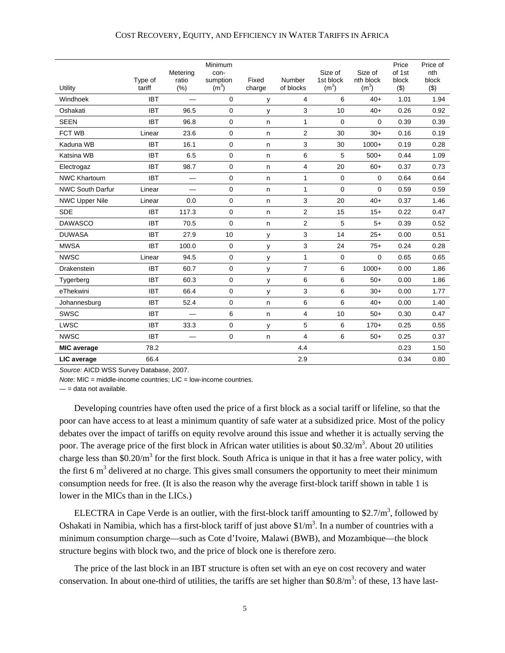#### COST RECOVERY, EQUITY, AND EFFICIENCY IN WATER TARIFFS IN AFRICA

| Utility                 | Type of<br>tariff | Metering<br>ratio<br>(% ) | Minimum<br>con-<br>sumption<br>$(m^3)$ | Fixed<br>charge | Number<br>of blocks | Size of<br>1st block<br>(m <sup>3</sup> ) | Size of<br>nth block<br>(m <sup>3</sup> ) | Price<br>of 1st<br>block<br>(3) | Price of<br>nth<br>block<br>(3) |
|-------------------------|-------------------|---------------------------|----------------------------------------|-----------------|---------------------|-------------------------------------------|-------------------------------------------|---------------------------------|---------------------------------|
| Windhoek                | <b>IBT</b>        |                           | $\Omega$                               | у               | 4                   | 6                                         | $40+$                                     | 1.01                            | 1.94                            |
| Oshakati                | <b>IBT</b>        | 96.5                      | $\mathbf 0$                            | у               | 3                   | 10                                        | $40+$                                     | 0.26                            | 0.92                            |
| <b>SEEN</b>             | <b>IBT</b>        | 96.8                      | $\mathbf 0$                            | n               | 1                   | $\mathbf 0$                               | $\Omega$                                  | 0.39                            | 0.39                            |
| <b>FCT WB</b>           | Linear            | 23.6                      | 0                                      | n               | $\overline{2}$      | 30                                        | $30+$                                     | 0.16                            | 0.19                            |
| Kaduna WB               | <b>IBT</b>        | 16.1                      | $\mathbf 0$                            | n               | 3                   | 30                                        | $1000+$                                   | 0.19                            | 0.28                            |
| Katsina WB              | <b>IBT</b>        | 6.5                       | 0                                      | n               | 6                   | 5                                         | $500+$                                    | 0.44                            | 1.09                            |
| Electrogaz              | <b>IBT</b>        | 98.7                      | $\mathbf 0$                            | n.              | 4                   | 20                                        | $60+$                                     | 0.37                            | 0.73                            |
| <b>NWC Khartoum</b>     | <b>IBT</b>        |                           | 0                                      | n               | 1                   | $\mathbf 0$                               | 0                                         | 0.64                            | 0.64                            |
| <b>NWC South Darfur</b> | Linear            | -                         | $\mathbf 0$                            | n               | $\mathbf{1}$        | $\mathbf 0$                               | $\mathbf 0$                               | 0.59                            | 0.59                            |
| <b>NWC Upper Nile</b>   | Linear            | 0.0                       | $\mathbf 0$                            | n               | 3                   | 20                                        | $40+$                                     | 0.37                            | 1.46                            |
| <b>SDE</b>              | <b>IBT</b>        | 117.3                     | $\mathbf 0$                            | n               | $\overline{2}$      | 15                                        | $15+$                                     | 0.22                            | 0.47                            |
| <b>DAWASCO</b>          | <b>IBT</b>        | 70.5                      | $\mathbf 0$                            | n               | $\mathbf{2}$        | 5                                         | $5+$                                      | 0.39                            | 0.52                            |
| <b>DUWASA</b>           | <b>IBT</b>        | 27.9                      | 10                                     | у               | 3                   | 14                                        | $25+$                                     | 0.00                            | 0.51                            |
| <b>MWSA</b>             | <b>IBT</b>        | 100.0                     | $\mathbf 0$                            | у               | 3                   | 24                                        | $75+$                                     | 0.24                            | 0.28                            |
| <b>NWSC</b>             | Linear            | 94.5                      | $\mathbf 0$                            | у               | $\mathbf{1}$        | $\mathbf 0$                               | $\mathbf 0$                               | 0.65                            | 0.65                            |
| Drakenstein             | <b>IBT</b>        | 60.7                      | $\mathbf 0$                            | у               | $\overline{7}$      | 6                                         | $1000+$                                   | 0.00                            | 1.86                            |
| Tygerberg               | <b>IBT</b>        | 60.3                      | 0                                      | у               | 6                   | 6                                         | $50+$                                     | 0.00                            | 1.86                            |
| eThekwini               | <b>IBT</b>        | 66.4                      | 0                                      | у               | 3                   | 6                                         | $30+$                                     | 0.00                            | 1.77                            |
| Johannesburg            | <b>IBT</b>        | 52.4                      | $\mathbf 0$                            | n               | 6                   | 6                                         | $40+$                                     | 0.00                            | 1.40                            |
| <b>SWSC</b>             | <b>IBT</b>        |                           | 6                                      | n               | $\overline{4}$      | 10                                        | $50+$                                     | 0.30                            | 0.47                            |
| LWSC                    | <b>IBT</b>        | 33.3                      | $\mathbf 0$                            | у               | 5                   | 6                                         | $170+$                                    | 0.25                            | 0.55                            |
| <b>NWSC</b>             | <b>IBT</b>        |                           | 0                                      | n               | 4                   | 6                                         | $50+$                                     | 0.25                            | 0.37                            |
| <b>MIC</b> average      | 78.2              |                           |                                        |                 | 4.4                 |                                           |                                           | 0.23                            | 1.50                            |
| LIC average             | 66.4              |                           |                                        |                 | 2.9                 |                                           |                                           | 0.34                            | 0.80                            |

*Source:* AICD WSS Survey Database, 2007.

*Note*: MIC = middle-income countries; LIC = low-income countries.

 $=$  = data not available.

Developing countries have often used the price of a first block as a social tariff or lifeline, so that the poor can have access to at least a minimum quantity of safe water at a subsidized price. Most of the policy debates over the impact of tariffs on equity revolve around this issue and whether it is actually serving the poor. The average price of the first block in African water utilities is about \$0.32/m<sup>3</sup>. About 20 utilities charge less than \$0.20/ $m<sup>3</sup>$  for the first block. South Africa is unique in that it has a free water policy, with the first  $6 \text{ m}^3$  delivered at no charge. This gives small consumers the opportunity to meet their minimum consumption needs for free. (It is also the reason why the average first-block tariff shown in table 1 is lower in the MICs than in the LICs.)

ELECTRA in Cape Verde is an outlier, with the first-block tariff amounting to \$2.7/ $m^3$ , followed by Oshakati in Namibia, which has a first-block tariff of just above  $1/m<sup>3</sup>$ . In a number of countries with a minimum consumption charge—such as Cote d'Ivoire, Malawi (BWB), and Mozambique—the block structure begins with block two, and the price of block one is therefore zero.

The price of the last block in an IBT structure is often set with an eye on cost recovery and water conservation. In about one-third of utilities, the tariffs are set higher than  $$0.8/m^3$ : of these, 13 have last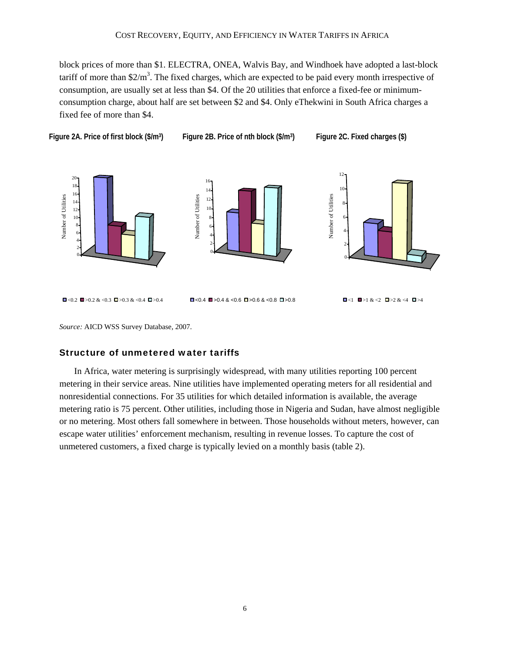block prices of more than \$1. ELECTRA, ONEA, Walvis Bay, and Windhoek have adopted a last-block tariff of more than  $2/m<sup>3</sup>$ . The fixed charges, which are expected to be paid every month irrespective of consumption, are usually set at less than \$4. Of the 20 utilities that enforce a fixed-fee or minimumconsumption charge, about half are set between \$2 and \$4. Only eThekwini in South Africa charges a fixed fee of more than \$4.

Figure 2A. Price of first block (\$/m<sup>3</sup>) Figure 2B. Price of nth block (\$/m<sup>3</sup>) Figure 2C. Fixed charges (\$)



*Source:* AICD WSS Survey Database, 2007.

#### Structure of unmetered water tariffs

In Africa, water metering is surprisingly widespread, with many utilities reporting 100 percent metering in their service areas. Nine utilities have implemented operating meters for all residential and nonresidential connections. For 35 utilities for which detailed information is available, the average metering ratio is 75 percent. Other utilities, including those in Nigeria and Sudan, have almost negligible or no metering. Most others fall somewhere in between. Those households without meters, however, can escape water utilities' enforcement mechanism, resulting in revenue losses. To capture the cost of unmetered customers, a fixed charge is typically levied on a monthly basis (table 2).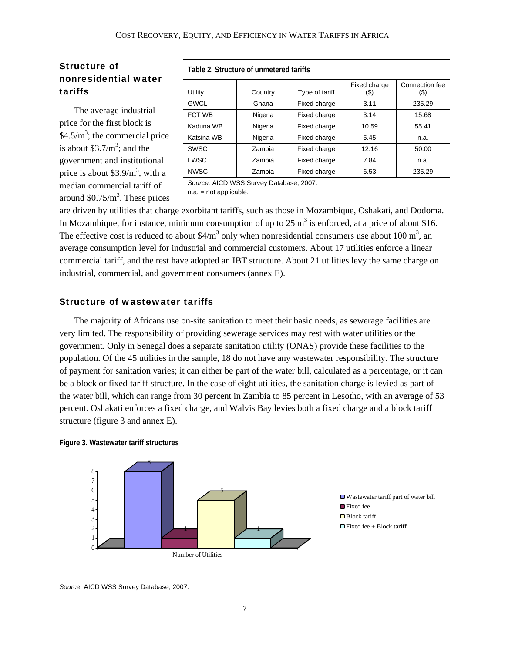#### Structure of nonresidential water tariffs

The average industrial price for the first block is  $$4.5/m<sup>3</sup>$ ; the commercial price is about  $$3.7/m^3$ ; and the government and institutional price is about  $$3.9/m<sup>3</sup>$ , with a median commercial tariff of around  $$0.75/m<sup>3</sup>$ . These prices **Table 2. Structure of unmetered tariffs** 

| Utility     | Country                                 | Type of tariff | Fixed charge<br>(\$) | Connection fee<br>(\$) |
|-------------|-----------------------------------------|----------------|----------------------|------------------------|
| <b>GWCL</b> | Ghana                                   | Fixed charge   | 3.11                 | 235.29                 |
| FCT WB      | Nigeria                                 | Fixed charge   | 3.14                 | 15.68                  |
| Kaduna WB   | Nigeria                                 | Fixed charge   | 10.59                | 55.41                  |
| Katsina WB  | Nigeria                                 | Fixed charge   | 5.45                 | n.a.                   |
| <b>SWSC</b> | Zambia                                  | Fixed charge   | 12.16                | 50.00                  |
| <b>LWSC</b> | Zambia                                  | Fixed charge   | 7.84                 | n.a.                   |
| <b>NWSC</b> | Zambia                                  | Fixed charge   | 6.53                 | 235.29                 |
|             | Source: AICD WSS Survey Database, 2007. |                |                      |                        |

n.a. = not applicable.

are driven by utilities that charge exorbitant tariffs, such as those in Mozambique, Oshakati, and Dodoma. In Mozambique, for instance, minimum consumption of up to 25  $m<sup>3</sup>$  is enforced, at a price of about \$16. The effective cost is reduced to about \$4/m<sup>3</sup> only when nonresidential consumers use about 100 m<sup>3</sup>, an average consumption level for industrial and commercial customers. About 17 utilities enforce a linear commercial tariff, and the rest have adopted an IBT structure. About 21 utilities levy the same charge on industrial, commercial, and government consumers (annex E).

#### Structure of wastewater tariffs

The majority of Africans use on-site sanitation to meet their basic needs, as sewerage facilities are very limited. The responsibility of providing sewerage services may rest with water utilities or the government. Only in Senegal does a separate sanitation utility (ONAS) provide these facilities to the population. Of the 45 utilities in the sample, 18 do not have any wastewater responsibility. The structure of payment for sanitation varies; it can either be part of the water bill, calculated as a percentage, or it can be a block or fixed-tariff structure. In the case of eight utilities, the sanitation charge is levied as part of the water bill, which can range from 30 percent in Zambia to 85 percent in Lesotho, with an average of 53 percent. Oshakati enforces a fixed charge, and Walvis Bay levies both a fixed charge and a block tariff structure (figure 3 and annex E).





Wastewater tariff part of water bill ■ Fixed fee ■Block tariff  $\Box$  Fixed fee + Block tariff

*Source:* AICD WSS Survey Database, 2007.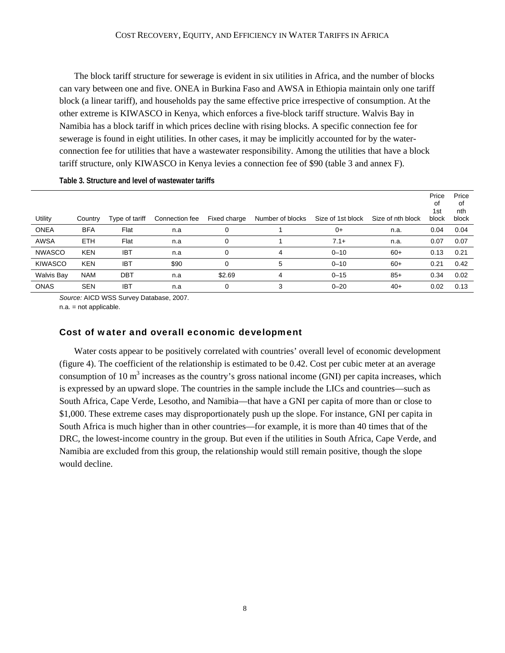The block tariff structure for sewerage is evident in six utilities in Africa, and the number of blocks can vary between one and five. ONEA in Burkina Faso and AWSA in Ethiopia maintain only one tariff block (a linear tariff), and households pay the same effective price irrespective of consumption. At the other extreme is KIWASCO in Kenya, which enforces a five-block tariff structure. Walvis Bay in Namibia has a block tariff in which prices decline with rising blocks. A specific connection fee for sewerage is found in eight utilities. In other cases, it may be implicitly accounted for by the waterconnection fee for utilities that have a wastewater responsibility. Among the utilities that have a block tariff structure, only KIWASCO in Kenya levies a connection fee of \$90 (table 3 and annex F).

|                   |            |                |                |              |                  |                   |                   | Price<br>οf<br>1st | Price<br>0f<br>nth |
|-------------------|------------|----------------|----------------|--------------|------------------|-------------------|-------------------|--------------------|--------------------|
| Utility           | Country    | Type of tariff | Connection fee | Fixed charge | Number of blocks | Size of 1st block | Size of nth block | block              | block              |
| <b>ONEA</b>       | <b>BFA</b> | Flat           | n.a            | 0            |                  | $0+$              | n.a.              | 0.04               | 0.04               |
| <b>AWSA</b>       | <b>ETH</b> | Flat           | n.a            | 0            |                  | $7.1+$            | n.a.              | 0.07               | 0.07               |
| <b>NWASCO</b>     | <b>KEN</b> | <b>IBT</b>     | n.a            | 0            | 4                | $0 - 10$          | $60+$             | 0.13               | 0.21               |
| <b>KIWASCO</b>    | <b>KEN</b> | <b>IBT</b>     | \$90           |              | 5                | $0 - 10$          | $60+$             | 0.21               | 0.42               |
| <b>Walvis Bay</b> | <b>NAM</b> | DBT            | n.a            | \$2.69       | 4                | $0 - 15$          | $85+$             | 0.34               | 0.02               |
| <b>ONAS</b>       | <b>SEN</b> | <b>IBT</b>     | n.a            | 0            | 3                | $0 - 20$          | $40+$             | 0.02               | 0.13               |

**Table 3. Structure and level of wastewater tariffs** 

*Source:* AICD WSS Survey Database, 2007.

n.a. = not applicable.

#### Cost of water and overall economic development

Water costs appear to be positively correlated with countries' overall level of economic development (figure 4). The coefficient of the relationship is estimated to be 0.42. Cost per cubic meter at an average consumption of 10  $m<sup>3</sup>$  increases as the country's gross national income (GNI) per capita increases, which is expressed by an upward slope. The countries in the sample include the LICs and countries—such as South Africa, Cape Verde, Lesotho, and Namibia—that have a GNI per capita of more than or close to \$1,000. These extreme cases may disproportionately push up the slope. For instance, GNI per capita in South Africa is much higher than in other countries—for example, it is more than 40 times that of the DRC, the lowest-income country in the group. But even if the utilities in South Africa, Cape Verde, and Namibia are excluded from this group, the relationship would still remain positive, though the slope would decline.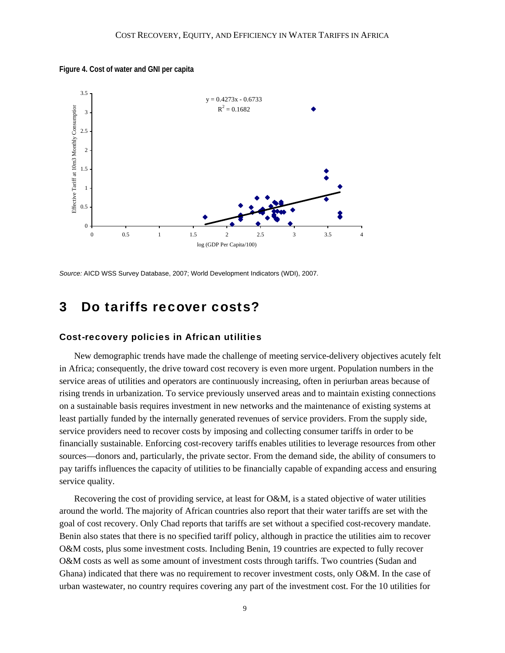**Figure 4. Cost of water and GNI per capita** 



*Source:* AICD WSS Survey Database, 2007; World Development Indicators (WDI), 2007.

### 3 Do tariffs recover costs?

#### Cost-recovery policies in African utilities

New demographic trends have made the challenge of meeting service-delivery objectives acutely felt in Africa; consequently, the drive toward cost recovery is even more urgent. Population numbers in the service areas of utilities and operators are continuously increasing, often in periurban areas because of rising trends in urbanization. To service previously unserved areas and to maintain existing connections on a sustainable basis requires investment in new networks and the maintenance of existing systems at least partially funded by the internally generated revenues of service providers. From the supply side, service providers need to recover costs by imposing and collecting consumer tariffs in order to be financially sustainable. Enforcing cost-recovery tariffs enables utilities to leverage resources from other sources—donors and, particularly, the private sector. From the demand side, the ability of consumers to pay tariffs influences the capacity of utilities to be financially capable of expanding access and ensuring service quality.

Recovering the cost of providing service, at least for O&M, is a stated objective of water utilities around the world. The majority of African countries also report that their water tariffs are set with the goal of cost recovery. Only Chad reports that tariffs are set without a specified cost-recovery mandate. Benin also states that there is no specified tariff policy, although in practice the utilities aim to recover O&M costs, plus some investment costs. Including Benin, 19 countries are expected to fully recover O&M costs as well as some amount of investment costs through tariffs. Two countries (Sudan and Ghana) indicated that there was no requirement to recover investment costs, only O&M. In the case of urban wastewater, no country requires covering any part of the investment cost. For the 10 utilities for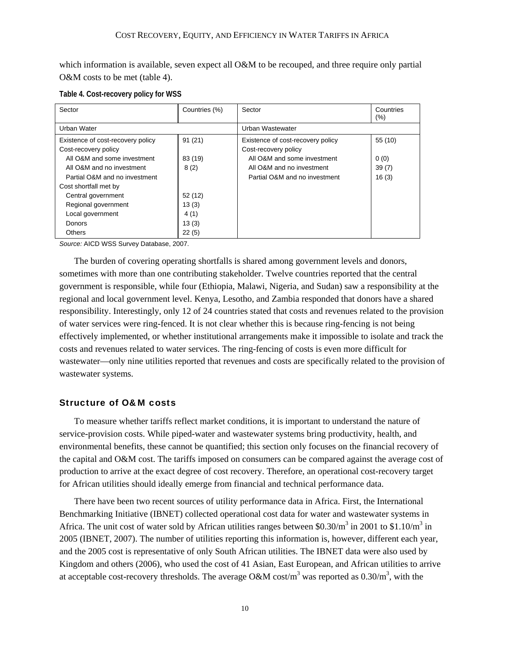which information is available, seven expect all O&M to be recouped, and three require only partial O&M costs to be met (table 4).

| Sector                            | Countries (%) | Sector                            | Countries<br>$(\% )$ |
|-----------------------------------|---------------|-----------------------------------|----------------------|
| Urban Water                       |               | Urban Wastewater                  |                      |
| Existence of cost-recovery policy | 91(21)        | Existence of cost-recovery policy | 55 (10)              |
| Cost-recovery policy              |               | Cost-recovery policy              |                      |
| All O&M and some investment       | 83 (19)       | All O&M and some investment       | 0(0)                 |
| All O&M and no investment         | 8(2)          | All O&M and no investment         | 39(7)                |
| Partial O&M and no investment     |               | Partial O&M and no investment     | 16(3)                |
| Cost shortfall met by             |               |                                   |                      |
| Central government                | 52 (12)       |                                   |                      |
| Regional government               | 13(3)         |                                   |                      |
| Local government                  | 4(1)          |                                   |                      |
| Donors                            | 13(3)         |                                   |                      |
| <b>Others</b>                     | 22(5)         |                                   |                      |

**Table 4. Cost-recovery policy for WSS** 

*Source:* AICD WSS Survey Database, 2007.

The burden of covering operating shortfalls is shared among government levels and donors, sometimes with more than one contributing stakeholder. Twelve countries reported that the central government is responsible, while four (Ethiopia, Malawi, Nigeria, and Sudan) saw a responsibility at the regional and local government level. Kenya, Lesotho, and Zambia responded that donors have a shared responsibility. Interestingly, only 12 of 24 countries stated that costs and revenues related to the provision of water services were ring-fenced. It is not clear whether this is because ring-fencing is not being effectively implemented, or whether institutional arrangements make it impossible to isolate and track the costs and revenues related to water services. The ring-fencing of costs is even more difficult for wastewater—only nine utilities reported that revenues and costs are specifically related to the provision of wastewater systems.

#### Structure of O&M costs

To measure whether tariffs reflect market conditions, it is important to understand the nature of service-provision costs. While piped-water and wastewater systems bring productivity, health, and environmental benefits, these cannot be quantified; this section only focuses on the financial recovery of the capital and O&M cost. The tariffs imposed on consumers can be compared against the average cost of production to arrive at the exact degree of cost recovery. Therefore, an operational cost-recovery target for African utilities should ideally emerge from financial and technical performance data.

There have been two recent sources of utility performance data in Africa. First, the International Benchmarking Initiative (IBNET) collected operational cost data for water and wastewater systems in Africa. The unit cost of water sold by African utilities ranges between \$0.30/ $m^3$  in 2001 to \$1.10/ $m^3$  in 2005 (IBNET, 2007). The number of utilities reporting this information is, however, different each year, and the 2005 cost is representative of only South African utilities. The IBNET data were also used by Kingdom and others (2006), who used the cost of 41 Asian, East European, and African utilities to arrive at acceptable cost-recovery thresholds. The average O&M cost/m<sup>3</sup> was reported as  $0.30/m^3$ , with the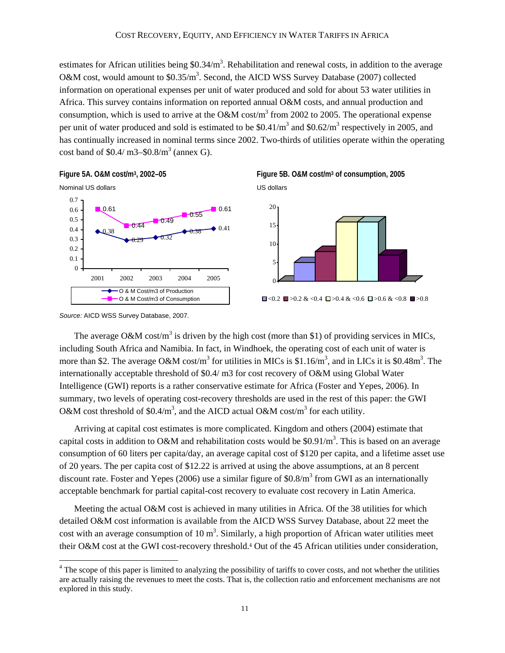estimates for African utilities being  $$0.34/m^3$ . Rehabilitation and renewal costs, in addition to the average O&M cost, would amount to  $$0.35/m^3$ . Second, the AICD WSS Survey Database (2007) collected information on operational expenses per unit of water produced and sold for about 53 water utilities in Africa. This survey contains information on reported annual O&M costs, and annual production and consumption, which is used to arrive at the O&M cost/m<sup>3</sup> from 2002 to 2005. The operational expense per unit of water produced and sold is estimated to be  $$0.41/m<sup>3</sup>$  and  $$0.62/m<sup>3</sup>$  respectively in 2005, and has continually increased in nominal terms since 2002. Two-thirds of utilities operate within the operating cost band of  $$0.4/m3 - $0.8/m<sup>3</sup>$  (annex G).









 $\Box$ <0.2  $\Box$ >0.2 & <0.4  $\Box$ >0.4 & <0.6  $\Box$ >0.6 & <0.8  $\Box$ >0.8

*Source:* AICD WSS Survey Database, 2007.

 $\overline{a}$ 

The average O&M cost/m<sup>3</sup> is driven by the high cost (more than \$1) of providing services in MICs, including South Africa and Namibia. In fact, in Windhoek, the operating cost of each unit of water is more than \$2. The average O&M cost/m<sup>3</sup> for utilities in MICs is \$1.16/m<sup>3</sup>, and in LICs it is \$0.48m<sup>3</sup>. The internationally acceptable threshold of \$0.4/ m3 for cost recovery of O&M using Global Water Intelligence (GWI) reports is a rather conservative estimate for Africa (Foster and Yepes, 2006). In summary, two levels of operating cost-recovery thresholds are used in the rest of this paper: the GWI O&M cost threshold of \$0.4/m<sup>3</sup>, and the AICD actual O&M cost/m<sup>3</sup> for each utility.

Arriving at capital cost estimates is more complicated. Kingdom and others (2004) estimate that capital costs in addition to O&M and rehabilitation costs would be \$0.91/ $m<sup>3</sup>$ . This is based on an average consumption of 60 liters per capita/day, an average capital cost of \$120 per capita, and a lifetime asset use of 20 years. The per capita cost of \$12.22 is arrived at using the above assumptions, at an 8 percent discount rate. Foster and Yepes (2006) use a similar figure of \$0.8/ $m<sup>3</sup>$  from GWI as an internationally acceptable benchmark for partial capital-cost recovery to evaluate cost recovery in Latin America.

Meeting the actual O&M cost is achieved in many utilities in Africa. Of the 38 utilities for which detailed O&M cost information is available from the AICD WSS Survey Database, about 22 meet the cost with an average consumption of 10  $m<sup>3</sup>$ . Similarly, a high proportion of African water utilities meet their O&M cost at the GWI cost-recovery threshold.4 Out of the 45 African utilities under consideration,

<sup>&</sup>lt;sup>4</sup> The scope of this paper is limited to analyzing the possibility of tariffs to cover costs, and not whether the utilities are actually raising the revenues to meet the costs. That is, the collection ratio and enforcement mechanisms are not explored in this study.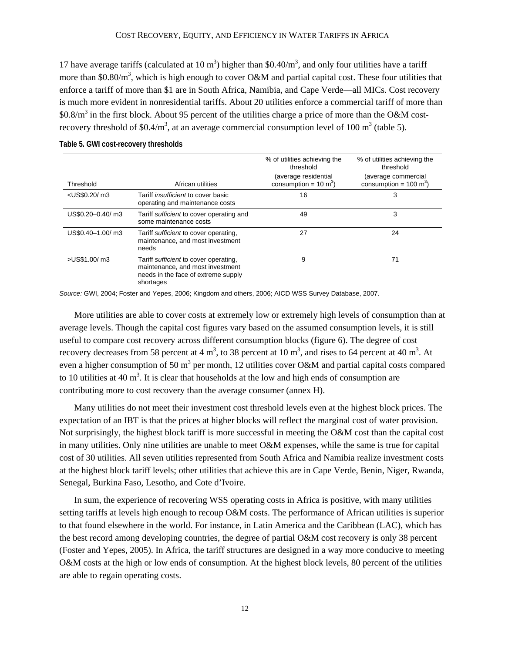17 have average tariffs (calculated at 10  $m<sup>3</sup>$ ) higher than \$0.40/ $m<sup>3</sup>$ , and only four utilities have a tariff more than \$0.80/ $m<sup>3</sup>$ , which is high enough to cover O&M and partial capital cost. These four utilities that enforce a tariff of more than \$1 are in South Africa, Namibia, and Cape Verde—all MICs. Cost recovery is much more evident in nonresidential tariffs. About 20 utilities enforce a commercial tariff of more than  $$0.8/m<sup>3</sup>$  in the first block. About 95 percent of the utilities charge a price of more than the O&M costrecovery threshold of \$0.4/m<sup>3</sup>, at an average commercial consumption level of 100 m<sup>3</sup> (table 5).

|                                                                                                                                               |                                                                                                                               | % of utilities achieving the<br>threshold                | % of utilities achieving the<br>threshold                |
|-----------------------------------------------------------------------------------------------------------------------------------------------|-------------------------------------------------------------------------------------------------------------------------------|----------------------------------------------------------|----------------------------------------------------------|
| Threshold                                                                                                                                     | African utilities                                                                                                             | (average residential<br>consumption = $10 \text{ m}^3$ ) | (average commercial<br>consumption = $100 \text{ m}^3$ ) |
| <us\$0.20 m3<="" td=""><td>Tariff <i>insufficient</i> to cover basic<br/>operating and maintenance costs</td><td>16</td><td>3</td></us\$0.20> | Tariff <i>insufficient</i> to cover basic<br>operating and maintenance costs                                                  | 16                                                       | 3                                                        |
| US\$0.20-0.40/ m3                                                                                                                             | Tariff sufficient to cover operating and<br>some maintenance costs                                                            | 49                                                       | 3                                                        |
| US\$0.40-1.00/ m3                                                                                                                             | Tariff sufficient to cover operating,<br>maintenance, and most investment<br>needs                                            | 27                                                       | 24                                                       |
| >US\$1.00/ m3                                                                                                                                 | Tariff sufficient to cover operating,<br>maintenance, and most investment<br>needs in the face of extreme supply<br>shortages | 9                                                        | 71                                                       |

#### **Table 5. GWI cost-recovery thresholds**

*Source:* GWI, 2004; Foster and Yepes, 2006; Kingdom and others, 2006; AICD WSS Survey Database, 2007.

More utilities are able to cover costs at extremely low or extremely high levels of consumption than at average levels. Though the capital cost figures vary based on the assumed consumption levels, it is still useful to compare cost recovery across different consumption blocks (figure 6). The degree of cost recovery decreases from 58 percent at 4 m<sup>3</sup>, to 38 percent at 10 m<sup>3</sup>, and rises to 64 percent at 40 m<sup>3</sup>. At even a higher consumption of 50 m<sup>3</sup> per month, 12 utilities cover O&M and partial capital costs compared to 10 utilities at 40  $m<sup>3</sup>$ . It is clear that households at the low and high ends of consumption are contributing more to cost recovery than the average consumer (annex H).

Many utilities do not meet their investment cost threshold levels even at the highest block prices. The expectation of an IBT is that the prices at higher blocks will reflect the marginal cost of water provision. Not surprisingly, the highest block tariff is more successful in meeting the O&M cost than the capital cost in many utilities. Only nine utilities are unable to meet O&M expenses, while the same is true for capital cost of 30 utilities. All seven utilities represented from South Africa and Namibia realize investment costs at the highest block tariff levels; other utilities that achieve this are in Cape Verde, Benin, Niger, Rwanda, Senegal, Burkina Faso, Lesotho, and Cote d'Ivoire.

In sum, the experience of recovering WSS operating costs in Africa is positive, with many utilities setting tariffs at levels high enough to recoup O&M costs. The performance of African utilities is superior to that found elsewhere in the world. For instance, in Latin America and the Caribbean (LAC), which has the best record among developing countries, the degree of partial O&M cost recovery is only 38 percent (Foster and Yepes, 2005). In Africa, the tariff structures are designed in a way more conducive to meeting O&M costs at the high or low ends of consumption. At the highest block levels, 80 percent of the utilities are able to regain operating costs.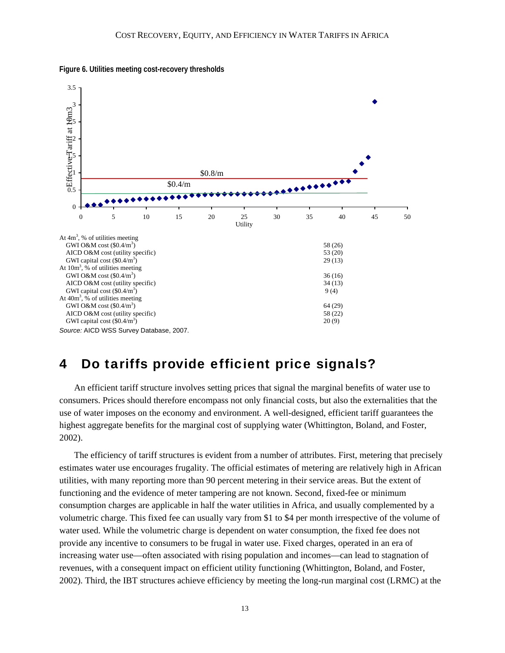

**Figure 6. Utilities meeting cost-recovery thresholds** 

### 4 Do tariffs provide efficient price signals?

An efficient tariff structure involves setting prices that signal the marginal benefits of water use to consumers. Prices should therefore encompass not only financial costs, but also the externalities that the use of water imposes on the economy and environment. A well-designed, efficient tariff guarantees the highest aggregate benefits for the marginal cost of supplying water (Whittington, Boland, and Foster, 2002).

The efficiency of tariff structures is evident from a number of attributes. First, metering that precisely estimates water use encourages frugality. The official estimates of metering are relatively high in African utilities, with many reporting more than 90 percent metering in their service areas. But the extent of functioning and the evidence of meter tampering are not known. Second, fixed-fee or minimum consumption charges are applicable in half the water utilities in Africa, and usually complemented by a volumetric charge. This fixed fee can usually vary from \$1 to \$4 per month irrespective of the volume of water used. While the volumetric charge is dependent on water consumption, the fixed fee does not provide any incentive to consumers to be frugal in water use. Fixed charges, operated in an era of increasing water use—often associated with rising population and incomes—can lead to stagnation of revenues, with a consequent impact on efficient utility functioning (Whittington, Boland, and Foster, 2002). Third, the IBT structures achieve efficiency by meeting the long-run marginal cost (LRMC) at the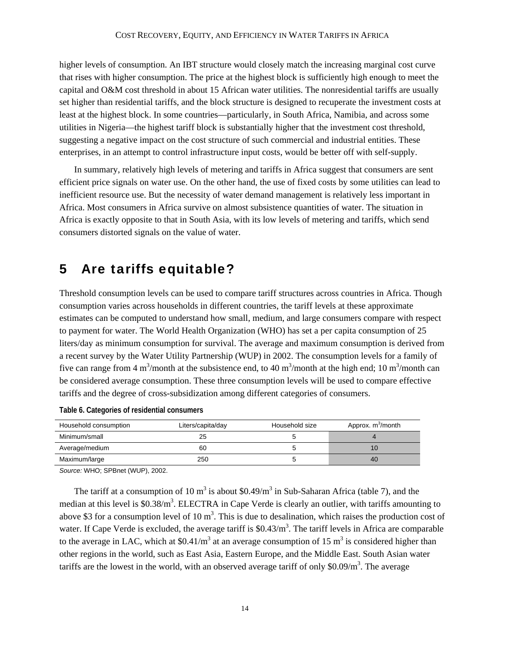higher levels of consumption. An IBT structure would closely match the increasing marginal cost curve that rises with higher consumption. The price at the highest block is sufficiently high enough to meet the capital and O&M cost threshold in about 15 African water utilities. The nonresidential tariffs are usually set higher than residential tariffs, and the block structure is designed to recuperate the investment costs at least at the highest block. In some countries—particularly, in South Africa, Namibia, and across some utilities in Nigeria—the highest tariff block is substantially higher that the investment cost threshold, suggesting a negative impact on the cost structure of such commercial and industrial entities. These enterprises, in an attempt to control infrastructure input costs, would be better off with self-supply.

In summary, relatively high levels of metering and tariffs in Africa suggest that consumers are sent efficient price signals on water use. On the other hand, the use of fixed costs by some utilities can lead to inefficient resource use. But the necessity of water demand management is relatively less important in Africa. Most consumers in Africa survive on almost subsistence quantities of water. The situation in Africa is exactly opposite to that in South Asia, with its low levels of metering and tariffs, which send consumers distorted signals on the value of water.

### 5 Are tariffs equitable?

Threshold consumption levels can be used to compare tariff structures across countries in Africa. Though consumption varies across households in different countries, the tariff levels at these approximate estimates can be computed to understand how small, medium, and large consumers compare with respect to payment for water. The World Health Organization (WHO) has set a per capita consumption of 25 liters/day as minimum consumption for survival. The average and maximum consumption is derived from a recent survey by the Water Utility Partnership (WUP) in 2002. The consumption levels for a family of five can range from 4 m<sup>3</sup>/month at the subsistence end, to 40 m<sup>3</sup>/month at the high end; 10 m<sup>3</sup>/month can be considered average consumption. These three consumption levels will be used to compare effective tariffs and the degree of cross-subsidization among different categories of consumers.

| Household consumption | Liters/capita/day | Household size | Approx. m <sup>3</sup> /month |
|-----------------------|-------------------|----------------|-------------------------------|
| Minimum/small         | 25                |                |                               |
| Average/medium        | 60                |                |                               |
| Maximum/large         | 250               |                | 40                            |

| Table 6. Categories of residential consumers |  |  |  |  |
|----------------------------------------------|--|--|--|--|
|----------------------------------------------|--|--|--|--|

*Source:* WHO; SPBnet (WUP), 2002.

The tariff at a consumption of 10 m<sup>3</sup> is about \$0.49/m<sup>3</sup> in Sub-Saharan Africa (table 7), and the median at this level is \$0.38/m<sup>3</sup>. ELECTRA in Cape Verde is clearly an outlier, with tariffs amounting to above \$3 for a consumption level of 10  $m<sup>3</sup>$ . This is due to desalination, which raises the production cost of water. If Cape Verde is excluded, the average tariff is \$0.43/m<sup>3</sup>. The tariff levels in Africa are comparable to the average in LAC, which at \$0.41/m<sup>3</sup> at an average consumption of 15 m<sup>3</sup> is considered higher than other regions in the world, such as East Asia, Eastern Europe, and the Middle East. South Asian water tariffs are the lowest in the world, with an observed average tariff of only  $0.09/m<sup>3</sup>$ . The average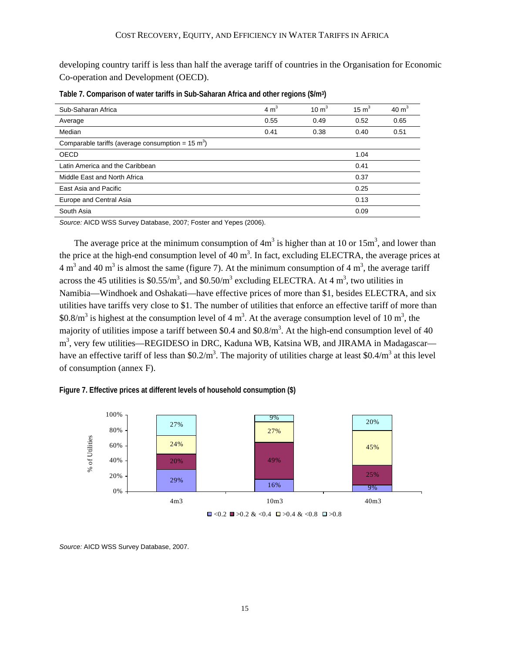developing country tariff is less than half the average tariff of countries in the Organisation for Economic Co-operation and Development (OECD).

| Sub-Saharan Africa                                           | 4 m <sup>3</sup> | $10 \text{ m}^3$ | $15 \text{ m}^3$ | $40 \text{ m}^3$ |
|--------------------------------------------------------------|------------------|------------------|------------------|------------------|
| Average                                                      | 0.55             | 0.49             | 0.52             | 0.65             |
| Median                                                       | 0.41             | 0.38             | 0.40             | 0.51             |
| Comparable tariffs (average consumption = $15 \text{ m}^3$ ) |                  |                  |                  |                  |
| <b>OECD</b>                                                  |                  |                  | 1.04             |                  |
| Latin America and the Caribbean                              |                  |                  | 0.41             |                  |
| Middle East and North Africa                                 |                  |                  | 0.37             |                  |
| East Asia and Pacific                                        |                  |                  | 0.25             |                  |
| Europe and Central Asia                                      |                  |                  | 0.13             |                  |
| South Asia                                                   |                  |                  | 0.09             |                  |

**Table 7. Comparison of water tariffs in Sub-Saharan Africa and other regions (\$/m3)** 

*Source:* AICD WSS Survey Database, 2007; Foster and Yepes (2006).

The average price at the minimum consumption of  $4m<sup>3</sup>$  is higher than at 10 or 15 $m<sup>3</sup>$ , and lower than the price at the high-end consumption level of 40  $m<sup>3</sup>$ . In fact, excluding ELECTRA, the average prices at 4 m<sup>3</sup> and 40 m<sup>3</sup> is almost the same (figure 7). At the minimum consumption of 4 m<sup>3</sup>, the average tariff across the 45 utilities is \$0.55/ $m^3$ , and \$0.50/ $m^3$  excluding ELECTRA. At 4  $m^3$ , two utilities in Namibia—Windhoek and Oshakati—have effective prices of more than \$1, besides ELECTRA, and six utilities have tariffs very close to \$1. The number of utilities that enforce an effective tariff of more than \$0.8/ $m<sup>3</sup>$  is highest at the consumption level of 4 m<sup>3</sup>. At the average consumption level of 10 m<sup>3</sup>, the majority of utilities impose a tariff between \$0.4 and  $$0.8/m<sup>3</sup>$ . At the high-end consumption level of 40 m<sup>3</sup>, very few utilities—REGIDESO in DRC, Kaduna WB, Katsina WB, and JIRAMA in Madagascar have an effective tariff of less than \$0.2/m<sup>3</sup>. The majority of utilities charge at least \$0.4/m<sup>3</sup> at this level of consumption (annex F).





*Source:* AICD WSS Survey Database, 2007.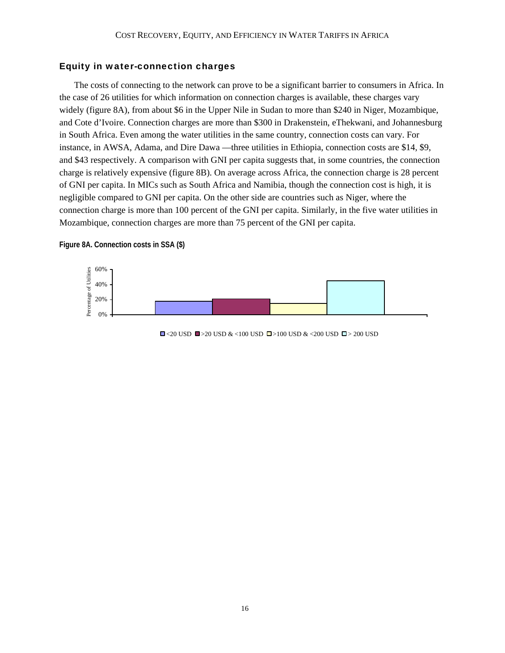#### Equity in water-connection charges

The costs of connecting to the network can prove to be a significant barrier to consumers in Africa. In the case of 26 utilities for which information on connection charges is available, these charges vary widely (figure 8A), from about \$6 in the Upper Nile in Sudan to more than \$240 in Niger, Mozambique, and Cote d'Ivoire. Connection charges are more than \$300 in Drakenstein, eThekwani, and Johannesburg in South Africa. Even among the water utilities in the same country, connection costs can vary. For instance, in AWSA, Adama, and Dire Dawa —three utilities in Ethiopia, connection costs are \$14, \$9, and \$43 respectively. A comparison with GNI per capita suggests that, in some countries, the connection charge is relatively expensive (figure 8B). On average across Africa, the connection charge is 28 percent of GNI per capita. In MICs such as South Africa and Namibia, though the connection cost is high, it is negligible compared to GNI per capita. On the other side are countries such as Niger, where the connection charge is more than 100 percent of the GNI per capita. Similarly, in the five water utilities in Mozambique, connection charges are more than 75 percent of the GNI per capita.

#### **Figure 8A. Connection costs in SSA (\$)**



 $\Box$ <20 USD  $\Box$ >20 USD & <100 USD  $\Box$ >100 USD & <200 USD  $\Box$ >200 USD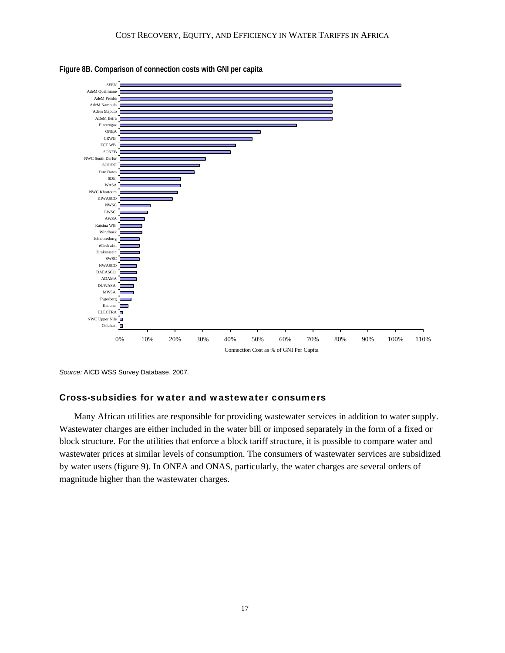



*Source:* AICD WSS Survey Database, 2007.

#### Cross-subsidies for water and wastewater consumers

Many African utilities are responsible for providing wastewater services in addition to water supply. Wastewater charges are either included in the water bill or imposed separately in the form of a fixed or block structure. For the utilities that enforce a block tariff structure, it is possible to compare water and wastewater prices at similar levels of consumption. The consumers of wastewater services are subsidized by water users (figure 9). In ONEA and ONAS, particularly, the water charges are several orders of magnitude higher than the wastewater charges.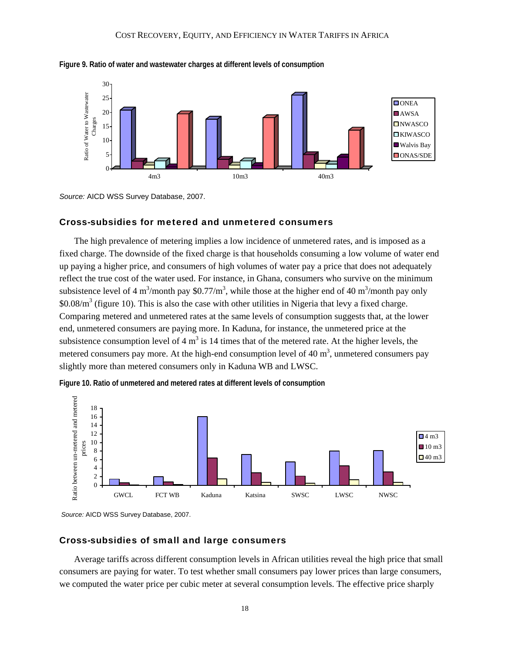



*Source:* AICD WSS Survey Database, 2007.

#### Cross-subsidies for metered and unmetered consumers

The high prevalence of metering implies a low incidence of unmetered rates, and is imposed as a fixed charge. The downside of the fixed charge is that households consuming a low volume of water end up paying a higher price, and consumers of high volumes of water pay a price that does not adequately reflect the true cost of the water used. For instance, in Ghana, consumers who survive on the minimum subsistence level of 4 m<sup>3</sup>/month pay \$0.77/m<sup>3</sup>, while those at the higher end of 40 m<sup>3</sup>/month pay only  $$0.08/m<sup>3</sup>$  (figure 10). This is also the case with other utilities in Nigeria that levy a fixed charge. Comparing metered and unmetered rates at the same levels of consumption suggests that, at the lower end, unmetered consumers are paying more. In Kaduna, for instance, the unmetered price at the subsistence consumption level of 4  $m<sup>3</sup>$  is 14 times that of the metered rate. At the higher levels, the metered consumers pay more. At the high-end consumption level of 40  $m<sup>3</sup>$ , unmetered consumers pay slightly more than metered consumers only in Kaduna WB and LWSC.



**Figure 10. Ratio of unmetered and metered rates at different levels of consumption** 

*Source:* AICD WSS Survey Database, 2007.

#### Cross-subsidies of small and large consumers

Average tariffs across different consumption levels in African utilities reveal the high price that small consumers are paying for water. To test whether small consumers pay lower prices than large consumers, we computed the water price per cubic meter at several consumption levels. The effective price sharply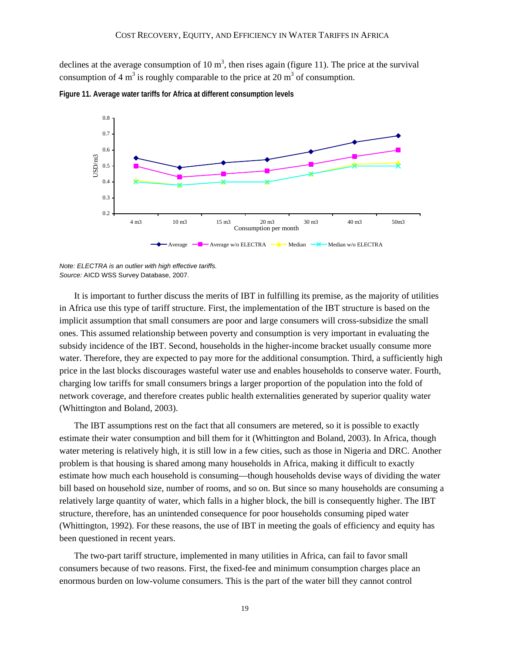declines at the average consumption of 10  $m<sup>3</sup>$ , then rises again (figure 11). The price at the survival consumption of 4 m<sup>3</sup> is roughly comparable to the price at 20 m<sup>3</sup> of consumption.



**Figure 11. Average water tariffs for Africa at different consumption levels** 

It is important to further discuss the merits of IBT in fulfilling its premise, as the majority of utilities in Africa use this type of tariff structure. First, the implementation of the IBT structure is based on the implicit assumption that small consumers are poor and large consumers will cross-subsidize the small ones. This assumed relationship between poverty and consumption is very important in evaluating the subsidy incidence of the IBT. Second, households in the higher-income bracket usually consume more water. Therefore, they are expected to pay more for the additional consumption. Third, a sufficiently high price in the last blocks discourages wasteful water use and enables households to conserve water. Fourth, charging low tariffs for small consumers brings a larger proportion of the population into the fold of network coverage, and therefore creates public health externalities generated by superior quality water (Whittington and Boland, 2003).

The IBT assumptions rest on the fact that all consumers are metered, so it is possible to exactly estimate their water consumption and bill them for it (Whittington and Boland, 2003). In Africa, though water metering is relatively high, it is still low in a few cities, such as those in Nigeria and DRC. Another problem is that housing is shared among many households in Africa, making it difficult to exactly estimate how much each household is consuming—though households devise ways of dividing the water bill based on household size, number of rooms, and so on. But since so many households are consuming a relatively large quantity of water, which falls in a higher block, the bill is consequently higher. The IBT structure, therefore, has an unintended consequence for poor households consuming piped water (Whittington, 1992). For these reasons, the use of IBT in meeting the goals of efficiency and equity has been questioned in recent years.

The two-part tariff structure, implemented in many utilities in Africa, can fail to favor small consumers because of two reasons. First, the fixed-fee and minimum consumption charges place an enormous burden on low-volume consumers. This is the part of the water bill they cannot control

*Note: ELECTRA is an outlier with high effective tariffs. Source:* AICD WSS Survey Database, 2007.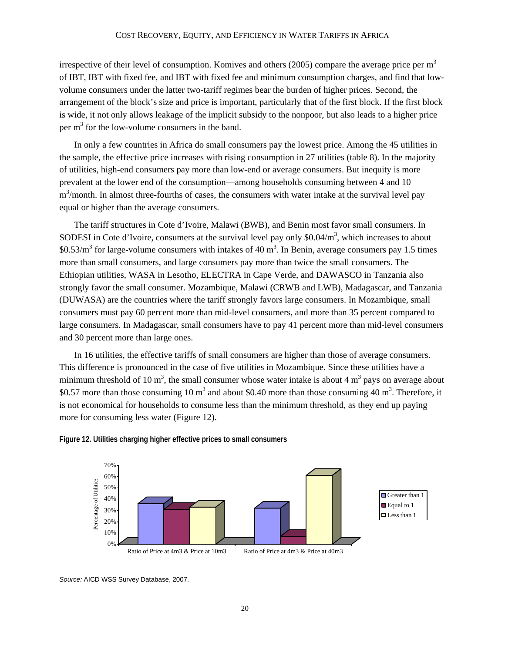irrespective of their level of consumption. Komives and others (2005) compare the average price per  $m<sup>3</sup>$ of IBT, IBT with fixed fee, and IBT with fixed fee and minimum consumption charges, and find that lowvolume consumers under the latter two-tariff regimes bear the burden of higher prices. Second, the arrangement of the block's size and price is important, particularly that of the first block. If the first block is wide, it not only allows leakage of the implicit subsidy to the nonpoor, but also leads to a higher price per  $m<sup>3</sup>$  for the low-volume consumers in the band.

In only a few countries in Africa do small consumers pay the lowest price. Among the 45 utilities in the sample, the effective price increases with rising consumption in 27 utilities (table 8). In the majority of utilities, high-end consumers pay more than low-end or average consumers. But inequity is more prevalent at the lower end of the consumption—among households consuming between 4 and 10 m<sup>3</sup>/month. In almost three-fourths of cases, the consumers with water intake at the survival level pay equal or higher than the average consumers.

The tariff structures in Cote d'Ivoire, Malawi (BWB), and Benin most favor small consumers. In SODESI in Cote d'Ivoire, consumers at the survival level pay only  $$0.04/m<sup>3</sup>$ , which increases to about \$0.53/ $\text{m}^3$  for large-volume consumers with intakes of 40  $\text{m}^3$ . In Benin, average consumers pay 1.5 times more than small consumers, and large consumers pay more than twice the small consumers. The Ethiopian utilities, WASA in Lesotho, ELECTRA in Cape Verde, and DAWASCO in Tanzania also strongly favor the small consumer. Mozambique, Malawi (CRWB and LWB), Madagascar, and Tanzania (DUWASA) are the countries where the tariff strongly favors large consumers. In Mozambique, small consumers must pay 60 percent more than mid-level consumers, and more than 35 percent compared to large consumers. In Madagascar, small consumers have to pay 41 percent more than mid-level consumers and 30 percent more than large ones.

In 16 utilities, the effective tariffs of small consumers are higher than those of average consumers. This difference is pronounced in the case of five utilities in Mozambique. Since these utilities have a minimum threshold of 10 m<sup>3</sup>, the small consumer whose water intake is about 4 m<sup>3</sup> pays on average about \$0.57 more than those consuming 10  $m<sup>3</sup>$  and about \$0.40 more than those consuming 40  $m<sup>3</sup>$ . Therefore, it is not economical for households to consume less than the minimum threshold, as they end up paying more for consuming less water (Figure 12).



**Figure 12. Utilities charging higher effective prices to small consumers** 

*Source:* AICD WSS Survey Database, 2007.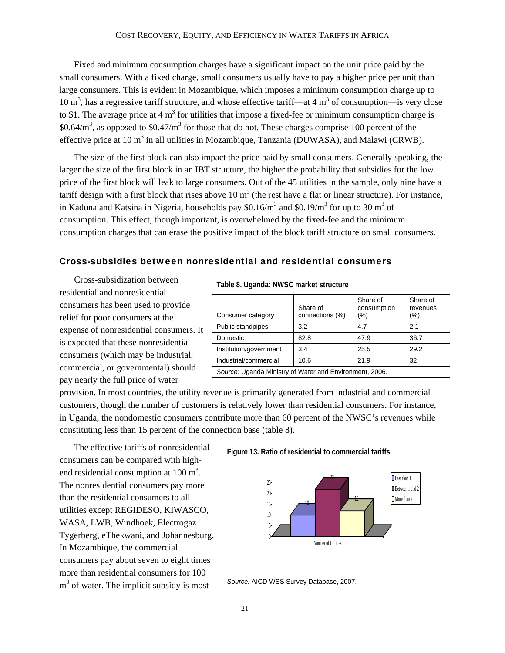Fixed and minimum consumption charges have a significant impact on the unit price paid by the small consumers. With a fixed charge, small consumers usually have to pay a higher price per unit than large consumers. This is evident in Mozambique, which imposes a minimum consumption charge up to 10  $m<sup>3</sup>$ , has a regressive tariff structure, and whose effective tariff—at 4  $m<sup>3</sup>$  of consumption—is very close to \$1. The average price at 4  $m<sup>3</sup>$  for utilities that impose a fixed-fee or minimum consumption charge is \$0.64/ $m<sup>3</sup>$ , as opposed to \$0.47/ $m<sup>3</sup>$  for those that do not. These charges comprise 100 percent of the effective price at 10  $m^3$  in all utilities in Mozambique, Tanzania (DUWASA), and Malawi (CRWB).

The size of the first block can also impact the price paid by small consumers. Generally speaking, the larger the size of the first block in an IBT structure, the higher the probability that subsidies for the low price of the first block will leak to large consumers. Out of the 45 utilities in the sample, only nine have a tariff design with a first block that rises above 10  $m<sup>3</sup>$  (the rest have a flat or linear structure). For instance, in Kaduna and Katsina in Nigeria, households pay \$0.16/ $m<sup>3</sup>$  and \$0.19/ $m<sup>3</sup>$  for up to 30  $m<sup>3</sup>$  of consumption. This effect, though important, is overwhelmed by the fixed-fee and the minimum consumption charges that can erase the positive impact of the block tariff structure on small consumers.

#### Cross-subsidies between nonresidential and residential consumers

Cross-subsidization between residential and nonresidential consumers has been used to provide relief for poor consumers at the expense of nonresidential consumers. It is expected that these nonresidential consumers (which may be industrial, commercial, or governmental) should pay nearly the full price of water

**Table 8. Uganda: NWSC market structure** 

| Consumer category                                       | Share of<br>connections (%) | Share of<br>consumption<br>(%) | Share of<br>revenues<br>(%) |  |  |
|---------------------------------------------------------|-----------------------------|--------------------------------|-----------------------------|--|--|
| Public standpipes                                       | 3.2                         | 4.7                            | 2.1                         |  |  |
| Domestic                                                | 82.8                        | 47.9                           | 36.7                        |  |  |
| Institution/government                                  | 3.4                         | 25.5                           | 29.2                        |  |  |
| Industrial/commercial                                   | 10.6                        | 21.9                           | 32                          |  |  |
| Source: Uganda Ministry of Water and Environment, 2006. |                             |                                |                             |  |  |

provision. In most countries, the utility revenue is primarily generated from industrial and commercial customers, though the number of customers is relatively lower than residential consumers. For instance, in Uganda, the nondomestic consumers contribute more than 60 percent of the NWSC's revenues while constituting less than 15 percent of the connection base (table 8).

The effective tariffs of nonresidential consumers can be compared with highend residential consumption at  $100 \text{ m}^3$ . The nonresidential consumers pay more than the residential consumers to all utilities except REGIDESO, KIWASCO, WASA, LWB, Windhoek, Electrogaz Tygerberg, eThekwani, and Johannesburg. In Mozambique, the commercial consumers pay about seven to eight times more than residential consumers for 100  $m<sup>3</sup>$  of water. The implicit subsidy is most

**Figure 13. Ratio of residential to commercial tariffs** 



*Source:* AICD WSS Survey Database, 2007.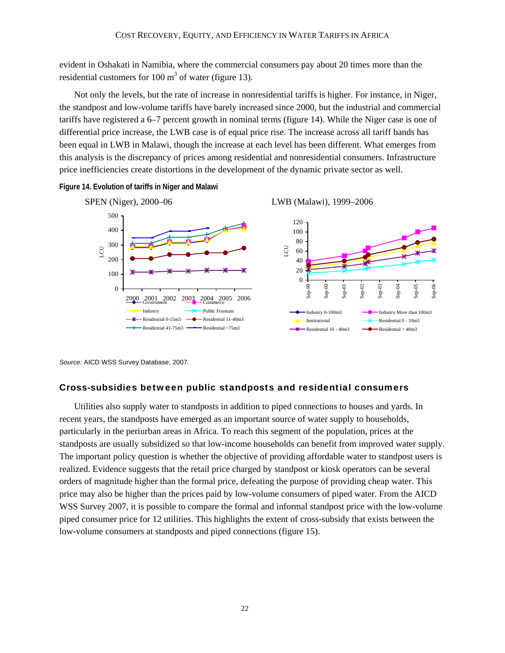evident in Oshakati in Namibia, where the commercial consumers pay about 20 times more than the residential customers for 100  $m<sup>3</sup>$  of water (figure 13).

Not only the levels, but the rate of increase in nonresidential tariffs is higher. For instance, in Niger, the standpost and low-volume tariffs have barely increased since 2000, but the industrial and commercial tariffs have registered a 6–7 percent growth in nominal terms (figure 14). While the Niger case is one of differential price increase, the LWB case is of equal price rise. The increase across all tariff bands has been equal in LWB in Malawi, though the increase at each level has been different. What emerges from this analysis is the discrepancy of prices among residential and nonresidential consumers. Infrastructure price inefficiencies create distortions in the development of the dynamic private sector as well.

**Figure 14. Evolution of tariffs in Niger and Malawi** 



*Source:* AICD WSS Survey Database, 2007.

#### Cross-subsidies between public standposts and residential consumers

Utilities also supply water to standposts in addition to piped connections to houses and yards. In recent years, the standposts have emerged as an important source of water supply to households, particularly in the periurban areas in Africa. To reach this segment of the population, prices at the standposts are usually subsidized so that low-income households can benefit from improved water supply. The important policy question is whether the objective of providing affordable water to standpost users is realized. Evidence suggests that the retail price charged by standpost or kiosk operators can be several orders of magnitude higher than the formal price, defeating the purpose of providing cheap water. This price may also be higher than the prices paid by low-volume consumers of piped water. From the AICD WSS Survey 2007, it is possible to compare the formal and informal standpost price with the low-volume piped consumer price for 12 utilities. This highlights the extent of cross-subsidy that exists between the low-volume consumers at standposts and piped connections (figure 15).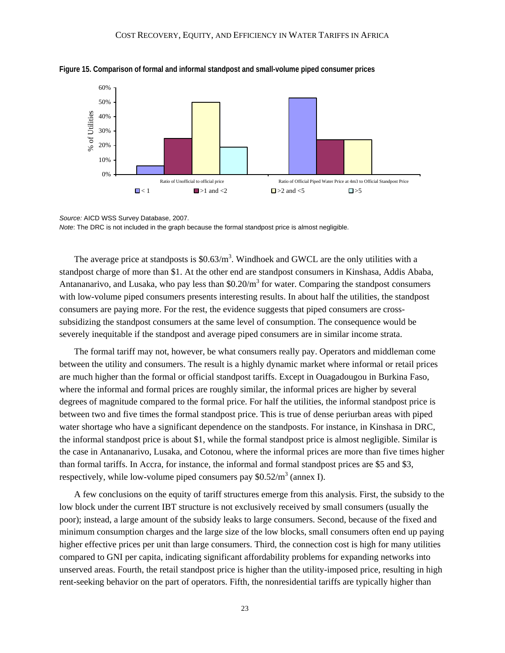

**Figure 15. Comparison of formal and informal standpost and small-volume piped consumer prices** 

*Source:* AICD WSS Survey Database, 2007. *Note*: The DRC is not included in the graph because the formal standpost price is almost negligible.

The average price at standposts is  $$0.63/m<sup>3</sup>$ . Windhoek and GWCL are the only utilities with a standpost charge of more than \$1. At the other end are standpost consumers in Kinshasa, Addis Ababa, Antananarivo, and Lusaka, who pay less than  $$0.20/m<sup>3</sup>$  for water. Comparing the standpost consumers with low-volume piped consumers presents interesting results. In about half the utilities, the standpost consumers are paying more. For the rest, the evidence suggests that piped consumers are crosssubsidizing the standpost consumers at the same level of consumption. The consequence would be severely inequitable if the standpost and average piped consumers are in similar income strata.

The formal tariff may not, however, be what consumers really pay. Operators and middleman come between the utility and consumers. The result is a highly dynamic market where informal or retail prices are much higher than the formal or official standpost tariffs. Except in Ouagadougou in Burkina Faso, where the informal and formal prices are roughly similar, the informal prices are higher by several degrees of magnitude compared to the formal price. For half the utilities, the informal standpost price is between two and five times the formal standpost price. This is true of dense periurban areas with piped water shortage who have a significant dependence on the standposts. For instance, in Kinshasa in DRC, the informal standpost price is about \$1, while the formal standpost price is almost negligible. Similar is the case in Antananarivo, Lusaka, and Cotonou, where the informal prices are more than five times higher than formal tariffs. In Accra, for instance, the informal and formal standpost prices are \$5 and \$3, respectively, while low-volume piped consumers pay  $$0.52/m<sup>3</sup>$  (annex I).

A few conclusions on the equity of tariff structures emerge from this analysis. First, the subsidy to the low block under the current IBT structure is not exclusively received by small consumers (usually the poor); instead, a large amount of the subsidy leaks to large consumers. Second, because of the fixed and minimum consumption charges and the large size of the low blocks, small consumers often end up paying higher effective prices per unit than large consumers. Third, the connection cost is high for many utilities compared to GNI per capita, indicating significant affordability problems for expanding networks into unserved areas. Fourth, the retail standpost price is higher than the utility-imposed price, resulting in high rent-seeking behavior on the part of operators. Fifth, the nonresidential tariffs are typically higher than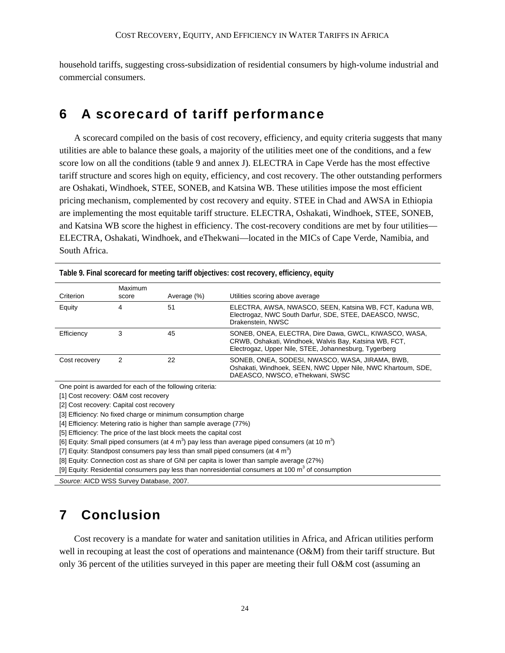household tariffs, suggesting cross-subsidization of residential consumers by high-volume industrial and commercial consumers.

### 6 A scorecard of tariff performance

A scorecard compiled on the basis of cost recovery, efficiency, and equity criteria suggests that many utilities are able to balance these goals, a majority of the utilities meet one of the conditions, and a few score low on all the conditions (table 9 and annex J). ELECTRA in Cape Verde has the most effective tariff structure and scores high on equity, efficiency, and cost recovery. The other outstanding performers are Oshakati, Windhoek, STEE, SONEB, and Katsina WB. These utilities impose the most efficient pricing mechanism, complemented by cost recovery and equity. STEE in Chad and AWSA in Ethiopia are implementing the most equitable tariff structure. ELECTRA, Oshakati, Windhoek, STEE, SONEB, and Katsina WB score the highest in efficiency. The cost-recovery conditions are met by four utilities— ELECTRA, Oshakati, Windhoek, and eThekwani—located in the MICs of Cape Verde, Namibia, and South Africa.

|               |                  |             | Table 9. Final scorecard for meeting tariif objectives: cost recovery, efficiency, equity                                                                                |
|---------------|------------------|-------------|--------------------------------------------------------------------------------------------------------------------------------------------------------------------------|
| Criterion     | Maximum<br>score | Average (%) | Utilities scoring above average                                                                                                                                          |
| Equity        | 4                | 51          | ELECTRA, AWSA, NWASCO, SEEN, Katsina WB, FCT, Kaduna WB,<br>Electrogaz, NWC South Darfur, SDE, STEE, DAEASCO, NWSC,<br>Drakenstein, NWSC                                 |
| Efficiency    | 3                | 45          | SONEB, ONEA, ELECTRA, Dire Dawa, GWCL, KIWASCO, WASA,<br>CRWB, Oshakati, Windhoek, Walvis Bay, Katsina WB, FCT,<br>Electrogaz, Upper Nile, STEE, Johannesburg, Tygerberg |
| Cost recovery | 2                | 22          | SONEB, ONEA, SODESI, NWASCO, WASA, JIRAMA, BWB,<br>Oshakati, Windhoek, SEEN, NWC Upper Nile, NWC Khartoum, SDE,<br>DAEASCO, NWSCO, eThekwani, SWSC                       |

**Table 9. Final scorecard for meeting tariff objectives: cost recovery, efficiency, equity**

One point is awarded for each of the following criteria:

[1] Cost recovery: O&M cost recovery

[2] Cost recovery: Capital cost recovery

[3] Efficiency: No fixed charge or minimum consumption charge

[4] Efficiency: Metering ratio is higher than sample average (77%)

[5] Efficiency: The price of the last block meets the capital cost

[6] Equity: Small piped consumers (at 4 m<sup>3</sup>) pay less than average piped consumers (at 10 m<sup>3</sup>)

[7] Equity: Standpost consumers pay less than small piped consumers (at 4  $m^3$ )

[8] Equity: Connection cost as share of GNI per capita is lower than sample average (27%)

[9] Equity: Residential consumers pay less than nonresidential consumers at 100 m<sup>3</sup> of consumption

*Source:* AICD WSS Survey Database, 2007.

# 7 Conclusion

Cost recovery is a mandate for water and sanitation utilities in Africa, and African utilities perform well in recouping at least the cost of operations and maintenance (O&M) from their tariff structure. But only 36 percent of the utilities surveyed in this paper are meeting their full O&M cost (assuming an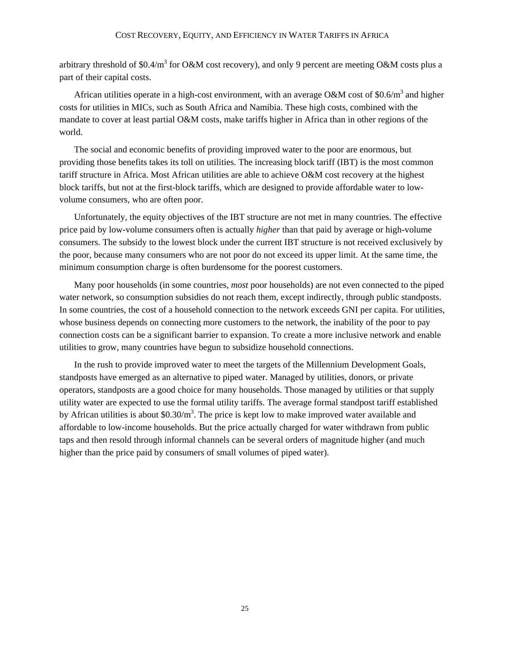arbitrary threshold of \$0.4/m<sup>3</sup> for O&M cost recovery), and only 9 percent are meeting O&M costs plus a part of their capital costs.

African utilities operate in a high-cost environment, with an average O&M cost of \$0.6/ $m<sup>3</sup>$  and higher costs for utilities in MICs, such as South Africa and Namibia. These high costs, combined with the mandate to cover at least partial O&M costs, make tariffs higher in Africa than in other regions of the world.

The social and economic benefits of providing improved water to the poor are enormous, but providing those benefits takes its toll on utilities. The increasing block tariff (IBT) is the most common tariff structure in Africa. Most African utilities are able to achieve O&M cost recovery at the highest block tariffs, but not at the first-block tariffs, which are designed to provide affordable water to lowvolume consumers, who are often poor.

Unfortunately, the equity objectives of the IBT structure are not met in many countries. The effective price paid by low-volume consumers often is actually *higher* than that paid by average or high-volume consumers. The subsidy to the lowest block under the current IBT structure is not received exclusively by the poor, because many consumers who are not poor do not exceed its upper limit. At the same time, the minimum consumption charge is often burdensome for the poorest customers.

Many poor households (in some countries, *most* poor households) are not even connected to the piped water network, so consumption subsidies do not reach them, except indirectly, through public standposts. In some countries, the cost of a household connection to the network exceeds GNI per capita. For utilities, whose business depends on connecting more customers to the network, the inability of the poor to pay connection costs can be a significant barrier to expansion. To create a more inclusive network and enable utilities to grow, many countries have begun to subsidize household connections.

In the rush to provide improved water to meet the targets of the Millennium Development Goals, standposts have emerged as an alternative to piped water. Managed by utilities, donors, or private operators, standposts are a good choice for many households. Those managed by utilities or that supply utility water are expected to use the formal utility tariffs. The average formal standpost tariff established by African utilities is about  $$0.30/m<sup>3</sup>$ . The price is kept low to make improved water available and affordable to low-income households. But the price actually charged for water withdrawn from public taps and then resold through informal channels can be several orders of magnitude higher (and much higher than the price paid by consumers of small volumes of piped water).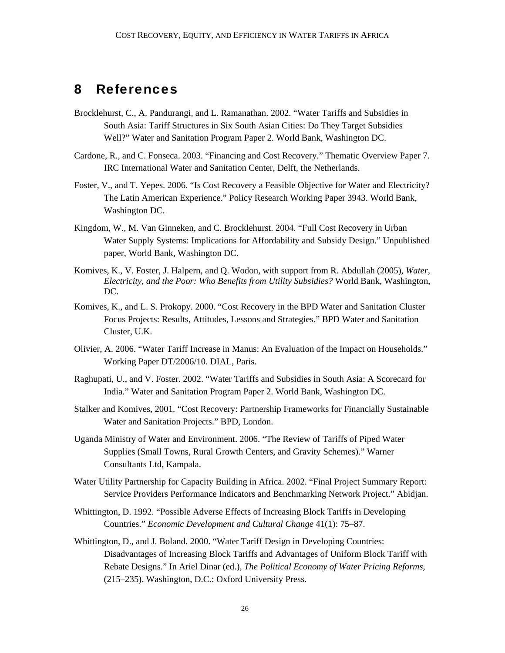### 8 References

- Brocklehurst, C., A. Pandurangi, and L. Ramanathan. 2002. "Water Tariffs and Subsidies in South Asia: Tariff Structures in Six South Asian Cities: Do They Target Subsidies Well?" Water and Sanitation Program Paper 2. World Bank, Washington DC.
- Cardone, R., and C. Fonseca. 2003. "Financing and Cost Recovery." Thematic Overview Paper 7. IRC International Water and Sanitation Center, Delft, the Netherlands.
- Foster, V., and T. Yepes. 2006. "Is Cost Recovery a Feasible Objective for Water and Electricity? The Latin American Experience." Policy Research Working Paper 3943. World Bank, Washington DC.
- Kingdom, W., M. Van Ginneken, and C. Brocklehurst. 2004. "Full Cost Recovery in Urban Water Supply Systems: Implications for Affordability and Subsidy Design." Unpublished paper, World Bank, Washington DC.
- Komives, K., V. Foster, J. Halpern, and Q. Wodon, with support from R. Abdullah (2005), *Water, Electricity, and the Poor: Who Benefits from Utility Subsidies?* World Bank, Washington, DC.
- Komives, K., and L. S. Prokopy. 2000. "Cost Recovery in the BPD Water and Sanitation Cluster Focus Projects: Results, Attitudes, Lessons and Strategies." BPD Water and Sanitation Cluster, U.K.
- Olivier, A. 2006. "Water Tariff Increase in Manus: An Evaluation of the Impact on Households." Working Paper DT/2006/10. DIAL, Paris.
- Raghupati, U., and V. Foster. 2002. "Water Tariffs and Subsidies in South Asia: A Scorecard for India." Water and Sanitation Program Paper 2. World Bank, Washington DC.
- Stalker and Komives, 2001. "Cost Recovery: Partnership Frameworks for Financially Sustainable Water and Sanitation Projects." BPD, London.
- Uganda Ministry of Water and Environment. 2006. "The Review of Tariffs of Piped Water Supplies (Small Towns, Rural Growth Centers, and Gravity Schemes)." Warner Consultants Ltd, Kampala.
- Water Utility Partnership for Capacity Building in Africa. 2002. "Final Project Summary Report: Service Providers Performance Indicators and Benchmarking Network Project." Abidjan.
- Whittington, D. 1992. "Possible Adverse Effects of Increasing Block Tariffs in Developing Countries." *Economic Development and Cultural Change* 41(1): 75–87.
- Whittington, D., and J. Boland. 2000. "Water Tariff Design in Developing Countries: Disadvantages of Increasing Block Tariffs and Advantages of Uniform Block Tariff with Rebate Designs." In Ariel Dinar (ed.), *The Political Economy of Water Pricing Reforms*, (215–235). Washington, D.C.: Oxford University Press.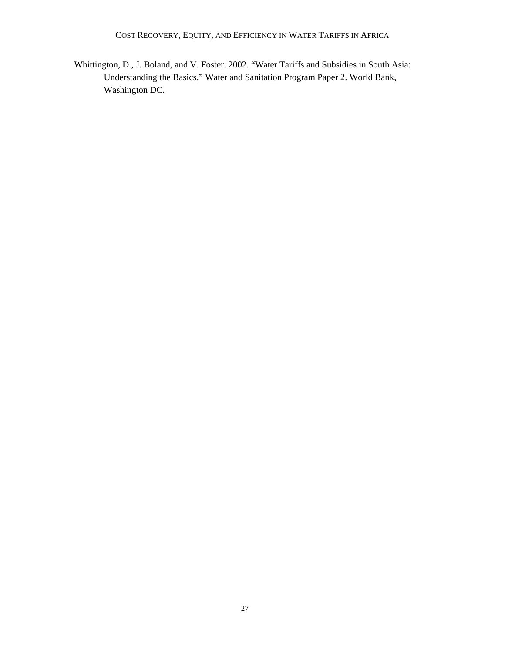COST RECOVERY, EQUITY, AND EFFICIENCY IN WATER TARIFFS IN AFRICA

Whittington, D., J. Boland, and V. Foster. 2002. "Water Tariffs and Subsidies in South Asia: Understanding the Basics." Water and Sanitation Program Paper 2. World Bank, Washington DC.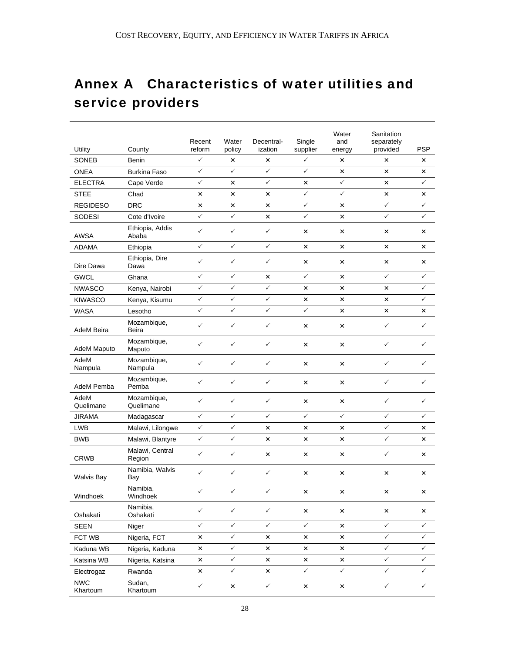# Annex A Characteristics of water utilities and service providers

| Utility                | County                    | Recent<br>reform | Water<br>policy | Decentral-<br>ization | Single<br>supplier | Water<br>and<br>energy | Sanitation<br>separately<br>provided | <b>PSP</b>   |
|------------------------|---------------------------|------------------|-----------------|-----------------------|--------------------|------------------------|--------------------------------------|--------------|
| <b>SONEB</b>           | Benin                     | $\checkmark$     | ×               | ×                     | ✓                  | ×                      | ×                                    | ×            |
| <b>ONEA</b>            | <b>Burkina Faso</b>       | $\checkmark$     | $\checkmark$    | ✓                     | $\checkmark$       | ×                      | ×                                    | ×            |
| <b>ELECTRA</b>         | Cape Verde                | $\checkmark$     | ×               | $\checkmark$          | ×                  | $\checkmark$           | $\times$                             | $\checkmark$ |
| <b>STEE</b>            | Chad                      | ×                | ×               | ×                     | ✓                  | $\checkmark$           | $\pmb{\times}$                       | ×            |
| <b>REGIDESO</b>        | <b>DRC</b>                | ×                | ×               | ×                     | ✓                  | ×                      | $\checkmark$                         | ✓            |
| <b>SODESI</b>          | Cote d'Ivoire             | $\checkmark$     | $\checkmark$    | ×                     | $\checkmark$       | ×                      | $\checkmark$                         | ✓            |
| <b>AWSA</b>            | Ethiopia, Addis<br>Ababa  | $\checkmark$     | $\checkmark$    | $\checkmark$          | ×                  | ×                      | ×                                    | ×            |
| <b>ADAMA</b>           | Ethiopia                  | $\checkmark$     | $\checkmark$    | $\checkmark$          | ×                  | ×                      | $\times$                             | ×            |
| Dire Dawa              | Ethiopia, Dire<br>Dawa    | $\checkmark$     | $\checkmark$    | ✓                     | $\pmb{\times}$     | ×                      | $\pmb{\times}$                       | ×            |
| <b>GWCL</b>            | Ghana                     | $\checkmark$     | $\checkmark$    | ×                     | $\checkmark$       | ×                      | $\checkmark$                         | ✓            |
| <b>NWASCO</b>          | Kenya, Nairobi            | $\checkmark$     | $\checkmark$    | $\checkmark$          | ×                  | ×                      | $\pmb{\times}$                       | ✓            |
| <b>KIWASCO</b>         | Kenya, Kisumu             | $\checkmark$     | $\checkmark$    | $\checkmark$          | ×                  | ×                      | $\times$                             | ✓            |
| WASA                   | Lesotho                   | $\checkmark$     | $\checkmark$    | $\checkmark$          | $\checkmark$       | ×                      | ×                                    | ×            |
| AdeM Beira             | Mozambique,<br>Beira      | $\checkmark$     | $\checkmark$    | $\checkmark$          | ×                  | ×                      | $\checkmark$                         | ✓            |
| AdeM Maputo            | Mozambique,<br>Maputo     | $\checkmark$     | $\checkmark$    | $\checkmark$          | ×                  | ×                      | $\checkmark$                         | ✓            |
| AdeM<br>Nampula        | Mozambique,<br>Nampula    | $\checkmark$     | $\checkmark$    | ✓                     | $\times$           | ×                      | $\checkmark$                         | ✓            |
| AdeM Pemba             | Mozambique,<br>Pemba      | $\checkmark$     | $\checkmark$    | $\checkmark$          | ×                  | ×                      | $\checkmark$                         | ✓            |
| AdeM<br>Quelimane      | Mozambique,<br>Quelimane  | $\checkmark$     | $\checkmark$    | $\checkmark$          | ×                  | ×                      | $\checkmark$                         | ✓            |
| <b>JIRAMA</b>          | Madagascar                | $\checkmark$     | $\checkmark$    | ✓                     | $\checkmark$       | $\checkmark$           | $\checkmark$                         | ✓            |
| <b>LWB</b>             | Malawi, Lilongwe          | $\checkmark$     | ✓               | $\pmb{\times}$        | ×                  | ×                      | $\checkmark$                         | ×            |
| <b>BWB</b>             | Malawi, Blantyre          | $\checkmark$     | $\checkmark$    | ×                     | ×                  | ×                      | $\checkmark$                         | ×            |
| <b>CRWB</b>            | Malawi, Central<br>Region | $\checkmark$     | $\checkmark$    | ×                     | ×                  | ×                      | $\checkmark$                         | ×            |
| <b>Walvis Bay</b>      | Namibia, Walvis<br>Bay    | $\checkmark$     | $\checkmark$    | $\checkmark$          | ×                  | ×                      | $\times$                             | ×            |
| Windhoek               | Namibia,<br>Windhoek      | $\checkmark$     | $\checkmark$    | ✓                     | ×                  | ×                      | ×                                    | ×            |
| Oshakati               | Namibia,<br>Oshakati      | $\checkmark$     | $\checkmark$    | $\checkmark$          | ×                  | ×                      | ×                                    | ×            |
| <b>SEEN</b>            | Niger                     | $\checkmark$     | $\checkmark$    | $\checkmark$          | $\checkmark$       | $\pmb{\times}$         | $\checkmark$                         | $\checkmark$ |
| FCT WB                 | Nigeria, FCT              | ×                | $\checkmark$    | ×                     | ×                  | ×                      | $\checkmark$                         | $\checkmark$ |
| Kaduna WB              | Nigeria, Kaduna           | ×                | $\checkmark$    | ×                     | ×                  | ×                      | $\checkmark$                         | $\checkmark$ |
| Katsina WB             | Nigeria, Katsina          | $\pmb{\times}$   | $\checkmark$    | ×                     | $\pmb{\times}$     | ×                      | $\checkmark$                         | $\checkmark$ |
| Electrogaz             | Rwanda                    | ×                | $\checkmark$    | ×                     | $\checkmark$       | $\checkmark$           | $\checkmark$                         | $\checkmark$ |
| <b>NWC</b><br>Khartoum | Sudan,<br>Khartoum        | $\checkmark$     | $\pmb{\times}$  | $\checkmark$          | $\pmb{\times}$     | ×                      | $\checkmark$                         | $\checkmark$ |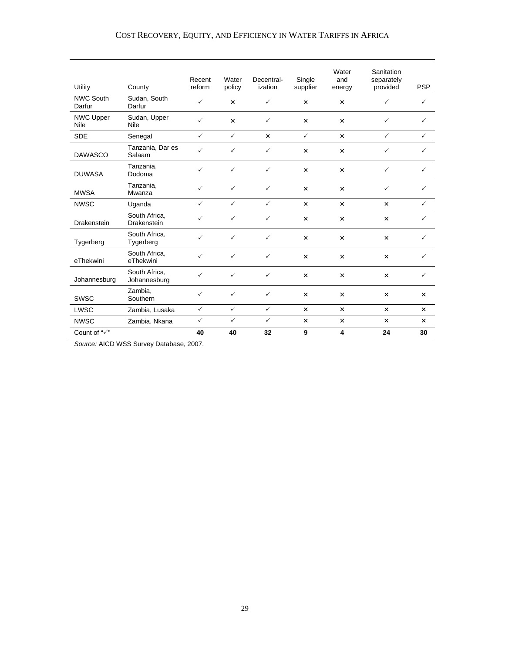### COST RECOVERY, EQUITY, AND EFFICIENCY IN WATER TARIFFS IN AFRICA

| Utility                         | County                        | Recent<br>reform | Water<br>policy | Decentral-<br>ization | Single<br>supplier    | Water<br>and<br>energy | Sanitation<br>separately<br>provided | <b>PSP</b>                |
|---------------------------------|-------------------------------|------------------|-----------------|-----------------------|-----------------------|------------------------|--------------------------------------|---------------------------|
| <b>NWC South</b><br>Darfur      | Sudan, South<br>Darfur        | ✓                | $\times$        | ✓                     | $\times$              | $\times$               | ✓                                    | ✓                         |
| <b>NWC Upper</b><br><b>Nile</b> | Sudan, Upper<br><b>Nile</b>   | $\checkmark$     | $\pmb{\times}$  | $\checkmark$          | $\times$              | $\times$               | $\checkmark$                         | $\checkmark$              |
| <b>SDE</b>                      | Senegal                       | $\checkmark$     | $\checkmark$    | $\pmb{\times}$        | $\checkmark$          | $\times$               | $\checkmark$                         | $\checkmark$              |
| <b>DAWASCO</b>                  | Tanzania, Dar es<br>Salaam    | $\checkmark$     | $\checkmark$    | $\checkmark$          | $\times$              | $\times$               | $\checkmark$                         | $\checkmark$              |
| <b>DUWASA</b>                   | Tanzania.<br>Dodoma           | ✓                | $\checkmark$    | $\checkmark$          | $\times$              | $\times$               | $\checkmark$                         | $\checkmark$              |
| <b>MWSA</b>                     | Tanzania,<br>Mwanza           | $\checkmark$     | $\checkmark$    | $\checkmark$          | $\times$              | $\times$               | $\checkmark$                         | $\checkmark$              |
| <b>NWSC</b>                     | Uganda                        | $\checkmark$     | $\checkmark$    | $\checkmark$          | $\times$              | $\times$               | $\times$                             | ✓                         |
| Drakenstein                     | South Africa,<br>Drakenstein  | ✓                | $\checkmark$    | $\checkmark$          | ×                     | $\times$               | $\times$                             | $\checkmark$              |
| Tygerberg                       | South Africa,<br>Tygerberg    | ✓                | $\checkmark$    | $\checkmark$          | $\pmb{\times}$        | ×                      | $\times$                             | $\checkmark$              |
| eThekwini                       | South Africa,<br>eThekwini    | $\checkmark$     | $\checkmark$    | $\checkmark$          | $\times$              | $\times$               | $\times$                             | $\checkmark$              |
| Johannesburg                    | South Africa,<br>Johannesburg | ✓                | $\checkmark$    | $\checkmark$          | $\times$              | $\times$               | $\times$                             | $\checkmark$              |
| <b>SWSC</b>                     | Zambia,<br>Southern           | $\checkmark$     | $\checkmark$    | $\checkmark$          | $\times$              | $\times$               | $\times$                             | $\times$                  |
| <b>LWSC</b>                     | Zambia, Lusaka                | $\checkmark$     | $\checkmark$    | $\checkmark$          | $\boldsymbol{\times}$ | $\times$               | $\times$                             | $\boldsymbol{\mathsf{x}}$ |
| <b>NWSC</b>                     | Zambia, Nkana                 | $\checkmark$     | $\checkmark$    | $\checkmark$          | $\pmb{\times}$        | $\pmb{\times}$         | $\times$                             | $\times$                  |
| Count of " $\checkmark$ "       |                               | 40               | 40              | 32                    | 9                     | 4                      | 24                                   | 30                        |

*Source:* AICD WSS Survey Database, 2007.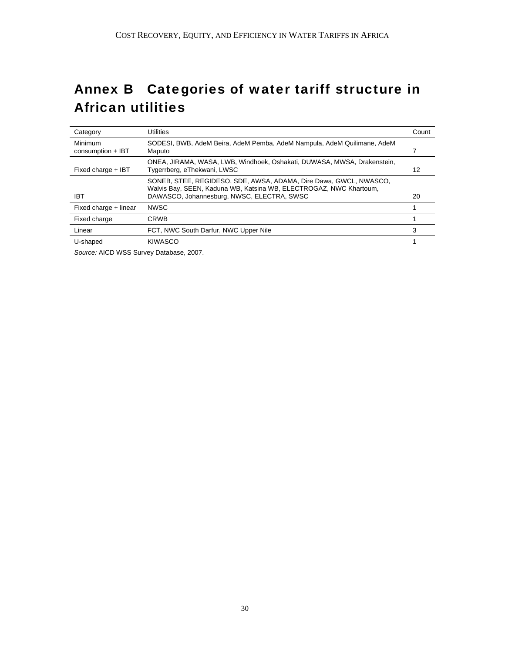# Annex B Categories of water tariff structure in African utilities

| Category                       | Utilities                                                                                                                               | Count |
|--------------------------------|-----------------------------------------------------------------------------------------------------------------------------------------|-------|
| Minimum<br>$consumption + IBT$ | SODESI, BWB, AdeM Beira, AdeM Pemba, AdeM Nampula, AdeM Quilimane, AdeM<br>Maputo                                                       |       |
| Fixed charge + IBT             | ONEA, JIRAMA, WASA, LWB, Windhoek, Oshakati, DUWASA, MWSA, Drakenstein,<br>Tygerrberg, eThekwani, LWSC                                  | 12    |
|                                | SONEB, STEE, REGIDESO, SDE, AWSA, ADAMA, Dire Dawa, GWCL, NWASCO,<br>Walvis Bay, SEEN, Kaduna WB, Katsina WB, ELECTROGAZ, NWC Khartoum, |       |
| <b>IBT</b>                     | DAWASCO, Johannesburg, NWSC, ELECTRA, SWSC                                                                                              | 20    |
| Fixed charge + linear          | <b>NWSC</b>                                                                                                                             |       |
| Fixed charge                   | <b>CRWB</b>                                                                                                                             |       |
| Linear                         | FCT, NWC South Darfur, NWC Upper Nile                                                                                                   | 3     |
| U-shaped                       | <b>KIWASCO</b>                                                                                                                          |       |

*Source:* AICD WSS Survey Database, 2007.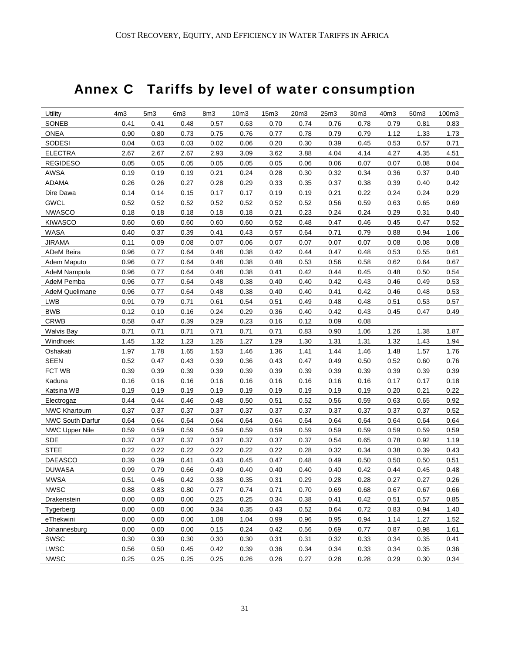# Annex C Tariffs by level of water consumption

| Utility               | 4 <sub>m3</sub> | 5 <sub>m3</sub> | 6m3  | 8m3  | 10m3 | 15 <sub>m3</sub> | 20m3 | 25m3 | 30m3 | 40m3 | 50m3 | 100m3 |
|-----------------------|-----------------|-----------------|------|------|------|------------------|------|------|------|------|------|-------|
| SONEB                 | 0.41            | 0.41            | 0.48 | 0.57 | 0.63 | 0.70             | 0.74 | 0.76 | 0.78 | 0.79 | 0.81 | 0.83  |
| <b>ONEA</b>           | 0.90            | 0.80            | 0.73 | 0.75 | 0.76 | 0.77             | 0.78 | 0.79 | 0.79 | 1.12 | 1.33 | 1.73  |
| SODESI                | 0.04            | 0.03            | 0.03 | 0.02 | 0.06 | 0.20             | 0.30 | 0.39 | 0.45 | 0.53 | 0.57 | 0.71  |
| <b>ELECTRA</b>        | 2.67            | 2.67            | 2.67 | 2.93 | 3.09 | 3.62             | 3.88 | 4.04 | 4.14 | 4.27 | 4.35 | 4.51  |
| <b>REGIDESO</b>       | 0.05            | 0.05            | 0.05 | 0.05 | 0.05 | 0.05             | 0.06 | 0.06 | 0.07 | 0.07 | 0.08 | 0.04  |
| <b>AWSA</b>           | 0.19            | 0.19            | 0.19 | 0.21 | 0.24 | 0.28             | 0.30 | 0.32 | 0.34 | 0.36 | 0.37 | 0.40  |
| <b>ADAMA</b>          | 0.26            | 0.26            | 0.27 | 0.28 | 0.29 | 0.33             | 0.35 | 0.37 | 0.38 | 0.39 | 0.40 | 0.42  |
| Dire Dawa             | 0.14            | 0.14            | 0.15 | 0.17 | 0.17 | 0.19             | 0.19 | 0.21 | 0.22 | 0.24 | 0.24 | 0.29  |
| <b>GWCL</b>           | 0.52            | 0.52            | 0.52 | 0.52 | 0.52 | 0.52             | 0.52 | 0.56 | 0.59 | 0.63 | 0.65 | 0.69  |
| <b>NWASCO</b>         | 0.18            | 0.18            | 0.18 | 0.18 | 0.18 | 0.21             | 0.23 | 0.24 | 0.24 | 0.29 | 0.31 | 0.40  |
| <b>KIWASCO</b>        | 0.60            | 0.60            | 0.60 | 0.60 | 0.60 | 0.52             | 0.48 | 0.47 | 0.46 | 0.45 | 0.47 | 0.52  |
| <b>WASA</b>           | 0.40            | 0.37            | 0.39 | 0.41 | 0.43 | 0.57             | 0.64 | 0.71 | 0.79 | 0.88 | 0.94 | 1.06  |
| <b>JIRAMA</b>         | 0.11            | 0.09            | 0.08 | 0.07 | 0.06 | 0.07             | 0.07 | 0.07 | 0.07 | 0.08 | 0.08 | 0.08  |
| <b>ADeM Beira</b>     | 0.96            | 0.77            | 0.64 | 0.48 | 0.38 | 0.42             | 0.44 | 0.47 | 0.48 | 0.53 | 0.55 | 0.61  |
| Adem Maputo           | 0.96            | 0.77            | 0.64 | 0.48 | 0.38 | 0.48             | 0.53 | 0.56 | 0.58 | 0.62 | 0.64 | 0.67  |
| AdeM Nampula          | 0.96            | 0.77            | 0.64 | 0.48 | 0.38 | 0.41             | 0.42 | 0.44 | 0.45 | 0.48 | 0.50 | 0.54  |
| AdeM Pemba            | 0.96            | 0.77            | 0.64 | 0.48 | 0.38 | 0.40             | 0.40 | 0.42 | 0.43 | 0.46 | 0.49 | 0.53  |
| AdeM Quelimane        | 0.96            | 0.77            | 0.64 | 0.48 | 0.38 | 0.40             | 0.40 | 0.41 | 0.42 | 0.46 | 0.48 | 0.53  |
| <b>LWB</b>            | 0.91            | 0.79            | 0.71 | 0.61 | 0.54 | 0.51             | 0.49 | 0.48 | 0.48 | 0.51 | 0.53 | 0.57  |
| <b>BWB</b>            | 0.12            | 0.10            | 0.16 | 0.24 | 0.29 | 0.36             | 0.40 | 0.42 | 0.43 | 0.45 | 0.47 | 0.49  |
| <b>CRWB</b>           | 0.58            | 0.47            | 0.39 | 0.29 | 0.23 | 0.16             | 0.12 | 0.09 | 0.08 |      |      |       |
| <b>Walvis Bay</b>     | 0.71            | 0.71            | 0.71 | 0.71 | 0.71 | 0.71             | 0.83 | 0.90 | 1.06 | 1.26 | 1.38 | 1.87  |
| Windhoek              | 1.45            | 1.32            | 1.23 | 1.26 | 1.27 | 1.29             | 1.30 | 1.31 | 1.31 | 1.32 | 1.43 | 1.94  |
| Oshakati              | 1.97            | 1.78            | 1.65 | 1.53 | 1.46 | 1.36             | 1.41 | 1.44 | 1.46 | 1.48 | 1.57 | 1.76  |
| <b>SEEN</b>           | 0.52            | 0.47            | 0.43 | 0.39 | 0.36 | 0.43             | 0.47 | 0.49 | 0.50 | 0.52 | 0.60 | 0.76  |
| FCT WB                | 0.39            | 0.39            | 0.39 | 0.39 | 0.39 | 0.39             | 0.39 | 0.39 | 0.39 | 0.39 | 0.39 | 0.39  |
| Kaduna                | 0.16            | 0.16            | 0.16 | 0.16 | 0.16 | 0.16             | 0.16 | 0.16 | 0.16 | 0.17 | 0.17 | 0.18  |
| Katsina WB            | 0.19            | 0.19            | 0.19 | 0.19 | 0.19 | 0.19             | 0.19 | 0.19 | 0.19 | 0.20 | 0.21 | 0.22  |
| Electrogaz            | 0.44            | 0.44            | 0.46 | 0.48 | 0.50 | 0.51             | 0.52 | 0.56 | 0.59 | 0.63 | 0.65 | 0.92  |
| NWC Khartoum          | 0.37            | 0.37            | 0.37 | 0.37 | 0.37 | 0.37             | 0.37 | 0.37 | 0.37 | 0.37 | 0.37 | 0.52  |
| NWC South Darfur      | 0.64            | 0.64            | 0.64 | 0.64 | 0.64 | 0.64             | 0.64 | 0.64 | 0.64 | 0.64 | 0.64 | 0.64  |
| <b>NWC Upper Nile</b> | 0.59            | 0.59            | 0.59 | 0.59 | 0.59 | 0.59             | 0.59 | 0.59 | 0.59 | 0.59 | 0.59 | 0.59  |
| <b>SDE</b>            | 0.37            | 0.37            | 0.37 | 0.37 | 0.37 | 0.37             | 0.37 | 0.54 | 0.65 | 0.78 | 0.92 | 1.19  |
| <b>STEE</b>           | 0.22            | 0.22            | 0.22 | 0.22 | 0.22 | 0.22             | 0.28 | 0.32 | 0.34 | 0.38 | 0.39 | 0.43  |
| <b>DAEASCO</b>        | 0.39            | 0.39            | 0.41 | 0.43 | 0.45 | 0.47             | 0.48 | 0.49 | 0.50 | 0.50 | 0.50 | 0.51  |
| <b>DUWASA</b>         | 0.99            | 0.79            | 0.66 | 0.49 | 0.40 | 0.40             | 0.40 | 0.40 | 0.42 | 0.44 | 0.45 | 0.48  |
| <b>MWSA</b>           | 0.51            | 0.46            | 0.42 | 0.38 | 0.35 | 0.31             | 0.29 | 0.28 | 0.28 | 0.27 | 0.27 | 0.26  |
| <b>NWSC</b>           | 0.88            | 0.83            | 0.80 | 0.77 | 0.74 | 0.71             | 0.70 | 0.69 | 0.68 | 0.67 | 0.67 | 0.66  |
| Drakenstein           | 0.00            | 0.00            | 0.00 | 0.25 | 0.25 | 0.34             | 0.38 | 0.41 | 0.42 | 0.51 | 0.57 | 0.85  |
| Tygerberg             | 0.00            | 0.00            | 0.00 | 0.34 | 0.35 | 0.43             | 0.52 | 0.64 | 0.72 | 0.83 | 0.94 | 1.40  |
| eThekwini             | 0.00            | 0.00            | 0.00 | 1.08 | 1.04 | 0.99             | 0.96 | 0.95 | 0.94 | 1.14 | 1.27 | 1.52  |
| Johannesburg          | 0.00            | 0.00            | 0.00 | 0.15 | 0.24 | 0.42             | 0.56 | 0.69 | 0.77 | 0.87 | 0.98 | 1.61  |
| <b>SWSC</b>           | 0.30            | 0.30            | 0.30 | 0.30 | 0.30 | 0.31             | 0.31 | 0.32 | 0.33 | 0.34 | 0.35 | 0.41  |
| <b>LWSC</b>           | 0.56            | 0.50            | 0.45 | 0.42 | 0.39 | 0.36             | 0.34 | 0.34 | 0.33 | 0.34 | 0.35 | 0.36  |
| <b>NWSC</b>           | 0.25            | 0.25            | 0.25 | 0.25 | 0.26 | 0.26             | 0.27 | 0.28 | 0.28 | 0.29 | 0.30 | 0.34  |
|                       |                 |                 |      |      |      |                  |      |      |      |      |      |       |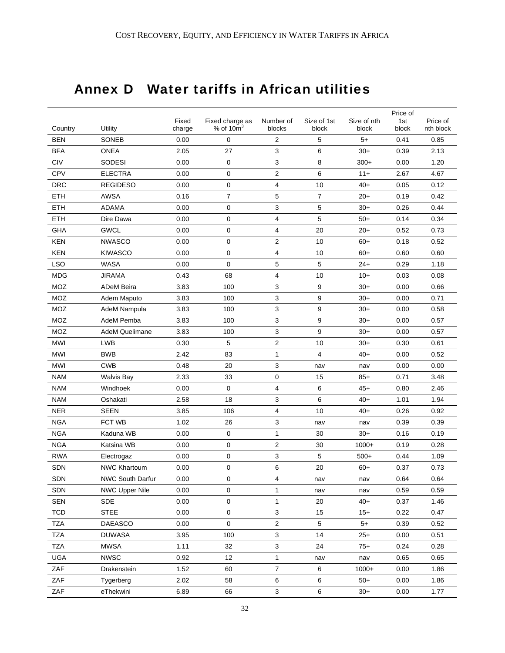# Annex D Water tariffs in African utilities

|                          |                              |              |                               |                              |             |                | Price of     |              |
|--------------------------|------------------------------|--------------|-------------------------------|------------------------------|-------------|----------------|--------------|--------------|
|                          |                              | Fixed        | Fixed charge as<br>% of $10m$ | Number of                    | Size of 1st | Size of nth    | 1st          | Price of     |
| Country                  | Utility                      | charge       | 0                             | blocks<br>$\overline{2}$     | block       | block<br>$5+$  | block        | nth block    |
| BEN                      | <b>SONEB</b>                 | 0.00         |                               |                              | 5           | $30+$          | 0.41         | 0.85         |
| <b>BFA</b><br>CIV        | <b>ONEA</b><br>SODESI        | 2.05         | 27<br>$\mathbf 0$             | 3<br>3                       | 6<br>8      |                | 0.39         | 2.13<br>1.20 |
| <b>CPV</b>               | <b>ELECTRA</b>               | 0.00         | 0                             |                              | 6           | $300+$         | 0.00         |              |
| DRC                      | <b>REGIDESO</b>              | 0.00<br>0.00 | 0                             | $\overline{\mathbf{c}}$<br>4 | 10          | $11+$<br>$40+$ | 2.67         | 4.67<br>0.12 |
| <b>ETH</b>               | <b>AWSA</b>                  | 0.16         | $\overline{7}$                | 5                            | 7           | $20+$          | 0.05<br>0.19 | 0.42         |
| <b>ETH</b>               | <b>ADAMA</b>                 | 0.00         | 0                             | 3                            | 5           | $30+$          | 0.26         | 0.44         |
| ETH                      | Dire Dawa                    | 0.00         | 0                             | 4                            | 5           | $50+$          | 0.14         | 0.34         |
| <b>GHA</b>               | <b>GWCL</b>                  | 0.00         | 0                             | 4                            | 20          | $20+$          | 0.52         | 0.73         |
| <b>KEN</b>               | <b>NWASCO</b>                |              |                               |                              |             |                |              |              |
|                          |                              | 0.00         | 0<br>0                        | 2                            | 10          | $60+$          | 0.18         | 0.52         |
| KEN                      | <b>KIWASCO</b>               | 0.00         | 0                             | 4                            | 10          | $60+$          | 0.60         | 0.60         |
| <b>LSO</b><br><b>MDG</b> | <b>WASA</b><br><b>JIRAMA</b> | 0.00<br>0.43 | 68                            | 5<br>4                       | 5<br>10     | $24+$<br>$10+$ | 0.29<br>0.03 | 1.18<br>0.08 |
| MOZ                      | <b>ADeM Beira</b>            | 3.83         | 100                           | 3                            | 9           | $30+$          |              |              |
|                          |                              |              |                               |                              |             |                | 0.00         | 0.66         |
| MOZ<br>MOZ               | Adem Maputo                  | 3.83         | 100                           | 3                            | 9           | $30+$          | 0.00         | 0.71         |
| MOZ                      | AdeM Nampula<br>AdeM Pemba   | 3.83         | 100                           | 3                            | 9           | $30+$          | 0.00         | 0.58         |
|                          |                              | 3.83         | 100                           | 3                            | 9           | $30+$          | 0.00         | 0.57         |
| MOZ                      | <b>AdeM Quelimane</b>        | 3.83         | 100                           | 3                            | 9           | $30+$          | 0.00         | 0.57         |
| <b>MWI</b>               | <b>LWB</b>                   | 0.30         | 5                             | $\overline{c}$               | 10          | $30+$          | 0.30         | 0.61         |
| MWI                      | <b>BWB</b>                   | 2.42         | 83                            | 1                            | 4           | $40+$          | 0.00         | 0.52         |
| <b>MWI</b>               | <b>CWB</b>                   | 0.48         | 20                            | 3                            | nav         | nav            | 0.00         | 0.00         |
| <b>NAM</b>               | <b>Walvis Bay</b>            | 2.33         | 33                            | 0                            | 15          | $85+$          | 0.71         | 3.48         |
| <b>NAM</b>               | Windhoek                     | 0.00         | 0                             | 4                            | 6           | $45+$          | 0.80         | 2.46         |
| <b>NAM</b>               | Oshakati                     | 2.58         | 18                            | 3                            | 6           | $40+$          | 1.01         | 1.94         |
| <b>NER</b>               | <b>SEEN</b>                  | 3.85         | 106                           | 4                            | 10          | $40+$          | 0.26         | 0.92         |
| <b>NGA</b>               | <b>FCT WB</b>                | 1.02         | 26                            | 3                            | nav         | nav            | 0.39         | 0.39         |
| <b>NGA</b>               | Kaduna WB                    | 0.00         | 0                             | 1                            | 30          | $30+$          | 0.16         | 0.19         |
| <b>NGA</b>               | Katsina WB                   | 0.00         | 0                             | 2                            | 30          | $1000+$        | 0.19         | 0.28         |
| <b>RWA</b>               | Electrogaz                   | 0.00         | 0                             | 3                            | 5           | $500+$         | 0.44         | 1.09         |
| SDN                      | <b>NWC Khartoum</b>          | 0.00         | 0                             | 6                            | 20          | $60+$          | 0.37         | 0.73         |
| SDN                      | NWC South Darfur             | 0.00         | 0                             | $\overline{\mathbf{4}}$      | nav         | nav            | 0.64         | 0.64         |
| <b>SDN</b>               | <b>NWC Upper Nile</b>        | 0.00         | 0                             | 1                            | nav         | nav            | 0.59         | 0.59         |
| SEN                      | SDE                          | 0.00         | $\pmb{0}$                     | $\mathbf{1}$                 | 20          | $40+$          | 0.37         | 1.46         |
| TCD                      | <b>STEE</b>                  | 0.00         | $\mathsf 0$                   | 3                            | 15          | $15+$          | 0.22         | 0.47         |
| <b>TZA</b>               | <b>DAEASCO</b>               | 0.00         | $\mathsf 0$                   | $\overline{c}$               | 5           | $5+$           | 0.39         | 0.52         |
| <b>TZA</b>               | <b>DUWASA</b>                | 3.95         | 100                           | 3                            | 14          | $25+$          | 0.00         | 0.51         |
| <b>TZA</b>               | <b>MWSA</b>                  | 1.11         | 32                            | $\mathbf{3}$                 | 24          | $75+$          | 0.24         | 0.28         |
| <b>UGA</b>               | <b>NWSC</b>                  | 0.92         | 12                            | $\mathbf{1}$                 | nav         | nav            | 0.65         | 0.65         |
| ZAF                      | Drakenstein                  | 1.52         | 60                            | $\overline{\mathbf{7}}$      | 6           | $1000+$        | 0.00         | 1.86         |
| ZAF                      | Tygerberg                    | 2.02         | 58                            | 6                            | 6           | $50+$          | 0.00         | 1.86         |
| ZAF                      | eThekwini                    | 6.89         | 66                            | $\mathbf{3}$                 | 6           | $30+$          | 0.00         | 1.77         |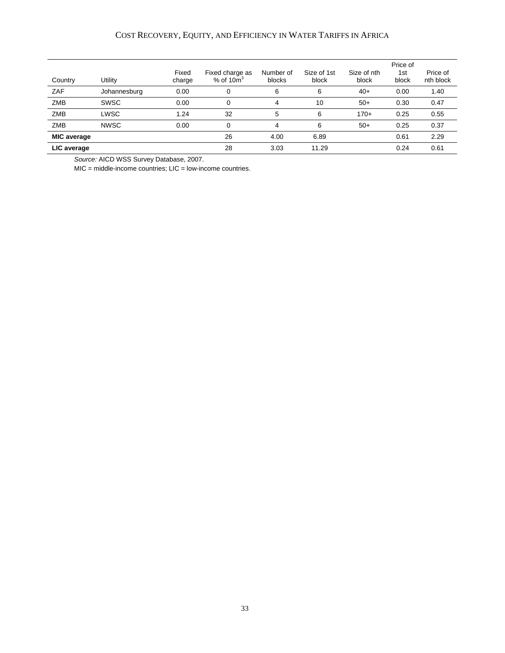#### COST RECOVERY, EQUITY, AND EFFICIENCY IN WATER TARIFFS IN AFRICA

|                    |              |                 |                                   |                     |                      |                      | Price of     |                       |
|--------------------|--------------|-----------------|-----------------------------------|---------------------|----------------------|----------------------|--------------|-----------------------|
| Country            | Utility      | Fixed<br>charge | Fixed charge as<br>$%$ of 10 $m3$ | Number of<br>blocks | Size of 1st<br>block | Size of nth<br>block | 1st<br>block | Price of<br>nth block |
| ZAF                | Johannesburg | 0.00            |                                   | 6                   | 6                    | $40+$                | 0.00         | 1.40                  |
| <b>ZMB</b>         | <b>SWSC</b>  | 0.00            |                                   | 4                   | 10                   | $50+$                | 0.30         | 0.47                  |
| <b>ZMB</b>         | LWSC         | 1.24            | 32                                | 5                   | 6                    | $170+$               | 0.25         | 0.55                  |
| <b>ZMB</b>         | <b>NWSC</b>  | 0.00            | 0                                 | 4                   | 6                    | $50+$                | 0.25         | 0.37                  |
| <b>MIC average</b> |              |                 | 26                                | 4.00                | 6.89                 |                      | 0.61         | 2.29                  |
| LIC average        |              |                 | 28                                | 3.03                | 11.29                |                      | 0.24         | 0.61                  |

*Source:* AICD WSS Survey Database, 2007.

MIC = middle-income countries; LIC = low-income countries.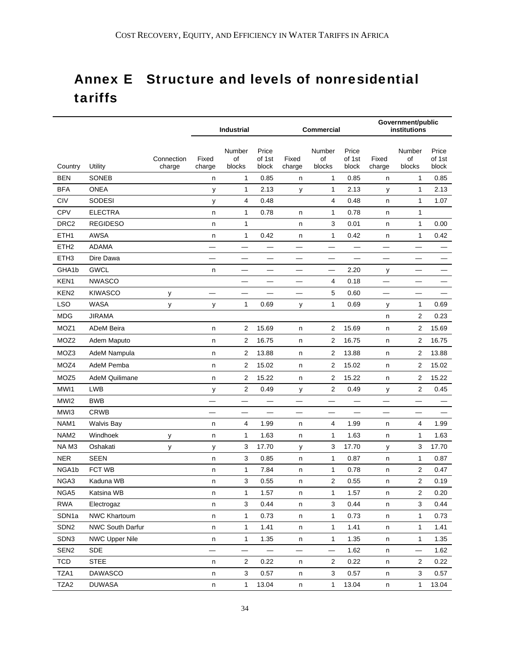# Annex E Structure and levels of nonresidential tariffs

|                   |                       |            | <b>Industrial</b> |                          |                          | <b>Commercial</b>        |                         |                          | Government/public<br>institutions |                          |                 |
|-------------------|-----------------------|------------|-------------------|--------------------------|--------------------------|--------------------------|-------------------------|--------------------------|-----------------------------------|--------------------------|-----------------|
|                   |                       | Connection | Fixed             | Number<br>οf             | Price<br>of 1st          | Fixed                    | Number<br>of            | Price<br>of 1st          | Fixed                             | Number<br>of             | Price<br>of 1st |
| Country           | Utility               | charge     | charge            | blocks                   | block                    | charge                   | blocks                  | block                    | charge                            | blocks                   | block           |
| <b>BEN</b>        | <b>SONEB</b>          |            | n                 | $\mathbf{1}$             | 0.85                     | n                        | 1                       | 0.85                     | n                                 | 1                        | 0.85            |
| <b>BFA</b>        | <b>ONEA</b>           |            | у                 | $\mathbf{1}$             | 2.13                     | у                        | 1                       | 2.13                     | у                                 | $\mathbf{1}$             | 2.13            |
| CIV               | <b>SODESI</b>         |            | у                 | 4                        | 0.48                     |                          | 4                       | 0.48                     | n                                 | 1                        | 1.07            |
| <b>CPV</b>        | <b>ELECTRA</b>        |            | n                 | $\mathbf{1}$             | 0.78                     | n                        | $\mathbf{1}$            | 0.78                     | n                                 | 1                        |                 |
| DRC <sub>2</sub>  | <b>REGIDESO</b>       |            | n                 | 1                        |                          | n                        | 3                       | 0.01                     | n                                 | 1                        | 0.00            |
| ETH1              | AWSA                  |            | n                 | $\mathbf{1}$             | 0.42                     | n                        | 1                       | 0.42                     | n                                 | 1                        | 0.42            |
| ETH <sub>2</sub>  | <b>ADAMA</b>          |            |                   | $\overline{\phantom{0}}$ |                          |                          | —                       | $\overline{\phantom{0}}$ | —                                 |                          |                 |
| ETH <sub>3</sub>  | Dire Dawa             |            |                   |                          |                          |                          |                         |                          |                                   |                          |                 |
| GHA1b             | <b>GWCL</b>           |            | n                 | $\overline{\phantom{0}}$ | $\overline{\phantom{0}}$ | $\overline{\phantom{0}}$ |                         | 2.20                     | у                                 | —                        |                 |
| KEN1              | <b>NWASCO</b>         |            |                   |                          |                          | —                        | 4                       | 0.18                     | $\overline{\phantom{0}}$          |                          |                 |
| KEN <sub>2</sub>  | <b>KIWASCO</b>        | у          |                   |                          |                          |                          | 5                       | 0.60                     |                                   |                          |                 |
| <b>LSO</b>        | <b>WASA</b>           | у          | у                 | $\mathbf{1}$             | 0.69                     | у                        | $\mathbf{1}$            | 0.69                     | у                                 | 1                        | 0.69            |
| <b>MDG</b>        | <b>JIRAMA</b>         |            |                   |                          |                          |                          |                         |                          | n                                 | $\mathbf{2}$             | 0.23            |
| MOZ1              | <b>ADeM Beira</b>     |            | n                 | $\overline{2}$           | 15.69                    | n                        | $\overline{2}$          | 15.69                    | n                                 | 2                        | 15.69           |
| MOZ2              | Adem Maputo           |            | n                 | $\overline{2}$           | 16.75                    | n                        | 2                       | 16.75                    | n                                 | 2                        | 16.75           |
| MOZ3              | AdeM Nampula          |            | n                 | $\overline{2}$           | 13.88                    | n                        | 2                       | 13.88                    | n                                 | 2                        | 13.88           |
| MOZ4              | AdeM Pemba            |            | n                 | $\overline{2}$           | 15.02                    | n                        | $\overline{2}$          | 15.02                    | n                                 | 2                        | 15.02           |
| MOZ <sub>5</sub>  | <b>AdeM Quilimane</b> |            | n                 | $\overline{2}$           | 15.22                    | n                        | $\overline{2}$          | 15.22                    | n                                 | 2                        | 15.22           |
| MWI1              | <b>LWB</b>            |            | у                 | $\overline{c}$           | 0.49                     | у                        | $\overline{\mathbf{c}}$ | 0.49                     | у                                 | 2                        | 0.45            |
| MWI2              | <b>BWB</b>            |            | —                 | $\overline{\phantom{0}}$ | $\overline{\phantom{0}}$ | —                        | $\equiv$                | $\overline{\phantom{0}}$ | $\overline{\phantom{0}}$          | —                        |                 |
| MWI3              | <b>CRWB</b>           |            |                   |                          |                          |                          |                         |                          |                                   |                          |                 |
| NAM <sub>1</sub>  | <b>Walvis Bay</b>     |            | n                 | 4                        | 1.99                     | n                        | 4                       | 1.99                     | n                                 | 4                        | 1.99            |
| NAM <sub>2</sub>  | Windhoek              | у          | n                 | $\mathbf{1}$             | 1.63                     | n                        | $\mathbf{1}$            | 1.63                     | n                                 | 1                        | 1.63            |
| NAM3              | Oshakati              | у          | у                 | 3                        | 17.70                    | у                        | 3                       | 17.70                    | у                                 | 3                        | 17.70           |
| <b>NER</b>        | <b>SEEN</b>           |            | n                 | 3                        | 0.85                     | n                        | $\mathbf{1}$            | 0.87                     | n                                 | 1                        | 0.87            |
| NGA1b             | FCT WB                |            | n                 | $\mathbf{1}$             | 7.84                     | n                        | 1                       | 0.78                     | n                                 | $\mathbf{2}$             | 0.47            |
| NGA3              | Kaduna WB             |            | n                 | 3                        | 0.55                     | n                        | $\overline{2}$          | 0.55                     | n                                 | 2                        | 0.19            |
| NGA5              | Katsina WB            |            | n                 | $\mathbf{1}$             | 1.57                     | n                        | $\mathbf{1}$            | 1.57                     | n                                 | 2                        | 0.20            |
| <b>RWA</b>        | Electrogaz            |            | n                 | 3                        | 0.44                     | n                        | 3                       | 0.44                     | n                                 | 3                        | 0.44            |
| SDN <sub>1a</sub> | NWC Khartoum          |            | n                 | $\mathbf{1}$             | 0.73                     | n                        | $\mathbf{1}$            | 0.73                     | n                                 | 1                        | 0.73            |
| SDN <sub>2</sub>  | NWC South Darfur      |            | n                 | $\mathbf{1}$             | 1.41                     | n                        | $\mathbf{1}$            | 1.41                     | n                                 | 1                        | 1.41            |
| SDN3              | <b>NWC Upper Nile</b> |            | n                 | $\mathbf{1}$             | 1.35                     | n                        | $\mathbf{1}$            | 1.35                     | n                                 | $\mathbf{1}$             | 1.35            |
| SEN <sub>2</sub>  | <b>SDE</b>            |            |                   |                          |                          |                          |                         | 1.62                     | n                                 | $\overline{\phantom{0}}$ | 1.62            |
| <b>TCD</b>        | <b>STEE</b>           |            | n                 | 2                        | 0.22                     | n                        | 2                       | 0.22                     | n                                 | 2                        | 0.22            |
| TZA1              | <b>DAWASCO</b>        |            | n                 | 3                        | 0.57                     | n                        | 3                       | 0.57                     | n                                 | 3                        | 0.57            |
| TZA2              | <b>DUWASA</b>         |            | n                 | $\mathbf{1}$             | 13.04                    | n                        | 1                       | 13.04                    | n                                 | 1                        | 13.04           |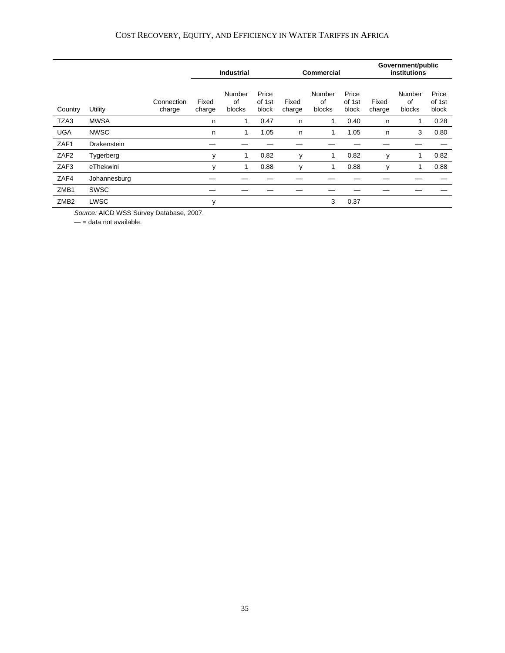|                  |              |                      | <b>Industrial</b><br><b>Commercial</b> |                        |                          |                 | Government/public<br>institutions |                          |                 |                        |                          |
|------------------|--------------|----------------------|----------------------------------------|------------------------|--------------------------|-----------------|-----------------------------------|--------------------------|-----------------|------------------------|--------------------------|
| Country          | Utility      | Connection<br>charge | Fixed<br>charge                        | Number<br>of<br>blocks | Price<br>of 1st<br>block | Fixed<br>charge | Number<br>of<br>blocks            | Price<br>of 1st<br>block | Fixed<br>charge | Number<br>of<br>blocks | Price<br>of 1st<br>block |
| TZA3             | <b>MWSA</b>  |                      | n                                      | 1                      | 0.47                     | n               | 1                                 | 0.40                     | n               | 1                      | 0.28                     |
| <b>UGA</b>       | <b>NWSC</b>  |                      | n                                      | 1                      | 1.05                     | n               | 1                                 | 1.05                     | n               | 3                      | 0.80                     |
| ZAF1             | Drakenstein  |                      |                                        |                        |                          |                 |                                   |                          |                 |                        |                          |
| ZAF <sub>2</sub> | Tygerberg    |                      | y                                      | 1                      | 0.82                     | y               | 1                                 | 0.82                     | y               | 1                      | 0.82                     |
| ZAF3             | eThekwini    |                      | y                                      |                        | 0.88                     | y               | 1                                 | 0.88                     | y               |                        | 0.88                     |
| ZAF4             | Johannesburg |                      |                                        |                        |                          |                 |                                   |                          |                 |                        |                          |
| ZMB1             | <b>SWSC</b>  |                      |                                        |                        |                          |                 |                                   |                          |                 |                        |                          |
| ZMB <sub>2</sub> | LWSC         |                      | у                                      |                        |                          |                 | 3                                 | 0.37                     |                 |                        |                          |

*Source:* AICD WSS Survey Database, 2007.

 $-$  = data not available.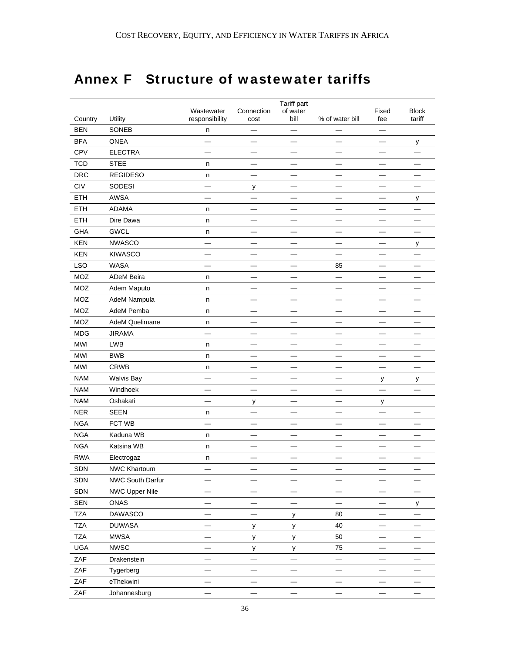# Annex F Structure of wastewater tariffs

|            |                   | Wastewater     | Connection               | Tariff part<br>of water  |                          | Fixed                    | <b>Block</b> |
|------------|-------------------|----------------|--------------------------|--------------------------|--------------------------|--------------------------|--------------|
| Country    | Utility           | responsibility | cost                     | bill                     | % of water bill          | fee                      | tariff       |
| <b>BEN</b> | SONEB             | n              |                          |                          |                          |                          |              |
| <b>BFA</b> | <b>ONEA</b>       |                |                          |                          |                          |                          | у            |
| <b>CPV</b> | <b>ELECTRA</b>    |                |                          |                          |                          |                          |              |
| <b>TCD</b> | <b>STEE</b>       | n              |                          | ▃                        | –                        | —                        |              |
| <b>DRC</b> | <b>REGIDESO</b>   | n              | <u>Lind</u>              |                          |                          |                          |              |
| CIV        | SODESI            |                | у                        |                          |                          |                          |              |
| <b>ETH</b> | AWSA              | -              |                          | —                        |                          | $\overline{\phantom{0}}$ | у            |
| ETH        | <b>ADAMA</b>      | n              | $\equiv$                 |                          | $\overline{\phantom{0}}$ | $\overline{\phantom{0}}$ |              |
| <b>ETH</b> | Dire Dawa         | n              |                          |                          |                          |                          |              |
| GHA        | <b>GWCL</b>       | n              | —                        | $\overline{\phantom{0}}$ | $\overline{\phantom{0}}$ | $\overline{\phantom{0}}$ |              |
| <b>KEN</b> | <b>NWASCO</b>     |                |                          |                          |                          |                          | у            |
| <b>KEN</b> | <b>KIWASCO</b>    |                |                          | ▃                        | $\overline{\phantom{a}}$ |                          |              |
| <b>LSO</b> | WASA              | ▃              |                          |                          | 85                       | ▃                        |              |
| MOZ        | ADeM Beira        | n              | $\overline{\phantom{0}}$ | —                        |                          | $\overline{\phantom{0}}$ |              |
| MOZ        | Adem Maputo       | n              | $\overline{\phantom{0}}$ |                          | $\overline{\phantom{0}}$ |                          |              |
| MOZ        | AdeM Nampula      | n              |                          |                          |                          |                          |              |
| MOZ        | AdeM Pemba        | n              | $\overline{\phantom{0}}$ |                          |                          |                          |              |
| MOZ        | AdeM Quelimane    | n              |                          |                          |                          |                          |              |
| <b>MDG</b> | <b>JIRAMA</b>     |                | $\overline{\phantom{0}}$ | ▃                        |                          | ▃                        |              |
| MWI        | <b>LWB</b>        | n              |                          |                          | $\overline{\phantom{0}}$ | $\overline{\phantom{0}}$ |              |
| MWI        | <b>BWB</b>        | n              | $\overline{\phantom{0}}$ | $\overline{\phantom{0}}$ | $\overline{\phantom{0}}$ | $\overline{\phantom{0}}$ |              |
| <b>MWI</b> | CRWB              | n              |                          |                          |                          |                          |              |
| <b>NAM</b> | <b>Walvis Bay</b> |                |                          |                          |                          | у                        | у            |
| <b>NAM</b> | Windhoek          |                | $\overline{\phantom{0}}$ |                          |                          | $\overline{\phantom{0}}$ |              |
| <b>NAM</b> | Oshakati          |                | у                        |                          |                          | у                        |              |
| <b>NER</b> | <b>SEEN</b>       | n              |                          |                          |                          |                          |              |
| <b>NGA</b> | FCT WB            |                | $\overline{\phantom{0}}$ | ▃                        | ▃                        | $\overline{\phantom{0}}$ |              |
| <b>NGA</b> | Kaduna WB         | n              | $\overline{\phantom{0}}$ |                          | $\equiv$                 | ▃                        |              |
| <b>NGA</b> | Katsina WB        | n              |                          |                          |                          |                          |              |
| <b>RWA</b> | Electrogaz        | n              |                          |                          |                          |                          |              |
| SDN        | NWC Khartoum      |                |                          |                          |                          |                          |              |
| SDN        | NWC South Darfur  |                |                          |                          |                          |                          |              |
| SDN        | NWC Upper Nile    |                |                          |                          |                          |                          |              |
| SEN        | ONAS              |                | $\sim$                   | $\overline{\phantom{0}}$ |                          |                          | у            |
| <b>TZA</b> | DAWASCO           |                |                          | у                        | 80                       |                          |              |
| <b>TZA</b> | <b>DUWASA</b>     |                | у                        | у                        | 40                       |                          |              |
| <b>TZA</b> | <b>MWSA</b>       |                | у                        | у                        | 50                       |                          |              |
| UGA        | <b>NWSC</b>       |                | у                        | у                        | 75                       |                          |              |
| ZAF        | Drakenstein       |                |                          |                          |                          | $\overline{\phantom{0}}$ |              |
| ZAF        | Tygerberg         |                |                          |                          |                          |                          |              |
| ZAF        | eThekwini         |                |                          |                          |                          |                          |              |
| ZAF        | Johannesburg      |                |                          |                          |                          |                          |              |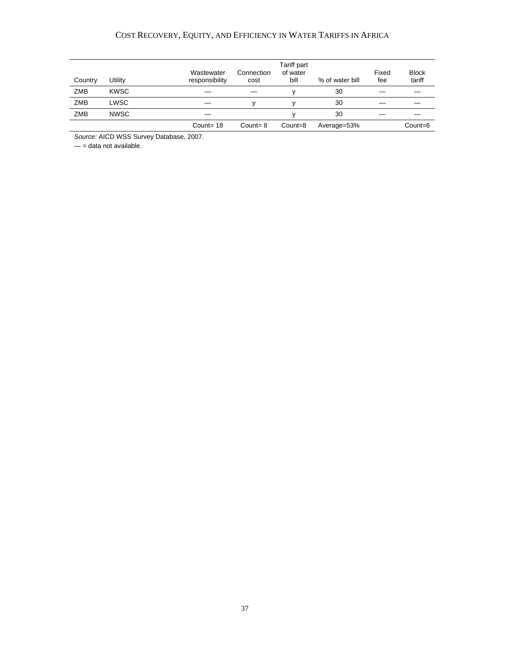### COST RECOVERY, EQUITY, AND EFFICIENCY IN WATER TARIFFS IN AFRICA

| Country    | <b>Jtility</b> | Wastewater<br>Connection<br>responsibility<br>cost | Tariff part<br>of water<br>bill | % of water bill | Fixed<br>fee | <b>Block</b><br>tariff |
|------------|----------------|----------------------------------------------------|---------------------------------|-----------------|--------------|------------------------|
| <b>ZMB</b> | <b>KWSC</b>    |                                                    |                                 | 30              |              |                        |
| <b>ZMB</b> | ∟WSC           |                                                    |                                 | 30              |              |                        |
| <b>ZMB</b> | <b>NWSC</b>    |                                                    |                                 | 30              |              |                        |
|            |                | Count= $18$<br>Count= $8$                          | Count=8                         | Average=53%     |              | Count=6                |

*Source:* AICD WSS Survey Database, 2007.

 $-$  = data not available.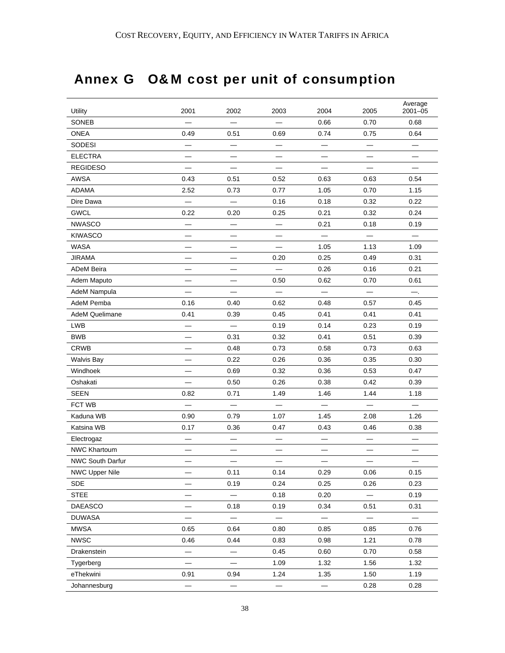# Annex G O&M cost per unit of consumption

| Utility               | 2001                     | 2002                     | 2003                     | 2004                     | 2005                     | Average<br>$2001 - 05$   |
|-----------------------|--------------------------|--------------------------|--------------------------|--------------------------|--------------------------|--------------------------|
| SONEB                 |                          |                          |                          | 0.66                     | 0.70                     | 0.68                     |
| ONEA                  | 0.49                     | 0.51                     | 0.69                     | 0.74                     | 0.75                     | 0.64                     |
| SODESI                |                          |                          | —                        |                          |                          |                          |
| <b>ELECTRA</b>        | —                        |                          | $\overline{\phantom{0}}$ | $\overline{\phantom{0}}$ | $\overline{\phantom{0}}$ | $\overline{\phantom{0}}$ |
| <b>REGIDESO</b>       |                          |                          |                          |                          |                          |                          |
| AWSA                  | 0.43                     | 0.51                     | 0.52                     | 0.63                     | 0.63                     | 0.54                     |
| <b>ADAMA</b>          | 2.52                     | 0.73                     | 0.77                     | 1.05                     | 0.70                     | 1.15                     |
| Dire Dawa             |                          |                          | 0.16                     | 0.18                     | 0.32                     | 0.22                     |
| <b>GWCL</b>           | 0.22                     | 0.20                     | 0.25                     | 0.21                     | 0.32                     | 0.24                     |
| <b>NWASCO</b>         | —                        | $\overline{\phantom{0}}$ | —                        | 0.21                     | 0.18                     | 0.19                     |
| <b>KIWASCO</b>        |                          |                          |                          |                          |                          |                          |
| <b>WASA</b>           |                          |                          |                          | 1.05                     | 1.13                     | 1.09                     |
| <b>JIRAMA</b>         |                          |                          | 0.20                     | 0.25                     | 0.49                     | 0.31                     |
| <b>ADeM Beira</b>     |                          |                          |                          | 0.26                     | 0.16                     | 0.21                     |
| Adem Maputo           |                          |                          | 0.50                     | 0.62                     | 0.70                     | 0.61                     |
| AdeM Nampula          |                          |                          |                          |                          |                          | —.                       |
| AdeM Pemba            | 0.16                     | 0.40                     | 0.62                     | 0.48                     | 0.57                     | 0.45                     |
| <b>AdeM Quelimane</b> | 0.41                     | 0.39                     | 0.45                     | 0.41                     | 0.41                     | 0.41                     |
| LWB                   |                          |                          | 0.19                     | 0.14                     | 0.23                     | 0.19                     |
| <b>BWB</b>            |                          | 0.31                     | 0.32                     | 0.41                     | 0.51                     | 0.39                     |
| <b>CRWB</b>           | —                        | 0.48                     | 0.73                     | 0.58                     | 0.73                     | 0.63                     |
| <b>Walvis Bay</b>     |                          | 0.22                     | 0.26                     | 0.36                     | 0.35                     | 0.30                     |
| Windhoek              |                          | 0.69                     | 0.32                     | 0.36                     | 0.53                     | 0.47                     |
| Oshakati              |                          | 0.50                     | 0.26                     | 0.38                     | 0.42                     | 0.39                     |
| <b>SEEN</b>           | 0.82                     | 0.71                     | 1.49                     | 1.46                     | 1.44                     | 1.18                     |
| FCT WB                |                          |                          |                          |                          |                          |                          |
| Kaduna WB             | 0.90                     | 0.79                     | 1.07                     | 1.45                     | 2.08                     | 1.26                     |
| Katsina WB            | 0.17                     | 0.36                     | 0.47                     | 0.43                     | 0.46                     | 0.38                     |
| Electrogaz            |                          |                          |                          |                          |                          |                          |
| <b>NWC Khartoum</b>   |                          |                          |                          |                          |                          |                          |
| NWC South Darfur      |                          |                          |                          |                          |                          |                          |
| <b>NWC Upper Nile</b> |                          | 0.11                     | 0.14                     | 0.29                     | 0.06                     | 0.15                     |
| <b>SDE</b>            |                          | 0.19                     | 0.24                     | 0.25                     | 0.26                     | 0.23                     |
| <b>STEE</b>           |                          |                          | 0.18                     | 0.20                     |                          | 0.19                     |
| DAEASCO               |                          | 0.18                     | 0.19                     | 0.34                     | 0.51                     | 0.31                     |
| <b>DUWASA</b>         |                          |                          | $\overline{\phantom{m}}$ | $\overline{\phantom{0}}$ | $\overline{\phantom{0}}$ | $\overline{\phantom{0}}$ |
| <b>MWSA</b>           | 0.65                     | 0.64                     | 0.80                     | 0.85                     | 0.85                     | 0.76                     |
| <b>NWSC</b>           | 0.46                     | 0.44                     | 0.83                     | 0.98                     | 1.21                     | 0.78                     |
| Drakenstein           |                          |                          | 0.45                     | 0.60                     | 0.70                     | 0.58                     |
| Tygerberg             |                          |                          | 1.09                     | 1.32                     | 1.56                     | 1.32                     |
| eThekwini             | 0.91                     | 0.94                     | 1.24                     | 1.35                     | 1.50                     | 1.19                     |
| Johannesburg          | $\overline{\phantom{0}}$ | $\overline{\phantom{m}}$ |                          | $\qquad \qquad -$        | 0.28                     | 0.28                     |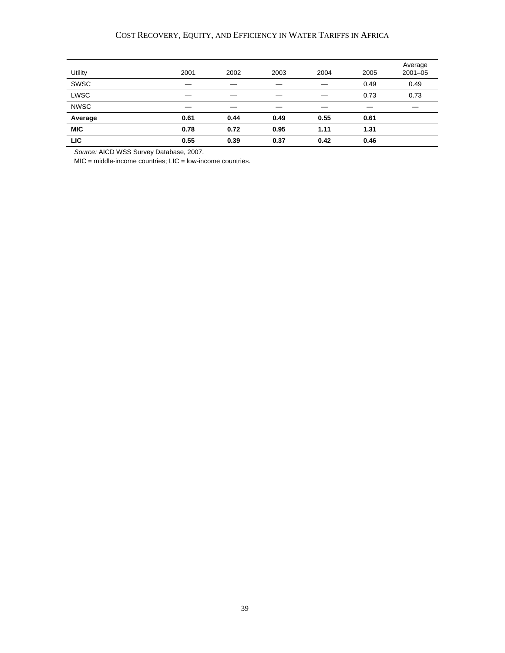#### COST RECOVERY, EQUITY, AND EFFICIENCY IN WATER TARIFFS IN AFRICA

| Utility     | 2001 | 2002 | 2003 | 2004 | 2005 | Average<br>$2001 - 05$ |
|-------------|------|------|------|------|------|------------------------|
| SWSC        |      |      |      |      | 0.49 | 0.49                   |
| LWSC        |      |      |      |      | 0.73 | 0.73                   |
| <b>NWSC</b> |      |      |      |      |      |                        |
| Average     | 0.61 | 0.44 | 0.49 | 0.55 | 0.61 |                        |
| <b>MIC</b>  | 0.78 | 0.72 | 0.95 | 1.11 | 1.31 |                        |
| <b>LIC</b>  | 0.55 | 0.39 | 0.37 | 0.42 | 0.46 |                        |

*Source:* AICD WSS Survey Database, 2007.

MIC = middle-income countries; LIC = low-income countries.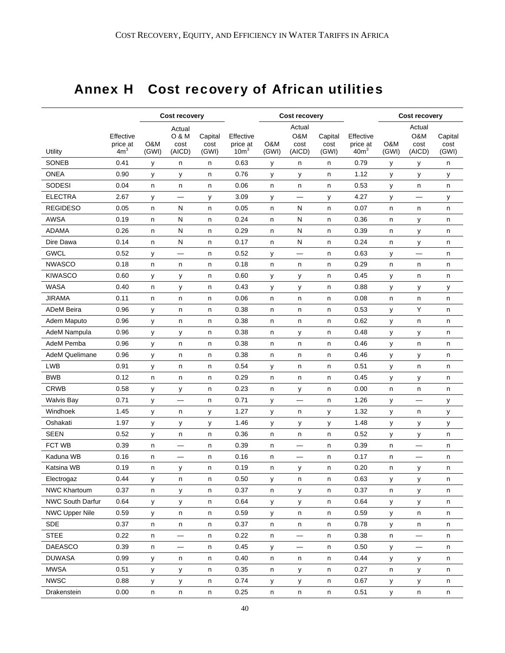# Annex H Cost recovery of African utilities

|                       |                                          | <b>Cost recovery</b> |                                   |                          |                                           |              | <b>Cost recovery</b>            |                          |                                           | Cost recovery |                                 |                          |
|-----------------------|------------------------------------------|----------------------|-----------------------------------|--------------------------|-------------------------------------------|--------------|---------------------------------|--------------------------|-------------------------------------------|---------------|---------------------------------|--------------------------|
| Utility               | Effective<br>price at<br>4m <sup>3</sup> | O&M<br>(GWI)         | Actual<br>O & M<br>cost<br>(AICD) | Capital<br>cost<br>(GWI) | Effective<br>price at<br>10m <sup>3</sup> | O&M<br>(GWI) | Actual<br>O&M<br>cost<br>(AICD) | Capital<br>cost<br>(GWI) | Effective<br>price at<br>40m <sup>3</sup> | O&M<br>(GWI)  | Actual<br>O&M<br>cost<br>(AICD) | Capital<br>cost<br>(GWI) |
| SONEB                 | 0.41                                     | y                    | n                                 | n                        | 0.63                                      | у            | n                               | n                        | 0.79                                      | у             | у                               | n                        |
| <b>ONEA</b>           | 0.90                                     | У                    | у                                 | n                        | 0.76                                      | у            | у                               | n                        | 1.12                                      | у             | у                               | у                        |
| SODESI                | 0.04                                     | n                    | n                                 | n                        | 0.06                                      | n            | n                               | n                        | 0.53                                      | У             | n                               | n                        |
| <b>ELECTRA</b>        | 2.67                                     | у                    |                                   | у                        | 3.09                                      | у            |                                 | у                        | 4.27                                      | у             |                                 | у                        |
| <b>REGIDESO</b>       | 0.05                                     | n                    | N                                 | n                        | 0.05                                      | n            | N                               | n                        | 0.07                                      | n             | n                               | n                        |
| <b>AWSA</b>           | 0.19                                     | n                    | N                                 | n                        | 0.24                                      | n            | N                               | n                        | 0.36                                      | n             | у                               | n                        |
| <b>ADAMA</b>          | 0.26                                     | n.                   | N                                 | n                        | 0.29                                      | n            | ${\sf N}$                       | n                        | 0.39                                      | n             | у                               | n                        |
| Dire Dawa             | 0.14                                     | n                    | ${\sf N}$                         | n                        | 0.17                                      | n            | ${\sf N}$                       | n                        | 0.24                                      | n             | у                               | n                        |
| <b>GWCL</b>           | 0.52                                     | у                    | $\overline{\phantom{0}}$          | n                        | 0.52                                      | у            | $\overline{\phantom{0}}$        | n                        | 0.63                                      | У             | $\overline{\phantom{0}}$        | n                        |
| <b>NWASCO</b>         | 0.18                                     | n                    | n                                 | n                        | 0.18                                      | n            | n                               | n                        | 0.29                                      | n             | n                               | n                        |
| <b>KIWASCO</b>        | 0.60                                     | у                    | у                                 | n                        | 0.60                                      | у            | у                               | n                        | 0.45                                      | у             | n                               | n                        |
| <b>WASA</b>           | 0.40                                     | n                    | у                                 | n                        | 0.43                                      | у            | у                               | n                        | 0.88                                      | у             | у                               | у                        |
| <b>JIRAMA</b>         | 0.11                                     | n                    | n                                 | n                        | 0.06                                      | n            | n                               | n                        | 0.08                                      | n             | n                               | n                        |
| <b>ADeM Beira</b>     | 0.96                                     | y                    | n                                 | n                        | 0.38                                      | n            | n                               | n                        | 0.53                                      | у             | Y                               | n                        |
| Adem Maputo           | 0.96                                     | y                    | n                                 | n                        | 0.38                                      | n            | n                               | n                        | 0.62                                      | у             | n                               | n                        |
| AdeM Nampula          | 0.96                                     | У                    | у                                 | n                        | 0.38                                      | n            | у                               | n                        | 0.48                                      | у             | У                               | n                        |
| AdeM Pemba            | 0.96                                     | у                    | n                                 | n                        | 0.38                                      | n            | n                               | n                        | 0.46                                      | у             | n                               | n                        |
| <b>AdeM Quelimane</b> | 0.96                                     | y                    | n                                 | n                        | 0.38                                      | n            | n                               | n                        | 0.46                                      | у             | у                               | n                        |
| LWB                   | 0.91                                     | y                    | n                                 | n                        | 0.54                                      | У            | n                               | n                        | 0.51                                      | У             | n                               | n                        |
| <b>BWB</b>            | 0.12                                     | n                    | n                                 | n                        | 0.29                                      | n            | n                               | n                        | 0.45                                      | у             | у                               | n                        |
| <b>CRWB</b>           | 0.58                                     | У                    | у                                 | n                        | 0.23                                      | n            | у                               | n                        | 0.00                                      | n             | n                               | n                        |
| <b>Walvis Bay</b>     | 0.71                                     | y                    |                                   | n                        | 0.71                                      | У            | $\overline{\phantom{0}}$        | n                        | 1.26                                      | у             | $\sim$                          | у                        |
| Windhoek              | 1.45                                     | y                    | n                                 | у                        | 1.27                                      | у            | n                               | У                        | 1.32                                      | У             | n                               | у                        |
| Oshakati              | 1.97                                     | у                    | у                                 | у                        | 1.46                                      | У            | у                               | У                        | 1.48                                      | у             | у                               | у                        |
| <b>SEEN</b>           | 0.52                                     | y                    | n                                 | n                        | 0.36                                      | n            | n                               | n                        | 0.52                                      | у             | у                               | n                        |
| <b>FCT WB</b>         | 0.39                                     | n                    | —                                 | n                        | 0.39                                      | n            | $\overline{\phantom{0}}$        | n                        | 0.39                                      | n             |                                 | n                        |
| Kaduna WB             | 0.16                                     | n                    | —                                 | n                        | 0.16                                      | n            | —                               | n                        | 0.17                                      | n             | $\overline{\phantom{0}}$        | n                        |
| Katsina WB            | 0.19                                     | n                    | у                                 | n                        | 0.19                                      | n            | у                               | n                        | 0.20                                      | n             | у                               | n                        |
| Electrogaz            | 0.44                                     | у                    | n                                 | n                        | 0.50                                      | у            | n                               | n                        | 0.63                                      | у             | у                               | n                        |
| <b>NWC Khartoum</b>   | 0.37                                     | n                    | y                                 | n                        | 0.37                                      | n            | y                               | n                        | 0.37                                      | n             | y                               | n                        |
| NWC South Darfur      | 0.64                                     | y                    | у                                 | n                        | 0.64                                      | y            | у                               | n                        | 0.64                                      | У             | у                               | n                        |
| <b>NWC Upper Nile</b> | 0.59                                     | У                    | n                                 | n                        | 0.59                                      | y            | n                               | n                        | 0.59                                      | У             | n                               | n                        |
| <b>SDE</b>            | 0.37                                     | n                    | n                                 | n                        | 0.37                                      | n            | n                               | n                        | 0.78                                      | У             | n                               | n                        |
| <b>STEE</b>           | 0.22                                     | n                    | $\qquad \qquad \longleftarrow$    | n                        | 0.22                                      | n            | $\qquad \qquad -$               | n                        | 0.38                                      | n             | —                               | n                        |
| DAEASCO               | 0.39                                     | n                    | $\qquad \qquad \longleftarrow$    | n                        | 0.45                                      | y            | $\overline{\phantom{m}}$        | n                        | 0.50                                      | У             | —                               | n                        |
| <b>DUWASA</b>         | 0.99                                     | У                    | n                                 | n                        | 0.40                                      | n            | n                               | n                        | 0.44                                      | У             | у                               | n                        |
| <b>MWSA</b>           | 0.51                                     | y                    | У                                 | n                        | 0.35                                      | n            | у                               | n                        | 0.27                                      | n             | У                               | n                        |
| <b>NWSC</b>           | 0.88                                     | У                    | у                                 | n                        | 0.74                                      | у            | у                               | n                        | 0.67                                      | У             | у                               | n                        |
| Drakenstein           | 0.00                                     | n                    | n                                 | n                        | 0.25                                      | $\sf n$      | $\sf n$                         | $\sf n$                  | 0.51                                      | У             | $\sf n$                         | n                        |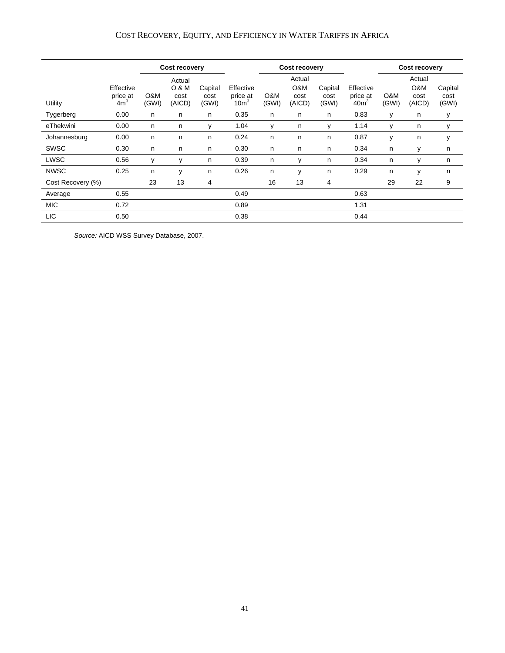### COST RECOVERY, EQUITY, AND EFFICIENCY IN WATER TARIFFS IN AFRICA

|                   |                                          |              | Cost recovery                     |                          |                                          |              | Cost recovery                   |                          | Cost recovery                             |              |                                 |                          |
|-------------------|------------------------------------------|--------------|-----------------------------------|--------------------------|------------------------------------------|--------------|---------------------------------|--------------------------|-------------------------------------------|--------------|---------------------------------|--------------------------|
| Utility           | Effective<br>price at<br>4m <sup>3</sup> | O&M<br>(GWI) | Actual<br>0 & M<br>cost<br>(AICD) | Capital<br>cost<br>(GWI) | Effective<br>price at<br>10 <sup>m</sup> | O&M<br>(GWI) | Actual<br>O&M<br>cost<br>(AICD) | Capital<br>cost<br>(GWI) | Effective<br>price at<br>40m <sup>3</sup> | O&M<br>(GWI) | Actual<br>O&M<br>cost<br>(AICD) | Capital<br>cost<br>(GWI) |
| Tygerberg         | 0.00                                     | n            | n                                 | n                        | 0.35                                     | n            | n                               | n                        | 0.83                                      | y            | n                               | у                        |
| eThekwini         | 0.00                                     | n            | n                                 | v                        | 1.04                                     | v            | n                               | v                        | 1.14                                      | У            | n                               | у                        |
| Johannesburg      | 0.00                                     | n            | n                                 | n                        | 0.24                                     | n            | n                               | n                        | 0.87                                      | y            | n                               | у                        |
| SWSC              | 0.30                                     | n            | n                                 | n                        | 0.30                                     | n            | n                               | n                        | 0.34                                      | n            | y                               | n                        |
| LWSC              | 0.56                                     | y            | y                                 | n                        | 0.39                                     | n            | v                               | n                        | 0.34                                      | n            | у                               | n                        |
| <b>NWSC</b>       | 0.25                                     | n            | v                                 | n                        | 0.26                                     | n            | v                               | n                        | 0.29                                      | n            | v                               | n                        |
| Cost Recovery (%) |                                          | 23           | 13                                | 4                        |                                          | 16           | 13                              | 4                        |                                           | 29           | 22                              | 9                        |
| Average           | 0.55                                     |              |                                   |                          | 0.49                                     |              |                                 |                          | 0.63                                      |              |                                 |                          |
| <b>MIC</b>        | 0.72                                     |              |                                   |                          | 0.89                                     |              |                                 |                          | 1.31                                      |              |                                 |                          |
| <b>LIC</b>        | 0.50                                     |              |                                   |                          | 0.38                                     |              |                                 |                          | 0.44                                      |              |                                 |                          |

*Source:* AICD WSS Survey Database, 2007.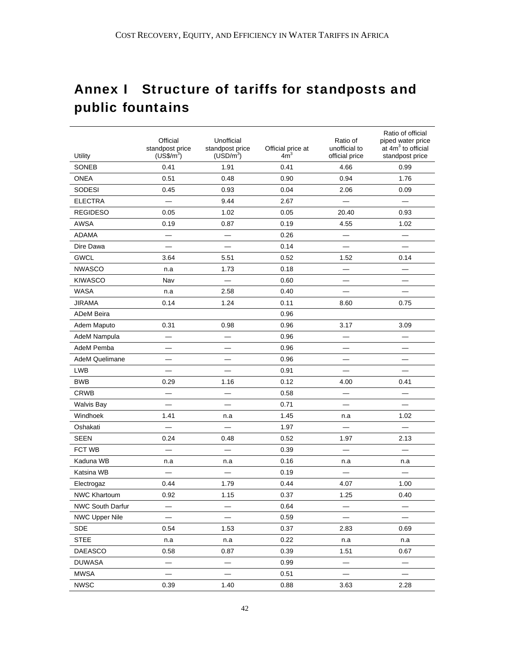# Annex I Structure of tariffs for standposts and public fountains

| Utility               | Official<br>standpost price<br>$(US\$/m^3)$ | Unofficial<br>standpost price<br>(USD/m <sup>3</sup> ) | Official price at<br>4m <sup>3</sup> | Ratio of<br>unofficial to<br>official price | Ratio of official<br>piped water price<br>at $4m3$ to official<br>standpost price |
|-----------------------|---------------------------------------------|--------------------------------------------------------|--------------------------------------|---------------------------------------------|-----------------------------------------------------------------------------------|
| SONEB                 | 0.41                                        | 1.91                                                   | 0.41                                 | 4.66                                        | 0.99                                                                              |
| <b>ONEA</b>           | 0.51                                        | 0.48                                                   | 0.90                                 | 0.94                                        | 1.76                                                                              |
| <b>SODESI</b>         | 0.45                                        | 0.93                                                   | 0.04                                 | 2.06                                        | 0.09                                                                              |
| <b>ELECTRA</b>        |                                             | 9.44                                                   | 2.67                                 |                                             |                                                                                   |
| <b>REGIDESO</b>       | 0.05                                        | 1.02                                                   | 0.05                                 | 20.40                                       | 0.93                                                                              |
| AWSA                  | 0.19                                        | 0.87                                                   | 0.19                                 | 4.55                                        | 1.02                                                                              |
| ADAMA                 | $\overline{\phantom{0}}$                    |                                                        | 0.26                                 | $\overline{\phantom{0}}$                    |                                                                                   |
| Dire Dawa             |                                             | $\overline{\phantom{0}}$                               | 0.14                                 | $\overline{\phantom{0}}$                    |                                                                                   |
| <b>GWCL</b>           | 3.64                                        | 5.51                                                   | 0.52                                 | 1.52                                        | 0.14                                                                              |
| <b>NWASCO</b>         | n.a                                         | 1.73                                                   | 0.18                                 |                                             |                                                                                   |
| <b>KIWASCO</b>        | Nav                                         | $\overline{\phantom{0}}$                               | 0.60                                 |                                             |                                                                                   |
| <b>WASA</b>           | n.a                                         | 2.58                                                   | 0.40                                 |                                             |                                                                                   |
| <b>JIRAMA</b>         | 0.14                                        | 1.24                                                   | 0.11                                 | 8.60                                        | 0.75                                                                              |
| <b>ADeM Beira</b>     |                                             |                                                        | 0.96                                 |                                             |                                                                                   |
| Adem Maputo           | 0.31                                        | 0.98                                                   | 0.96                                 | 3.17                                        | 3.09                                                                              |
| AdeM Nampula          |                                             |                                                        | 0.96                                 |                                             |                                                                                   |
| AdeM Pemba            |                                             |                                                        | 0.96                                 | $\equiv$                                    |                                                                                   |
| <b>AdeM Quelimane</b> |                                             |                                                        | 0.96                                 |                                             |                                                                                   |
| <b>LWB</b>            |                                             |                                                        | 0.91                                 |                                             |                                                                                   |
| <b>BWB</b>            | 0.29                                        | 1.16                                                   | 0.12                                 | 4.00                                        | 0.41                                                                              |
| <b>CRWB</b>           | $\overline{\phantom{0}}$                    | $\overline{\phantom{0}}$                               | 0.58                                 | $\overline{\phantom{0}}$                    | $\equiv$                                                                          |
| <b>Walvis Bay</b>     |                                             |                                                        | 0.71                                 | $\overline{\phantom{0}}$                    |                                                                                   |
| Windhoek              | 1.41                                        | n.a                                                    | 1.45                                 | n.a                                         | 1.02                                                                              |
| Oshakati              |                                             |                                                        | 1.97                                 |                                             |                                                                                   |
| <b>SEEN</b>           | 0.24                                        | 0.48                                                   | 0.52                                 | 1.97                                        | 2.13                                                                              |
| FCT WB                | $\qquad \qquad$                             | $\overline{\phantom{0}}$                               | 0.39                                 |                                             | $\overline{\phantom{0}}$                                                          |
| Kaduna WB             | n.a                                         | n.a                                                    | 0.16                                 | n.a                                         | n.a                                                                               |
| Katsina WB            |                                             |                                                        | 0.19                                 | $\overline{\phantom{0}}$                    |                                                                                   |
| Electrogaz            | 0.44                                        | 1.79                                                   | 0.44                                 | 4.07                                        | 1.00                                                                              |
| <b>NWC Khartoum</b>   | 0.92                                        | 1.15                                                   | 0.37                                 | 1.25                                        | 0.40                                                                              |
| NWC South Darfur      |                                             |                                                        | 0.64                                 | $\overline{\phantom{0}}$                    |                                                                                   |
| <b>NWC Upper Nile</b> |                                             |                                                        | 0.59                                 |                                             |                                                                                   |
| <b>SDE</b>            | 0.54                                        | 1.53                                                   | 0.37                                 | 2.83                                        | 0.69                                                                              |
| <b>STEE</b>           | n.a                                         | n.a                                                    | 0.22                                 | n.a                                         | n.a                                                                               |
| <b>DAEASCO</b>        | 0.58                                        | 0.87                                                   | 0.39                                 | 1.51                                        | 0.67                                                                              |
| <b>DUWASA</b>         | $\overline{\phantom{0}}$                    | $\overline{\phantom{0}}$                               | 0.99                                 | $\overline{\phantom{0}}$                    |                                                                                   |
| <b>MWSA</b>           |                                             |                                                        | 0.51                                 |                                             |                                                                                   |
| <b>NWSC</b>           | 0.39                                        | 1.40                                                   | 0.88                                 | 3.63                                        | 2.28                                                                              |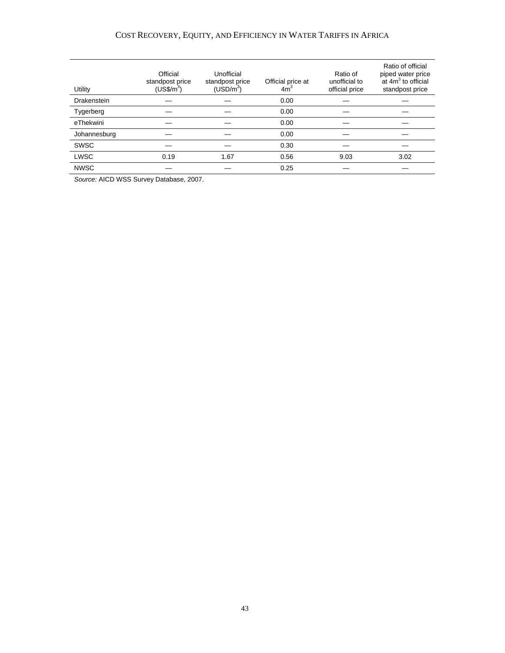#### COST RECOVERY, EQUITY, AND EFFICIENCY IN WATER TARIFFS IN AFRICA

| Utility      | Official<br>standpost price<br>$(USS/m^3)$ | Unofficial<br>standpost price<br>(USD/m <sup>3</sup> ) | Official price at<br>4m <sup>3</sup> | Ratio of<br>unofficial to<br>official price | Ratio of official<br>piped water price<br>at 4m <sup>3</sup> to official<br>standpost price |
|--------------|--------------------------------------------|--------------------------------------------------------|--------------------------------------|---------------------------------------------|---------------------------------------------------------------------------------------------|
| Drakenstein  |                                            |                                                        | 0.00                                 |                                             |                                                                                             |
| Tygerberg    |                                            |                                                        | 0.00                                 |                                             |                                                                                             |
| eThekwini    |                                            |                                                        | 0.00                                 |                                             |                                                                                             |
| Johannesburg |                                            |                                                        | 0.00                                 |                                             |                                                                                             |
| <b>SWSC</b>  |                                            |                                                        | 0.30                                 |                                             |                                                                                             |
| <b>LWSC</b>  | 0.19                                       | 1.67                                                   | 0.56                                 | 9.03                                        | 3.02                                                                                        |
| <b>NWSC</b>  |                                            |                                                        | 0.25                                 |                                             |                                                                                             |

*Source:* AICD WSS Survey Database, 2007.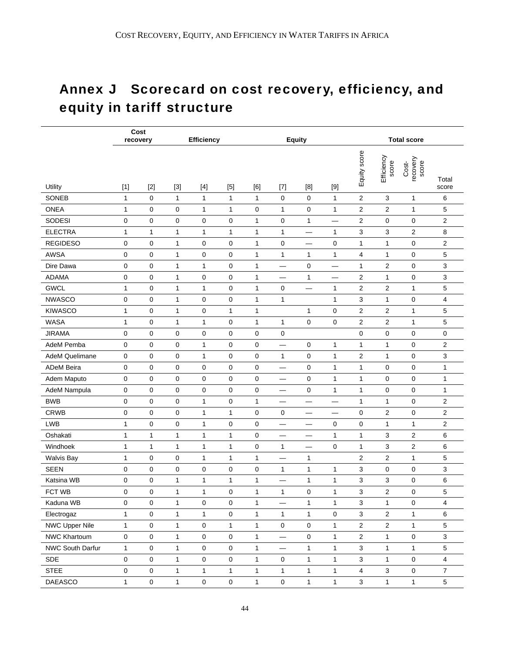# Annex J Scorecard on cost recovery, efficiency, and equity in tariff structure

|                       | recovery     | Cost         |              | <b>Efficiency</b>   |              |              |                     | <b>Equity</b> |                                |                           |                         | <b>Total score</b>         |                         |
|-----------------------|--------------|--------------|--------------|---------------------|--------------|--------------|---------------------|---------------|--------------------------------|---------------------------|-------------------------|----------------------------|-------------------------|
| Utility               | $[1]$        | $[2]$        | $[3]$        |                     | $[5]$        | [6]          | $[7]$               | [8]           | $[9]$                          | Equity score              | Efficiency<br>score     | Cost-<br>recovery<br>score | Total<br>score          |
| SONEB                 | $\mathbf{1}$ | 0            | 1            | $\mathbf{1}$        | 1            | 1            | 0                   | 0             | 1                              | 2                         | 3                       | 1                          | 6                       |
| <b>ONEA</b>           | 1            | 0            | 0            | 1                   | 1            | 0            | 1                   | 0             | 1                              | $\overline{\mathbf{c}}$   | $\overline{2}$          | 1                          | 5                       |
| <b>SODESI</b>         | 0            | 0            | 0            | 0                   | $\mathbf 0$  | $\mathbf{1}$ | 0                   | $\mathbf{1}$  |                                | $\overline{2}$            | 0                       | $\mathbf 0$                | 2                       |
| <b>ELECTRA</b>        | 1            | 1            | $\mathbf{1}$ | 1                   | 1            | $\mathbf{1}$ | $\mathbf{1}$        | —             | 1                              | 3                         | 3                       | $\overline{\mathbf{c}}$    | 8                       |
| <b>REGIDESO</b>       | 0            | 0            | $\mathbf{1}$ | 0                   | 0            | $\mathbf{1}$ | 0                   | -             | 0                              | 1                         | $\mathbf{1}$            | $\mathbf 0$                | $\overline{\mathbf{c}}$ |
| <b>AWSA</b>           | 0            | 0            | $\mathbf{1}$ | 0                   | 0            | $\mathbf{1}$ | $\mathbf{1}$        | 1             | 1                              | 4                         | 1                       | 0                          | 5                       |
| Dire Dawa             | 0            | 0            | $\mathbf{1}$ | $\mathbf{1}$        | 0            | $\mathbf{1}$ |                     | 0             |                                | $\mathbf{1}$              | $\overline{\mathbf{c}}$ | $\mathbf 0$                | 3                       |
| <b>ADAMA</b>          | 0            | 0            | 1            | 0                   | 0            | 1            |                     | 1             | $\qquad \qquad \longleftarrow$ | $\overline{\mathbf{c}}$   | $\mathbf{1}$            | 0                          | 3                       |
| <b>GWCL</b>           | 1            | 0            | 1            | 1                   | 0            | 1            | 0                   | —<br>—        | 1                              | $\overline{2}$            | $\overline{2}$          | 1                          | 5                       |
| <b>NWASCO</b>         | 0            | 0            | 1            | 0                   | 0            | 1            | 1                   |               | 1                              | 3                         | 1                       | 0                          | 4                       |
| <b>KIWASCO</b>        | 1            | 0            | $\mathbf{1}$ | 0                   | 1            | $\mathbf{1}$ |                     | 1             | 0                              | $\overline{c}$            | 2                       | 1                          | 5                       |
| <b>WASA</b>           | $\mathbf{1}$ | 0            | $\mathbf{1}$ | $\mathbf{1}$        | 0            | $\mathbf{1}$ | $\mathbf{1}$        | 0             | 0                              | $\overline{\mathbf{c}}$   | 2                       | 1                          | 5                       |
| <b>JIRAMA</b>         | 0            | 0            | 0            | 0                   | 0            | 0            | 0                   |               |                                | $\mathbf 0$               | 0                       | 0                          | 0                       |
| AdeM Pemba            | 0            | 0            | 0            | $\mathbf{1}$        | 0            | 0            |                     | 0             | 1                              | $\mathbf{1}$              | 1                       | 0                          | $\overline{\mathbf{c}}$ |
| <b>AdeM Quelimane</b> | 0            | 0            | 0            | $\mathbf{1}$        | 0            | 0            | 1                   | 0             | 1                              | 2                         | 1                       | 0                          | 3                       |
| <b>ADeM Beira</b>     | 0            | 0            | 0            | 0                   | 0            | 0            |                     | 0             | 1                              | 1                         | 0                       | 0                          | 1                       |
| Adem Maputo           | 0            | 0            | 0            | 0                   | 0            | 0            |                     | 0             | 1                              | 1                         | 0                       | 0                          | 1                       |
| AdeM Nampula          | 0            | 0            | 0            | 0                   | 0            | 0            |                     | 0             | 1                              | 1                         | 0                       | 0                          | 1                       |
| <b>BWB</b>            | 0            | 0            | 0            | 1                   | 0            | $\mathbf{1}$ |                     |               |                                | $\mathbf{1}$              | 1                       | 0                          | $\overline{\mathbf{c}}$ |
| <b>CRWB</b>           | 0            | 0            | 0            | 1                   | 1            | 0            | 0                   | —             |                                | $\mathbf 0$               | 2                       | $\mathbf 0$                | $\overline{c}$          |
| <b>LWB</b>            | 1            | 0            | 0            | $\mathbf{1}$        | 0            | 0            |                     |               | 0                              | $\mathbf 0$               | 1                       | $\mathbf{1}$               | $\overline{\mathbf{c}}$ |
| Oshakati              | 1            | $\mathbf{1}$ | $\mathbf{1}$ | $\mathbf{1}$        | 1            | 0            | —                   |               | 1                              | 1                         | 3                       | $\overline{\mathbf{c}}$    | 6                       |
| Windhoek              | 1            | 1            | $\mathbf{1}$ | 1                   | 1            | 0            | 1                   |               | 0                              | 1                         | 3                       | $\overline{2}$             | 6                       |
| <b>Walvis Bay</b>     | 1            | 0            | 0            | 1                   | 1            | 1            |                     | 1             |                                | 2                         | 2                       | 1                          | 5                       |
| <b>SEEN</b>           | 0            | 0            | 0            | 0                   | 0            | 0            | 1                   | 1             | 1                              | 3                         | 0                       | 0                          | 3                       |
| Katsina WB            | 0            | 0            | 1            | 1                   | 1            | 1            |                     | 1             | 1                              | 3                         | 3                       | 0                          | 6                       |
| FCT WB                | 0            | 0            | $\mathbf{1}$ | $\mathbf{1}$        | 0            | $\mathbf{1}$ | $\mathbf{1}$        | 0             | 1                              | 3                         | $\overline{2}$          | $\mathbf 0$                | 5                       |
| Kaduna WB             | 0            | 0            | $\mathbf{1}$ | 0                   | 0            | $\mathbf{1}$ | $\qquad \qquad -$   | $\mathbf{1}$  | 1                              | $\mathbf{3}$              | 1                       | 0                          | $\overline{4}$          |
| Electrogaz            | $\mathbf{1}$ | 0            | $\mathbf{1}$ | $\mathbf{1}$        | 0            | $\mathbf{1}$ | $\mathbf{1}$        | $\mathbf{1}$  | $\mathbf 0$                    | $\sqrt{3}$                | $\overline{c}$          | $\mathbf{1}$               | 6                       |
| <b>NWC Upper Nile</b> | $\mathbf{1}$ | 0            | $\mathbf{1}$ | 0                   | $\mathbf{1}$ | $\mathbf{1}$ | $\mathsf{O}\xspace$ | $\pmb{0}$     | $\mathbf{1}$                   | $\sqrt{2}$                | $\overline{2}$          | $\mathbf{1}$               | 5                       |
| NWC Khartoum          | 0            | 0            | $\mathbf{1}$ | 0                   | 0            | $\mathbf{1}$ |                     | $\pmb{0}$     | $\mathbf{1}$                   | $\sqrt{2}$                | $\mathbf{1}$            | $\mathsf 0$                | $\mathbf{3}$            |
| NWC South Darfur      | $\mathbf{1}$ | 0            | $\mathbf{1}$ | 0                   | $\pmb{0}$    | $\mathbf{1}$ |                     | $\mathbf{1}$  | 1                              | $\ensuremath{\mathsf{3}}$ | $\mathbf{1}$            | $\mathbf{1}$               | $\sqrt{5}$              |
| SDE                   | 0            | 0            | $\mathbf{1}$ | $\mathsf{O}\xspace$ | 0            | $\mathbf{1}$ | $\mathsf{O}\xspace$ | $\mathbf{1}$  | $\mathbf{1}$                   | $\mathsf 3$               | $\mathbf{1}$            | $\pmb{0}$                  | $\overline{\mathbf{4}}$ |
| <b>STEE</b>           | 0            | 0            | $\mathbf{1}$ | $\mathbf{1}$        | $\mathbf{1}$ | $\mathbf{1}$ | $\mathbf{1}$        | $\mathbf{1}$  | $\mathbf{1}$                   | $\overline{4}$            | 3                       | 0                          | $\overline{7}$          |
| DAEASCO               | $\mathbf{1}$ | 0            | $\mathbf{1}$ | $\mathbf 0$         | $\pmb{0}$    | $\mathbf{1}$ | $\mathbf 0$         | $\mathbf{1}$  | 1                              | $\mathsf 3$               | $\mathbf{1}$            | $\mathbf{1}$               | $\sqrt{5}$              |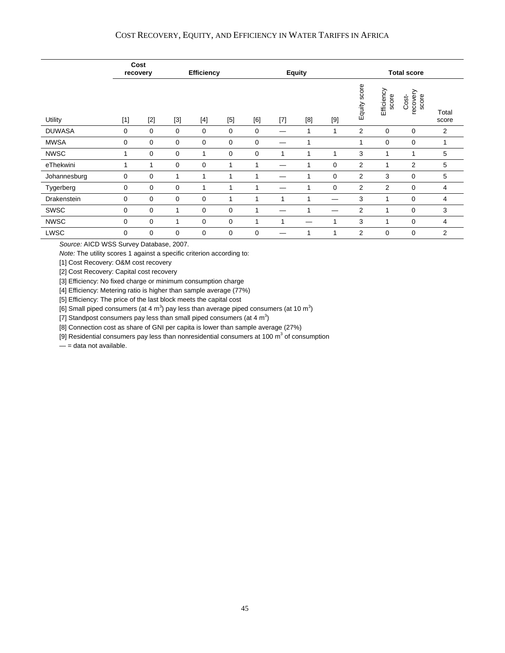#### COST RECOVERY, EQUITY, AND EFFICIENCY IN WATER TARIFFS IN AFRICA

|               | Cost<br>recovery |       |       | <b>Efficiency</b> |       |     | <b>Equity</b> |     |             |                | <b>Total score</b>  |                            |                |  |  |
|---------------|------------------|-------|-------|-------------------|-------|-----|---------------|-----|-------------|----------------|---------------------|----------------------------|----------------|--|--|
| Utility       | $[1]$            | $[2]$ | $[3]$ | $[4]$             | $[5]$ | [6] | $[7]$         | [8] | $[9]$       | Equity score   | Efficiency<br>score | Cost-<br>recovery<br>score | Total<br>score |  |  |
| <b>DUWASA</b> | 0                | 0     | 0     | 0                 | 0     | 0   |               |     |             | 2              | 0                   | 0                          | 2              |  |  |
| <b>MWSA</b>   | 0                | 0     | 0     | 0                 | 0     | 0   |               |     |             | 1              | 0                   | 0                          | 1              |  |  |
| <b>NWSC</b>   | 1                | 0     | 0     |                   | 0     | 0   | 1             |     |             | 3              |                     | 1                          | 5              |  |  |
| eThekwini     |                  | 1     | 0     | 0                 | 1     | 1   |               |     | $\mathbf 0$ | $\overline{2}$ |                     | 2                          | 5              |  |  |
| Johannesburg  | 0                | 0     | 1     |                   | 1     | 1   |               |     | 0           | 2              | 3                   | 0                          | 5              |  |  |
| Tygerberg     | 0                | 0     | 0     |                   | 1     | 1   |               |     | 0           | $\overline{2}$ | $\overline{2}$      | $\mathbf 0$                | 4              |  |  |
| Drakenstein   | 0                | 0     | 0     | 0                 | 1     |     | 1             |     |             | 3              | 1                   | 0                          | 4              |  |  |
| SWSC          | 0                | 0     | 1     | 0                 | 0     |     |               |     |             | $\overline{2}$ |                     | 0                          | 3              |  |  |
| <b>NWSC</b>   | 0                | 0     | 1     | 0                 | 0     | 1   | 1             |     |             | 3              | 1                   | $\mathbf 0$                | 4              |  |  |
| LWSC          | 0                | 0     | 0     | 0                 | 0     | 0   |               |     |             | 2              | 0                   | 0                          | 2              |  |  |

*Source:* AICD WSS Survey Database, 2007.

*Note:* The utility scores 1 against a specific criterion according to:

[1] Cost Recovery: O&M cost recovery

[2] Cost Recovery: Capital cost recovery

[3] Efficiency: No fixed charge or minimum consumption charge

[4] Efficiency: Metering ratio is higher than sample average (77%)

[5] Efficiency: The price of the last block meets the capital cost

[6] Small piped consumers (at 4 m<sup>3</sup>) pay less than average piped consumers (at 10 m<sup>3</sup>)

[7] Standpost consumers pay less than small piped consumers (at 4  $m^3$ )

[8] Connection cost as share of GNI per capita is lower than sample average (27%)

[9] Residential consumers pay less than nonresidential consumers at 100  $m^3$  of consumption

 $-$  = data not available.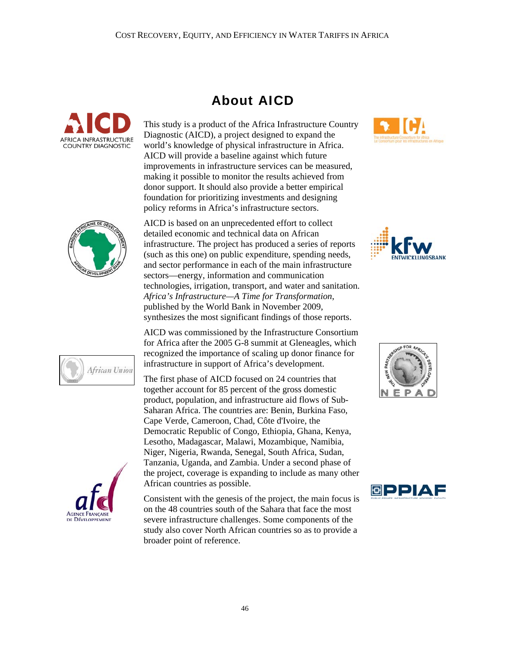



This study is a product of the Africa Infrastructure Country Diagnostic (AICD), a project designed to expand the world's knowledge of physical infrastructure in Africa. AICD will provide a baseline against which future improvements in infrastructure services can be measured, making it possible to monitor the results achieved from donor support. It should also provide a better empirical foundation for prioritizing investments and designing policy reforms in Africa's infrastructure sectors.

AICD is based on an unprecedented effort to collect detailed economic and technical data on African infrastructure. The project has produced a series of reports (such as this one) on public expenditure, spending needs, and sector performance in each of the main infrastructure sectors—energy, information and communication technologies, irrigation, transport, and water and sanitation. *Africa's Infrastructure—A Time for Transformation*, published by the World Bank in November 2009, synthesizes the most significant findings of those reports.

AICD was commissioned by the Infrastructure Consortium for Africa after the 2005 G-8 summit at Gleneagles, which recognized the importance of scaling up donor finance for infrastructure in support of Africa's development.

The first phase of AICD focused on 24 countries that together account for 85 percent of the gross domestic product, population, and infrastructure aid flows of Sub-Saharan Africa. The countries are: Benin, Burkina Faso, Cape Verde, Cameroon, Chad, Côte d'Ivoire, the Democratic Republic of Congo, Ethiopia, Ghana, Kenya, Lesotho, Madagascar, Malawi, Mozambique, Namibia, Niger, Nigeria, Rwanda, Senegal, South Africa, Sudan, Tanzania, Uganda, and Zambia. Under a second phase of the project, coverage is expanding to include as many other African countries as possible.

Consistent with the genesis of the project, the main focus is on the 48 countries south of the Sahara that face the most severe infrastructure challenges. Some components of the study also cover North African countries so as to provide a broader point of reference.